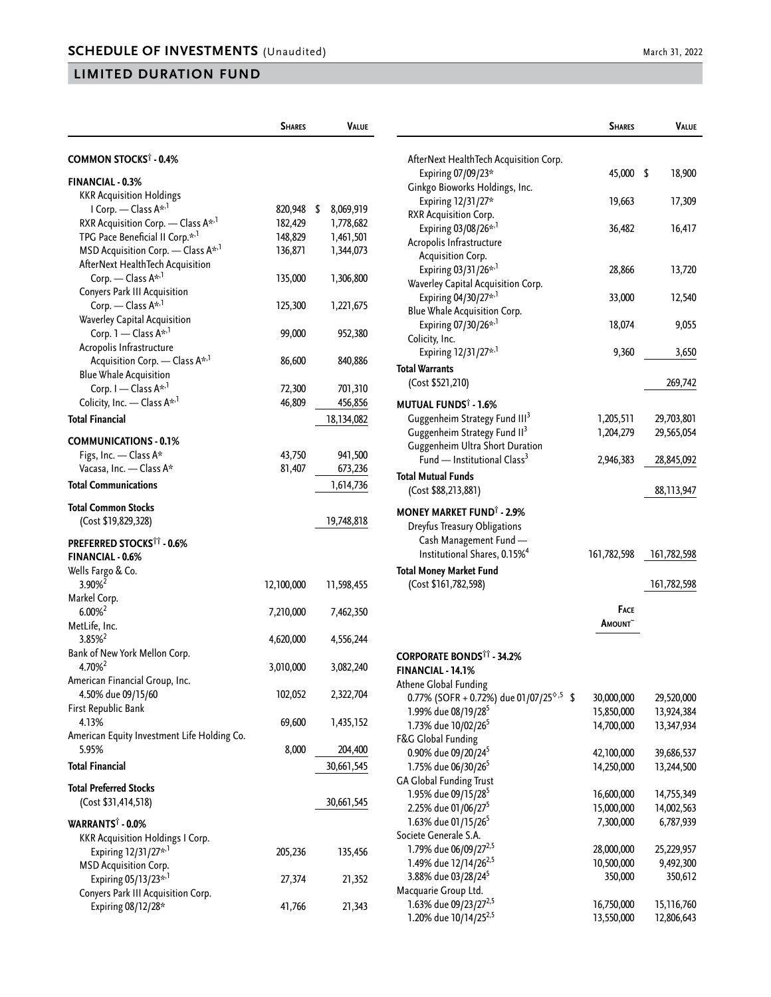|                                                      | <b>SHARES</b> | <b>VALUE</b> |                                                                         | <b>SHARES</b>                  | VALUE       |
|------------------------------------------------------|---------------|--------------|-------------------------------------------------------------------------|--------------------------------|-------------|
| COMMON STOCKS <sup>†</sup> - 0.4%                    |               |              | AfterNext HealthTech Acquisition Corp.                                  |                                |             |
| FINANCIAL - 0.3%                                     |               |              | Expiring 07/09/23*                                                      | 45,000 \$                      | 18,900      |
| <b>KKR Acquisition Holdings</b>                      |               |              | Ginkgo Bioworks Holdings, Inc.                                          |                                |             |
| I Corp. - Class A* <sup>1</sup>                      | 820,948 \$    | 8,069,919    | Expiring 12/31/27*                                                      | 19,663                         | 17,309      |
| RXR Acquisition Corp. - Class A <sup>*,1</sup>       | 182,429       | 1,778,682    | RXR Acquisition Corp.<br>Expiring 03/08/26* <sup>,1</sup>               | 36,482                         | 16,417      |
| TPG Pace Beneficial II Corp.* <sup>,1</sup>          | 148,829       | 1,461,501    | Acropolis Infrastructure                                                |                                |             |
| MSD Acquisition Corp. - Class A <sup>*,1</sup>       | 136,871       | 1,344,073    | Acquisition Corp.                                                       |                                |             |
| AfterNext HealthTech Acquisition                     |               |              | Expiring 03/31/26* <sup>,1</sup>                                        | 28,866                         | 13,720      |
| Corp. — Class $A^{*,1}$                              | 135,000       | 1,306,800    | Waverley Capital Acquisition Corp.                                      |                                |             |
| Conyers Park III Acquisition                         |               |              | Expiring 04/30/27* <sup>1</sup>                                         | 33,000                         | 12,540      |
| Corp. — Class $A^{k,1}$                              | 125,300       | 1,221,675    | Blue Whale Acquisition Corp.                                            |                                |             |
| Waverley Capital Acquisition                         |               |              | Expiring 07/30/26* <sup>1</sup>                                         | 18,074                         | 9,055       |
| Corp. $1$ - Class $A^{\star,1}$                      | 99,000        | 952,380      | Colicity, Inc.                                                          |                                |             |
| Acropolis Infrastructure                             |               |              | Expiring 12/31/27* <sup>,1</sup>                                        | 9,360                          | 3,650       |
| Acquisition Corp. - Class A <sup>*,1</sup>           | 86,600        | 840,886      | Total Warrants                                                          |                                |             |
| <b>Blue Whale Acquisition</b>                        |               |              | (Cost \$521,210)                                                        |                                | 269,742     |
| Corp. I - Class A <sup>*,1</sup>                     | 72,300        | 701,310      |                                                                         |                                |             |
| Colicity, Inc. - Class A*,1                          | 46,809        | 456,856      | MUTUAL FUNDS <sup>†</sup> - 1.6%                                        |                                |             |
| <b>Total Financial</b>                               |               | 18,134,082   | Guggenheim Strategy Fund III <sup>3</sup>                               | 1,205,511                      | 29,703,801  |
|                                                      |               |              | Guggenheim Strategy Fund II <sup>3</sup>                                | 1,204,279                      | 29,565,054  |
| <b>COMMUNICATIONS - 0.1%</b>                         |               |              | Guggenheim Ultra Short Duration                                         |                                |             |
| Figs, Inc. - Class A*                                | 43,750        | 941,500      | Fund — Institutional Class <sup>3</sup>                                 | 2,946,383                      | 28,845,092  |
| Vacasa, Inc. - Class A*                              | 81,407        | 673,236      | <b>Total Mutual Funds</b>                                               |                                |             |
| <b>Total Communications</b>                          |               | 1,614,736    | (Cost \$88,213,881)                                                     |                                | 88,113,947  |
| <b>Total Common Stocks</b>                           |               |              | <b>MONEY MARKET FUND<sup>®</sup> - 2.9%</b>                             |                                |             |
| (Cost \$19,829,328)                                  |               | 19,748,818   |                                                                         |                                |             |
|                                                      |               |              | Dreyfus Treasury Obligations<br>Cash Management Fund -                  |                                |             |
| PREFERRED STOCKS <sup>11</sup> - 0.6%                |               |              | Institutional Shares, 0.15% <sup>4</sup>                                | 161,782,598                    | 161,782,598 |
| FINANCIAL - 0.6%                                     |               |              |                                                                         |                                |             |
| Wells Fargo & Co.                                    |               |              | <b>Total Money Market Fund</b>                                          |                                |             |
| 3.90% <sup>2</sup>                                   | 12,100,000    | 11,598,455   | (Cost \$161,782,598)                                                    |                                | 161,782,598 |
| Markel Corp.                                         |               |              |                                                                         |                                |             |
| $6.00\%$ <sup>2</sup>                                | 7,210,000     | 7,462,350    |                                                                         | <b>FACE</b><br><b>A</b> mount~ |             |
| MetLife, Inc.                                        |               |              |                                                                         |                                |             |
| $3.85\%$ <sup>2</sup>                                | 4,620,000     | 4,556,244    |                                                                         |                                |             |
| Bank of New York Mellon Corp.                        |               |              | <b>CORPORATE BONDS<sup>11</sup> - 34.2%</b>                             |                                |             |
| 4.70% <sup>2</sup>                                   | 3,010,000     | 3,082,240    | FINANCIAL - 14.1%                                                       |                                |             |
| American Financial Group, Inc.                       |               |              | Athene Global Funding                                                   |                                |             |
| 4.50% due 09/15/60                                   | 102,052       | 2,322,704    | 0.77% (SOFR + 0.72%) due 01/07/25 <sup><math>\diamond</math>,5</sup> \$ | 30,000,000                     | 29,520,000  |
| First Republic Bank                                  |               |              | 1.99% due 08/19/28 <sup>5</sup>                                         | 15,850,000                     | 13,924,384  |
| 4.13%                                                | 69,600        | 1,435,152    | 1.73% due 10/02/26 <sup>5</sup>                                         | 14,700,000                     | 13,347,934  |
| American Equity Investment Life Holding Co.<br>5.95% |               |              | F&G Global Funding                                                      |                                |             |
|                                                      | 8,000         | 204,400      | 0.90% due 09/20/24 <sup>5</sup>                                         | 42,100,000                     | 39,686,537  |
| <b>Total Financial</b>                               |               | 30,661,545   | 1.75% due 06/30/26 <sup>5</sup>                                         | 14,250,000                     | 13,244,500  |
| <b>Total Preferred Stocks</b>                        |               |              | <b>GA Global Funding Trust</b>                                          |                                |             |
| (Cost \$31,414,518)                                  |               | 30,661,545   | 1.95% due 09/15/28 <sup>5</sup>                                         | 16,600,000                     | 14,755,349  |
|                                                      |               |              | 2.25% due 01/06/27 <sup>5</sup>                                         | 15,000,000                     | 14,002,563  |
| WARRANTS <sup>†</sup> - 0.0%                         |               |              | 1.63% due 01/15/26 <sup>5</sup>                                         | 7,300,000                      | 6,787,939   |
| <b>KKR Acquisition Holdings I Corp.</b>              |               |              | Societe Generale S.A.                                                   |                                |             |
| Expiring 12/31/27* <sup>,1</sup>                     | 205,236       | 135,456      | 1.79% due 06/09/27 <sup>2,5</sup>                                       | 28,000,000                     | 25,229,957  |
| <b>MSD Acquisition Corp.</b>                         |               |              | 1.49% due 12/14/26 <sup>2,5</sup>                                       | 10,500,000                     | 9,492,300   |
| Expiring 05/13/23* <sup>,1</sup>                     | 27,374        | 21,352       | 3.88% due 03/28/24 <sup>5</sup>                                         | 350,000                        | 350,612     |
| Conyers Park III Acquisition Corp.                   |               |              | Macquarie Group Ltd.                                                    |                                |             |
| Expiring 08/12/28*                                   | 41,766        | 21,343       | 1.63% due 09/23/27 <sup>2,5</sup>                                       | 16,750,000                     | 15,116,760  |
|                                                      |               |              | 1.20% due 10/14/25 <sup>2,5</sup>                                       | 13,550,000                     | 12,806,643  |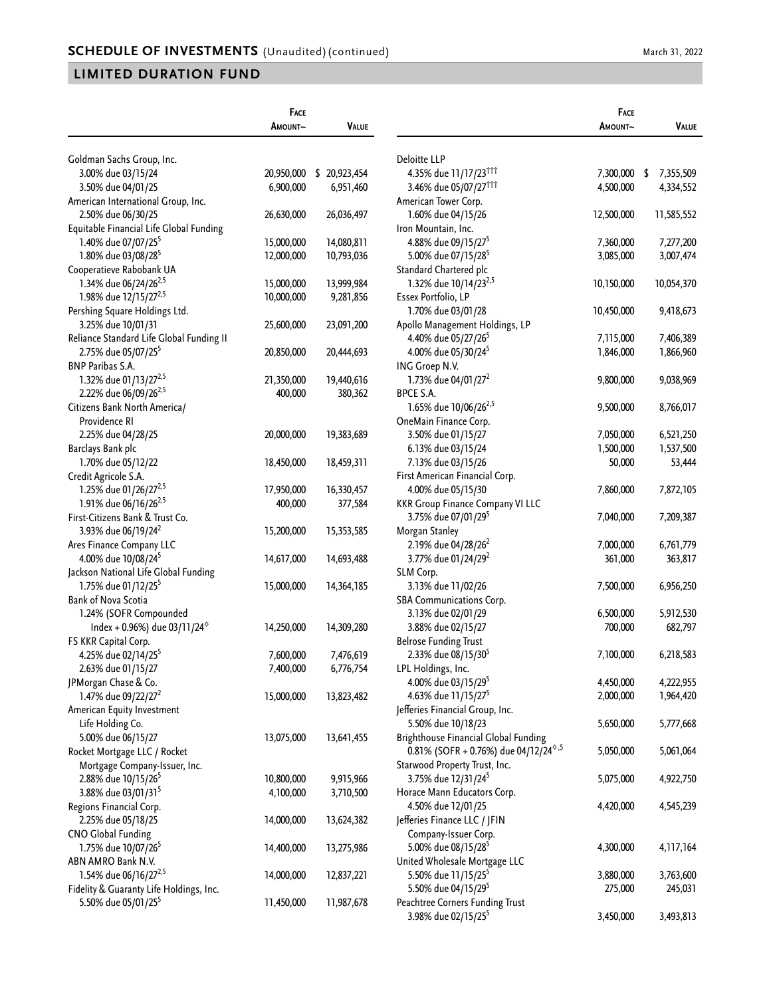|                                          | FACE       |              |                                                                      | FACE       |                 |
|------------------------------------------|------------|--------------|----------------------------------------------------------------------|------------|-----------------|
|                                          | AMOUNT~    | <b>VALUE</b> |                                                                      | AMOUNT~    | <b>VALUE</b>    |
|                                          |            |              |                                                                      |            |                 |
| Goldman Sachs Group, Inc.                | 20,950,000 |              | Deloitte LLP                                                         | 7,300,000  |                 |
| 3.00% due 03/15/24                       |            | \$20,923,454 | 4.35% due 11/17/23 <sup>†††</sup>                                    |            | 7,355,509<br>\$ |
| 3.50% due 04/01/25                       | 6,900,000  | 6,951,460    | 3.46% due 05/07/27 <sup>111</sup>                                    | 4,500,000  | 4,334,552       |
| American International Group, Inc.       |            |              | American Tower Corp.                                                 |            |                 |
| 2.50% due 06/30/25                       | 26,630,000 | 26,036,497   | 1.60% due 04/15/26                                                   | 12,500,000 | 11,585,552      |
| Equitable Financial Life Global Funding  |            |              | Iron Mountain, Inc.                                                  |            |                 |
| 1.40% due 07/07/25 <sup>5</sup>          | 15,000,000 | 14,080,811   | 4.88% due 09/15/27 <sup>5</sup>                                      | 7,360,000  | 7,277,200       |
| 1.80% due 03/08/28 <sup>5</sup>          | 12,000,000 | 10,793,036   | 5.00% due 07/15/28 <sup>5</sup>                                      | 3,085,000  | 3,007,474       |
| Cooperatieve Rabobank UA                 |            |              | Standard Chartered plc                                               |            |                 |
| 1.34% due 06/24/26 <sup>2,5</sup>        | 15,000,000 | 13,999,984   | 1.32% due 10/14/23 <sup>2,5</sup>                                    | 10,150,000 | 10,054,370      |
| 1.98% due 12/15/27 <sup>2,5</sup>        | 10,000,000 | 9,281,856    | Essex Portfolio, LP                                                  |            |                 |
| Pershing Square Holdings Ltd.            |            |              | 1.70% due 03/01/28                                                   | 10,450,000 | 9,418,673       |
| 3.25% due 10/01/31                       | 25,600,000 | 23,091,200   | Apollo Management Holdings, LP                                       |            |                 |
| Reliance Standard Life Global Funding II |            |              | 4.40% due 05/27/26 <sup>5</sup>                                      | 7,115,000  | 7,406,389       |
| 2.75% due 05/07/25 <sup>5</sup>          | 20,850,000 | 20,444,693   | 4.00% due 05/30/24 <sup>5</sup>                                      | 1,846,000  | 1,866,960       |
| BNP Paribas S.A.                         |            |              | ING Groep N.V.                                                       |            |                 |
| 1.32% due 01/13/27 <sup>2,5</sup>        | 21,350,000 | 19,440,616   | 1.73% due 04/01/27 <sup>2</sup>                                      | 9,800,000  | 9,038,969       |
| 2.22% due 06/09/26 <sup>2,5</sup>        | 400,000    | 380,362      | BPCE S.A.                                                            |            |                 |
| Citizens Bank North America/             |            |              | 1.65% due 10/06/26 <sup>2,5</sup>                                    | 9,500,000  | 8,766,017       |
| Providence RI                            |            |              | OneMain Finance Corp.                                                |            |                 |
| 2.25% due 04/28/25                       | 20,000,000 | 19,383,689   | 3.50% due 01/15/27                                                   | 7,050,000  | 6,521,250       |
| Barclays Bank plc                        |            |              | 6.13% due 03/15/24                                                   | 1,500,000  | 1,537,500       |
| 1.70% due 05/12/22                       | 18,450,000 | 18,459,311   | 7.13% due 03/15/26                                                   | 50,000     | 53,444          |
| Credit Agricole S.A.                     |            |              | First American Financial Corp.                                       |            |                 |
| 1.25% due 01/26/27 <sup>2,5</sup>        | 17,950,000 | 16,330,457   | 4.00% due 05/15/30                                                   | 7,860,000  | 7,872,105       |
| 1.91% due 06/16/26 <sup>2,5</sup>        | 400,000    | 377,584      | <b>KKR Group Finance Company VI LLC</b>                              |            |                 |
| First-Citizens Bank & Trust Co.          |            |              | 3.75% due 07/01/29 <sup>5</sup>                                      | 7,040,000  | 7,209,387       |
| 3.93% due 06/19/24 <sup>2</sup>          | 15,200,000 | 15,353,585   | Morgan Stanley                                                       |            |                 |
| Ares Finance Company LLC                 |            |              | 2.19% due 04/28/26 <sup>2</sup>                                      | 7,000,000  | 6,761,779       |
| 4.00% due 10/08/24 <sup>5</sup>          | 14,617,000 | 14,693,488   | 3.77% due 01/24/29 <sup>2</sup>                                      | 361,000    | 363,817         |
| Jackson National Life Global Funding     |            |              | SLM Corp.                                                            |            |                 |
| 1.75% due 01/12/25 <sup>5</sup>          | 15,000,000 | 14,364,185   | 3.13% due 11/02/26                                                   | 7,500,000  | 6,956,250       |
| <b>Bank of Nova Scotia</b>               |            |              | SBA Communications Corp.                                             |            |                 |
| 1.24% (SOFR Compounded                   |            |              | 3.13% due 02/01/29                                                   | 6,500,000  | 5,912,530       |
| Index + 0.96%) due 03/11/24 $^{\circ}$   | 14,250,000 | 14,309,280   | 3.88% due 02/15/27                                                   | 700,000    | 682,797         |
| FS KKR Capital Corp.                     |            |              | <b>Belrose Funding Trust</b>                                         |            |                 |
| 4.25% due 02/14/25 <sup>5</sup>          | 7,600,000  | 7,476,619    | 2.33% due 08/15/30 <sup>5</sup>                                      | 7,100,000  | 6,218,583       |
| 2.63% due 01/15/27                       | 7,400,000  | 6,776,754    | LPL Holdings, Inc.                                                   |            |                 |
| JPMorgan Chase & Co.                     |            |              | 4.00% due 03/15/29 <sup>5</sup>                                      | 4,450,000  | 4,222,955       |
| 1.47% due 09/22/27 <sup>2</sup>          | 15,000,000 | 13,823,482   | 4.63% due 11/15/27 <sup>5</sup>                                      | 2,000,000  | 1,964,420       |
| American Equity Investment               |            |              | Jefferies Financial Group, Inc.                                      |            |                 |
| Life Holding Co.                         |            |              | 5.50% due 10/18/23                                                   | 5,650,000  | 5,777,668       |
| 5.00% due 06/15/27                       | 13,075,000 | 13,641,455   | <b>Brighthouse Financial Global Funding</b>                          |            |                 |
| Rocket Mortgage LLC / Rocket             |            |              | 0.81% (SOFR + 0.76%) due 04/12/24 <sup><math>\diamond</math>,5</sup> | 5,050,000  | 5,061,064       |
| Mortgage Company-Issuer, Inc.            |            |              | Starwood Property Trust, Inc.                                        |            |                 |
| 2.88% due 10/15/26 <sup>5</sup>          | 10,800,000 | 9,915,966    | 3.75% due 12/31/24 <sup>5</sup>                                      | 5,075,000  | 4,922,750       |
| 3.88% due 03/01/31 <sup>5</sup>          | 4,100,000  | 3,710,500    | Horace Mann Educators Corp.                                          |            |                 |
| Regions Financial Corp.                  |            |              | 4.50% due 12/01/25                                                   | 4,420,000  | 4,545,239       |
| 2.25% due 05/18/25                       | 14,000,000 | 13,624,382   | Jefferies Finance LLC / JFIN                                         |            |                 |
| <b>CNO Global Funding</b>                |            |              | Company-Issuer Corp.                                                 |            |                 |
| 1.75% due 10/07/26 <sup>5</sup>          | 14,400,000 | 13,275,986   | 5.00% due 08/15/28 <sup>5</sup>                                      | 4,300,000  | 4,117,164       |
| ABN AMRO Bank N.V.                       |            |              | United Wholesale Mortgage LLC                                        |            |                 |
| 1.54% due 06/16/27 <sup>2,5</sup>        | 14,000,000 | 12,837,221   | 5.50% due 11/15/25 <sup>5</sup>                                      | 3,880,000  | 3,763,600       |
| Fidelity & Guaranty Life Holdings, Inc.  |            |              | 5.50% due 04/15/29 <sup>5</sup>                                      | 275,000    | 245,031         |
| 5.50% due 05/01/25 <sup>5</sup>          | 11,450,000 | 11,987,678   | Peachtree Corners Funding Trust                                      |            |                 |
|                                          |            |              | 3.98% due 02/15/25 <sup>5</sup>                                      | 3,450,000  | 3,493,813       |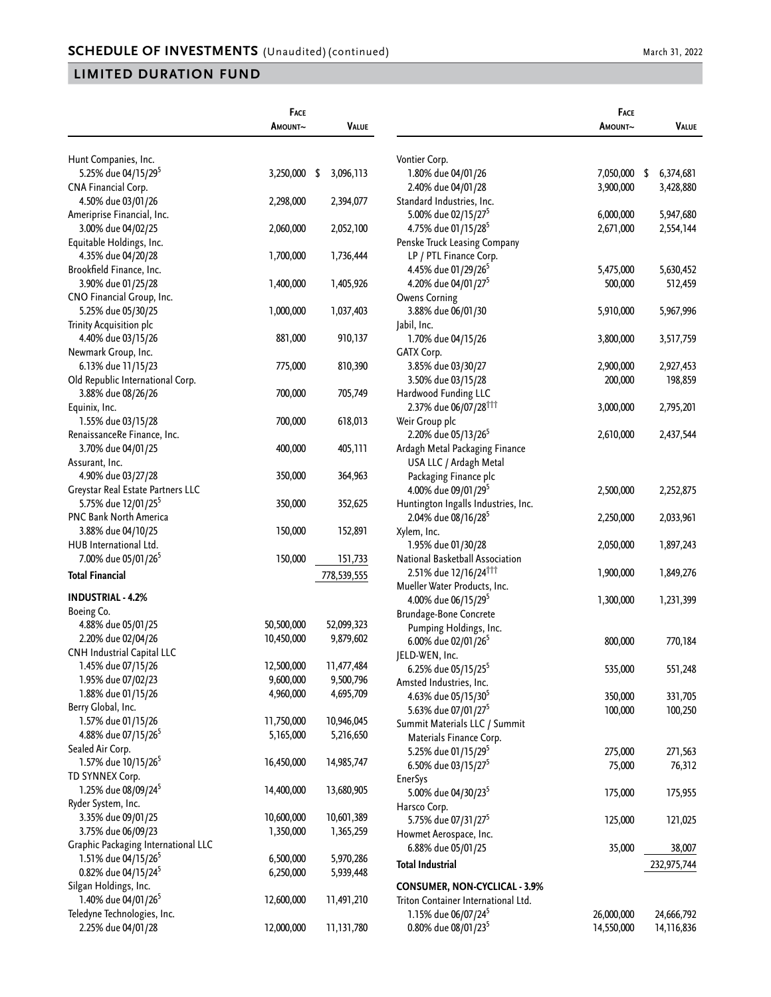|                                     | FACE       |                 |                                      | FACE       |                   |
|-------------------------------------|------------|-----------------|--------------------------------------|------------|-------------------|
|                                     | AMOUNT~    | <b>VALUE</b>    |                                      | AMOUNT~    | VALUE             |
| Hunt Companies, Inc.                |            |                 | Vontier Corp.                        |            |                   |
| 5.25% due 04/15/29 <sup>5</sup>     | 3,250,000  | \$<br>3,096,113 | 1.80% due 04/01/26                   | 7,050,000  | 6,374,681<br>- \$ |
| CNA Financial Corp.                 |            |                 | 2.40% due 04/01/28                   | 3,900,000  | 3,428,880         |
| 4.50% due 03/01/26                  | 2,298,000  | 2,394,077       | Standard Industries, Inc.            |            |                   |
| Ameriprise Financial, Inc.          |            |                 | 5.00% due 02/15/27 <sup>5</sup>      | 6,000,000  | 5,947,680         |
| 3.00% due 04/02/25                  | 2,060,000  | 2,052,100       | 4.75% due 01/15/28 <sup>5</sup>      | 2,671,000  | 2,554,144         |
|                                     |            |                 | Penske Truck Leasing Company         |            |                   |
| Equitable Holdings, Inc.            |            |                 | LP / PTL Finance Corp.               |            |                   |
| 4.35% due 04/20/28                  | 1,700,000  | 1,736,444       |                                      |            |                   |
| Brookfield Finance, Inc.            |            |                 | 4.45% due 01/29/26 <sup>5</sup>      | 5,475,000  | 5,630,452         |
| 3.90% due 01/25/28                  | 1,400,000  | 1,405,926       | 4.20% due 04/01/27 <sup>5</sup>      | 500,000    | 512,459           |
| CNO Financial Group, Inc.           |            |                 | <b>Owens Corning</b>                 |            |                   |
| 5.25% due 05/30/25                  | 1,000,000  | 1,037,403       | 3.88% due 06/01/30                   | 5,910,000  | 5,967,996         |
| Trinity Acquisition plc             |            |                 | Jabil, Inc.                          |            |                   |
| 4.40% due 03/15/26                  | 881,000    | 910,137         | 1.70% due 04/15/26                   | 3,800,000  | 3,517,759         |
| Newmark Group, Inc.                 |            |                 | GATX Corp.                           |            |                   |
| 6.13% due 11/15/23                  | 775,000    | 810,390         | 3.85% due 03/30/27                   | 2,900,000  | 2,927,453         |
| Old Republic International Corp.    |            |                 | 3.50% due 03/15/28                   | 200,000    | 198,859           |
| 3.88% due 08/26/26                  | 700,000    | 705,749         | Hardwood Funding LLC                 |            |                   |
| Equinix, Inc.                       |            |                 | 2.37% due 06/07/28 <sup>†††</sup>    | 3,000,000  | 2,795,201         |
| 1.55% due 03/15/28                  | 700,000    | 618,013         | Weir Group plc                       |            |                   |
| RenaissanceRe Finance, Inc.         |            |                 | 2.20% due 05/13/26 <sup>5</sup>      | 2,610,000  | 2,437,544         |
| 3.70% due 04/01/25                  | 400,000    | 405,111         | Ardagh Metal Packaging Finance       |            |                   |
| Assurant, Inc.                      |            |                 | USA LLC / Ardagh Metal               |            |                   |
| 4.90% due 03/27/28                  | 350,000    | 364,963         | Packaging Finance plc                |            |                   |
| Greystar Real Estate Partners LLC   |            |                 | 4.00% due 09/01/29 <sup>5</sup>      | 2,500,000  | 2,252,875         |
| 5.75% due 12/01/25 <sup>5</sup>     | 350,000    | 352,625         | Huntington Ingalls Industries, Inc.  |            |                   |
| PNC Bank North America              |            |                 | 2.04% due 08/16/28 <sup>5</sup>      | 2,250,000  | 2,033,961         |
|                                     | 150,000    | 152,891         |                                      |            |                   |
| 3.88% due 04/10/25                  |            |                 | Xylem, Inc.                          |            |                   |
| HUB International Ltd.              |            |                 | 1.95% due 01/30/28                   | 2,050,000  | 1,897,243         |
| 7.00% due 05/01/26 <sup>5</sup>     | 150,000    | 151,733         | National Basketball Association      |            |                   |
| <b>Total Financial</b>              |            | 778,539,555     | 2.51% due 12/16/24 <sup>†††</sup>    | 1,900,000  | 1,849,276         |
| <b>INDUSTRIAL - 4.2%</b>            |            |                 | Mueller Water Products, Inc.         |            |                   |
|                                     |            |                 | 4.00% due 06/15/29 <sup>5</sup>      | 1,300,000  | 1,231,399         |
| Boeing Co.                          |            |                 | Brundage-Bone Concrete               |            |                   |
| 4.88% due 05/01/25                  | 50,500,000 | 52,099,323      | Pumping Holdings, Inc.               |            |                   |
| 2.20% due 02/04/26                  | 10,450,000 | 9,879,602       | 6.00% due 02/01/26 <sup>5</sup>      | 800,000    | 770,184           |
| CNH Industrial Capital LLC          |            |                 | JELD-WEN, Inc.                       |            |                   |
| 1.45% due 07/15/26                  | 12,500,000 | 11,477,484      | 6.25% due 05/15/25 <sup>5</sup>      | 535,000    | 551,248           |
| 1.95% due 07/02/23                  | 9,600,000  | 9,500,796       | Amsted Industries, Inc.              |            |                   |
| 1.88% due 01/15/26                  | 4,960,000  | 4,695,709       | 4.63% due 05/15/30 <sup>5</sup>      | 350,000    | 331,705           |
| Berry Global, Inc.                  |            |                 | 5.63% due 07/01/27 <sup>5</sup>      | 100,000    | 100,250           |
| 1.57% due 01/15/26                  | 11,750,000 | 10,946,045      | Summit Materials LLC / Summit        |            |                   |
| 4.88% due 07/15/26 <sup>5</sup>     | 5,165,000  | 5,216,650       | Materials Finance Corp.              |            |                   |
| Sealed Air Corp.                    |            |                 | 5.25% due 01/15/29 <sup>5</sup>      | 275,000    | 271,563           |
| 1.57% due 10/15/26 <sup>5</sup>     | 16,450,000 | 14,985,747      | 6.50% due 03/15/27 <sup>5</sup>      | 75,000     | 76,312            |
| TD SYNNEX Corp.                     |            |                 | <b>EnerSys</b>                       |            |                   |
| 1.25% due 08/09/24 <sup>5</sup>     | 14,400,000 | 13,680,905      | 5.00% due 04/30/23 <sup>5</sup>      | 175,000    | 175,955           |
| Ryder System, Inc.                  |            |                 | Harsco Corp.                         |            |                   |
| 3.35% due 09/01/25                  | 10,600,000 | 10,601,389      | 5.75% due 07/31/27 <sup>5</sup>      | 125,000    | 121,025           |
| 3.75% due 06/09/23                  | 1,350,000  | 1,365,259       | Howmet Aerospace, Inc.               |            |                   |
| Graphic Packaging International LLC |            |                 |                                      |            |                   |
| 1.51% due 04/15/26 <sup>5</sup>     | 6,500,000  | 5,970,286       | 6.88% due 05/01/25                   | 35,000     | 38,007            |
| 0.82% due 04/15/24 <sup>5</sup>     | 6,250,000  | 5,939,448       | <b>Total Industrial</b>              |            | 232,975,744       |
| Silgan Holdings, Inc.               |            |                 | <b>CONSUMER, NON-CYCLICAL - 3.9%</b> |            |                   |
| 1.40% due 04/01/26 <sup>5</sup>     | 12,600,000 | 11,491,210      |                                      |            |                   |
|                                     |            |                 | Triton Container International Ltd.  |            |                   |
| Teledyne Technologies, Inc.         |            |                 | 1.15% due 06/07/24 <sup>5</sup>      | 26,000,000 | 24,666,792        |
| 2.25% due 04/01/28                  | 12,000,000 | 11,131,780      | 0.80% due 08/01/23 <sup>5</sup>      | 14,550,000 | 14,116,836        |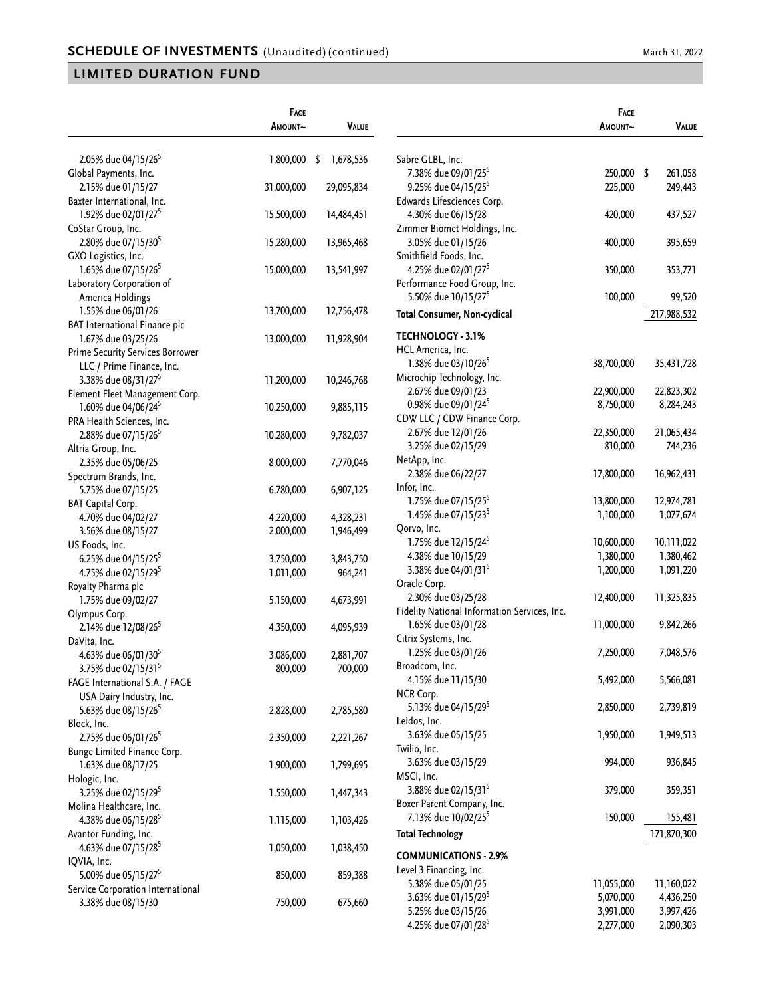|                                                          | FACE       |                 |                                              | FACE       |              |
|----------------------------------------------------------|------------|-----------------|----------------------------------------------|------------|--------------|
|                                                          | AMOUNT~    | <b>VALUE</b>    |                                              | AMOUNT~    | <b>VALUE</b> |
| 2.05% due 04/15/26 <sup>5</sup>                          | 1,800,000  | 1,678,536<br>\$ | Sabre GLBL, Inc.                             |            |              |
| Global Payments, Inc.                                    |            |                 | 7.38% due 09/01/25 <sup>5</sup>              | 250,000 \$ | 261,058      |
| 2.15% due 01/15/27                                       | 31,000,000 | 29,095,834      | 9.25% due 04/15/25 <sup>5</sup>              | 225,000    | 249,443      |
| Baxter International, Inc.                               |            |                 | Edwards Lifesciences Corp.                   |            |              |
| 1.92% due 02/01/27 <sup>5</sup>                          | 15,500,000 | 14,484,451      | 4.30% due 06/15/28                           | 420,000    | 437,527      |
| CoStar Group, Inc.                                       |            |                 | Zimmer Biomet Holdings, Inc.                 |            |              |
| 2.80% due 07/15/30 <sup>5</sup>                          | 15,280,000 | 13,965,468      | 3.05% due 01/15/26                           | 400,000    | 395,659      |
| GXO Logistics, Inc.                                      |            |                 | Smithfield Foods, Inc.                       |            |              |
| 1.65% due 07/15/26 <sup>5</sup>                          | 15,000,000 | 13,541,997      | 4.25% due 02/01/27 <sup>5</sup>              | 350,000    | 353,771      |
| Laboratory Corporation of                                |            |                 | Performance Food Group, Inc.                 |            |              |
| America Holdings                                         |            |                 | 5.50% due 10/15/27 <sup>5</sup>              | 100,000    | 99,520       |
| 1.55% due 06/01/26                                       | 13,700,000 | 12,756,478      | <b>Total Consumer, Non-cyclical</b>          |            | 217,988,532  |
| BAT International Finance plc                            |            |                 |                                              |            |              |
| 1.67% due 03/25/26                                       | 13,000,000 | 11,928,904      | <b>TECHNOLOGY - 3.1%</b>                     |            |              |
| <b>Prime Security Services Borrower</b>                  |            |                 | HCL America, Inc.                            |            |              |
| LLC / Prime Finance, Inc.                                |            |                 | 1.38% due 03/10/26 <sup>5</sup>              | 38,700,000 | 35,431,728   |
| 3.38% due 08/31/27 <sup>5</sup>                          | 11,200,000 | 10,246,768      | Microchip Technology, Inc.                   |            |              |
| Element Fleet Management Corp.                           |            |                 | 2.67% due 09/01/23                           | 22,900,000 | 22,823,302   |
| 1.60% due 04/06/24 <sup>5</sup>                          | 10,250,000 | 9,885,115       | 0.98% due 09/01/24 <sup>5</sup>              | 8,750,000  | 8,284,243    |
| PRA Health Sciences, Inc.                                |            |                 | CDW LLC / CDW Finance Corp.                  |            |              |
| 2.88% due 07/15/26 <sup>5</sup>                          | 10,280,000 | 9,782,037       | 2.67% due 12/01/26                           | 22,350,000 | 21,065,434   |
| Altria Group, Inc.                                       |            |                 | 3.25% due 02/15/29                           | 810,000    | 744,236      |
| 2.35% due 05/06/25                                       | 8,000,000  | 7,770,046       | NetApp, Inc.                                 |            |              |
| Spectrum Brands, Inc.                                    |            |                 | 2.38% due 06/22/27                           | 17,800,000 | 16,962,431   |
| 5.75% due 07/15/25                                       | 6,780,000  | 6,907,125       | Infor, Inc.                                  |            |              |
| BAT Capital Corp.                                        |            |                 | 1.75% due 07/15/25 <sup>5</sup>              | 13,800,000 | 12,974,781   |
| 4.70% due 04/02/27                                       | 4,220,000  | 4,328,231       | 1.45% due 07/15/23 <sup>5</sup>              | 1,100,000  | 1,077,674    |
| 3.56% due 08/15/27                                       | 2,000,000  | 1,946,499       | Qorvo, Inc.                                  |            |              |
| US Foods, Inc.                                           |            |                 | 1.75% due 12/15/24 <sup>5</sup>              | 10,600,000 | 10,111,022   |
| 6.25% due 04/15/25 <sup>5</sup>                          | 3,750,000  | 3,843,750       | 4.38% due 10/15/29                           | 1,380,000  | 1,380,462    |
| 4.75% due 02/15/29 <sup>5</sup>                          | 1,011,000  | 964,241         | 3.38% due 04/01/31 <sup>5</sup>              | 1,200,000  | 1,091,220    |
| Royalty Pharma plc                                       |            |                 | Oracle Corp.                                 |            |              |
| 1.75% due 09/02/27                                       | 5,150,000  | 4,673,991       | 2.30% due 03/25/28                           | 12,400,000 | 11,325,835   |
| Olympus Corp.                                            |            |                 | Fidelity National Information Services, Inc. |            |              |
| 2.14% due 12/08/26 <sup>5</sup>                          | 4,350,000  | 4,095,939       | 1.65% due 03/01/28                           | 11,000,000 | 9,842,266    |
| DaVita, Inc.                                             |            |                 | Citrix Systems, Inc.                         |            |              |
| 4.63% due 06/01/30 <sup>5</sup>                          | 3,086,000  | 2,881,707       | 1.25% due 03/01/26                           | 7,250,000  | 7,048,576    |
| 3.75% due 02/15/31 <sup>5</sup>                          |            |                 | Broadcom, Inc.                               |            |              |
| FAGE International S.A. / FAGE                           | 800,000    | 700,000         | 4.15% due 11/15/30                           | 5,492,000  | 5,566,081    |
| USA Dairy Industry, Inc.                                 |            |                 | NCR Corp.                                    |            |              |
| 5.63% due 08/15/26 <sup>5</sup>                          | 2,828,000  | 2,785,580       | 5.13% due 04/15/29 <sup>5</sup>              | 2,850,000  | 2,739,819    |
| Block, Inc.                                              |            |                 | Leidos, Inc.                                 |            |              |
| 2.75% due 06/01/26 <sup>5</sup>                          | 2,350,000  | 2,221,267       | 3.63% due 05/15/25                           | 1,950,000  | 1,949,513    |
| Bunge Limited Finance Corp.                              |            |                 | Twilio, Inc.                                 |            |              |
| 1.63% due 08/17/25                                       | 1,900,000  | 1,799,695       | 3.63% due 03/15/29                           | 994,000    | 936,845      |
| Hologic, Inc.                                            |            |                 | MSCI, Inc.                                   |            |              |
| 3.25% due 02/15/29 <sup>5</sup>                          | 1,550,000  | 1,447,343       | 3.88% due 02/15/31 <sup>5</sup>              | 379,000    | 359,351      |
| Molina Healthcare, Inc.                                  |            |                 | Boxer Parent Company, Inc.                   |            |              |
| 4.38% due 06/15/28 <sup>5</sup>                          | 1,115,000  | 1,103,426       | 7.13% due 10/02/25 <sup>5</sup>              | 150,000    | 155,481      |
|                                                          |            |                 |                                              |            |              |
| Avantor Funding, Inc.<br>4.63% due 07/15/28 <sup>5</sup> | 1,050,000  |                 | <b>Total Technology</b>                      |            | 171,870,300  |
| IQVIA, Inc.                                              |            | 1,038,450       | <b>COMMUNICATIONS - 2.9%</b>                 |            |              |
| 5.00% due 05/15/27 <sup>5</sup>                          |            |                 | Level 3 Financing, Inc.                      |            |              |
|                                                          | 850,000    | 859,388         | 5.38% due 05/01/25                           | 11,055,000 | 11,160,022   |
| Service Corporation International<br>3.38% due 08/15/30  | 750,000    | 675,660         | 3.63% due 01/15/29 <sup>5</sup>              | 5,070,000  | 4,436,250    |
|                                                          |            |                 | 5.25% due 03/15/26                           | 3,991,000  | 3,997,426    |
|                                                          |            |                 | 4.25% due 07/01/28 <sup>5</sup>              | 2,277,000  | 2,090,303    |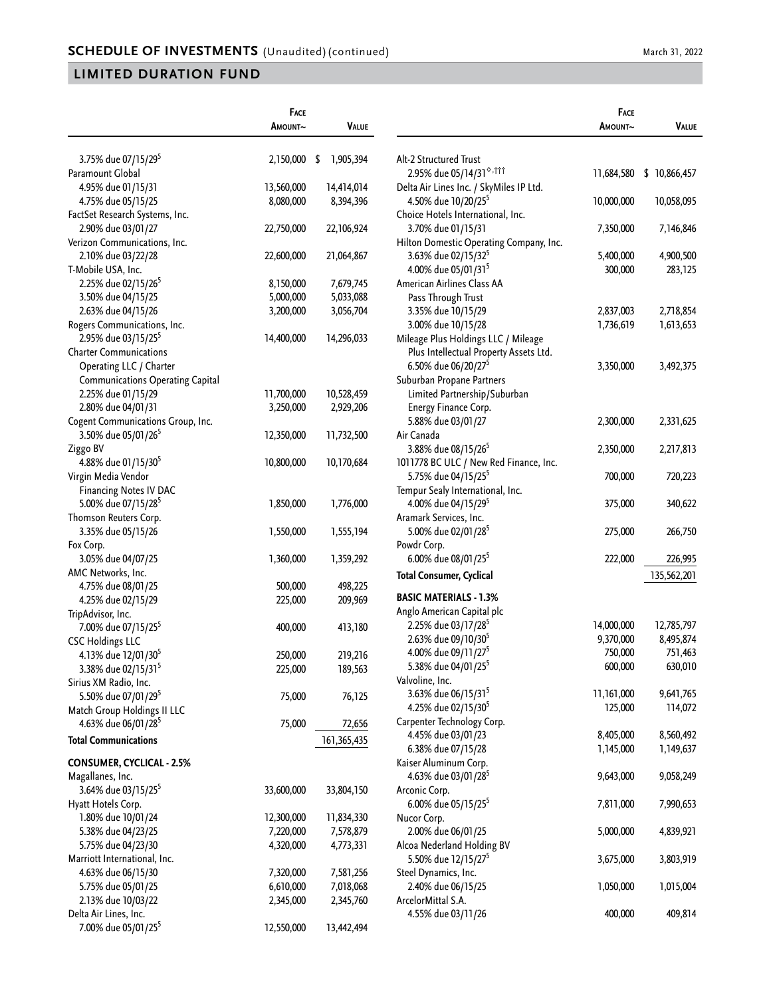|                                         | <b>FACE</b> |                 |
|-----------------------------------------|-------------|-----------------|
|                                         | Amount~     | VALUE           |
|                                         |             |                 |
| 3.75% due 07/15/29 <sup>5</sup>         | 2,150,000   | \$<br>1,905,394 |
| Paramount Global                        |             |                 |
| 4.95% due 01/15/31                      | 13,560,000  | 14,414,014      |
| 4.75% due 05/15/25                      | 8,080,000   | 8,394,396       |
| FactSet Research Systems, Inc.          |             |                 |
| 2.90% due 03/01/27                      | 22,750,000  | 22,106,924      |
| Verizon Communications, Inc.            |             |                 |
| 2.10% due 03/22/28                      | 22,600,000  | 21,064,867      |
| T-Mobile USA, Inc.                      |             |                 |
| 2.25% due 02/15/26 <sup>5</sup>         | 8,150,000   | 7,679,745       |
| 3.50% due 04/15/25                      | 5,000,000   | 5,033,088       |
| 2.63% due 04/15/26                      | 3,200,000   | 3,056,704       |
| Rogers Communications, Inc.             |             |                 |
| 2.95% due 03/15/25 <sup>5</sup>         | 14,400,000  | 14,296,033      |
| <b>Charter Communications</b>           |             |                 |
| Operating LLC / Charter                 |             |                 |
| <b>Communications Operating Capital</b> |             |                 |
| 2.25% due 01/15/29                      | 11,700,000  | 10,528,459      |
| 2.80% due 04/01/31                      | 3,250,000   | 2,929,206       |
| Cogent Communications Group, Inc.       |             |                 |
| 3.50% due 05/01/26 <sup>5</sup>         | 12,350,000  | 11,732,500      |
| Ziggo BV                                |             |                 |
| 4.88% due 01/15/30 <sup>5</sup>         | 10,800,000  | 10,170,684      |
| Virgin Media Vendor                     |             |                 |
| <b>Financing Notes IV DAC</b>           |             |                 |
| 5.00% due 07/15/28 <sup>5</sup>         | 1,850,000   | 1,776,000       |
| Thomson Reuters Corp.                   |             |                 |
| 3.35% due 05/15/26                      | 1,550,000   | 1,555,194       |
| Fox Corp.                               |             |                 |
| 3.05% due 04/07/25                      | 1,360,000   | 1,359,292       |
| AMC Networks, Inc.                      |             |                 |
| 4.75% due 08/01/25                      | 500,000     | 498,225         |
| 4.25% due 02/15/29                      | 225,000     | 209,969         |
| TripAdvisor, Inc.                       |             |                 |
| 7.00% due 07/15/25 <sup>5</sup>         | 400,000     | 413,180         |
| <b>CSC Holdings LLC</b>                 |             |                 |
| 4.13% due 12/01/30 <sup>5</sup>         | 250,000     | 219,216         |
| 3.38% due 02/15/31 <sup>5</sup>         | 225,000     | 189,563         |
| Sirius XM Radio, Inc.                   |             |                 |
| 5.50% due 07/01/29 <sup>5</sup>         | 75,000      | 76,125          |
| Match Group Holdings II LLC             |             |                 |
| 4.63% due 06/01/28 <sup>5</sup>         | 75,000      | 72,656          |
| <b>Total Communications</b>             |             | 161,365,435     |
| <b>CONSUMER, CYCLICAL - 2.5%</b>        |             |                 |
| Magallanes, Inc.                        |             |                 |
| 3.64% due 03/15/25 <sup>5</sup>         | 33,600,000  | 33,804,150      |
| Hyatt Hotels Corp.                      |             |                 |
| 1.80% due 10/01/24                      | 12,300,000  | 11,834,330      |
| 5.38% due 04/23/25                      | 7,220,000   | 7,578,879       |
| 5.75% due 04/23/30                      | 4,320,000   | 4,773,331       |
| Marriott International, Inc.            |             |                 |
| 4.63% due 06/15/30                      | 7,320,000   | 7,581,256       |
| 5.75% due 05/01/25                      | 6,610,000   | 7,018,068       |
| 2.13% due 10/03/22                      | 2,345,000   | 2,345,760       |
| Delta Air Lines, Inc.                   |             |                 |
| 7.00% due 05/01/25 <sup>5</sup>         | 12,550,000  | 13,442,494      |

|                                                               | Face<br>AMOUNT~ | Value            |
|---------------------------------------------------------------|-----------------|------------------|
|                                                               |                 |                  |
| Alt-2 Structured Trust                                        |                 |                  |
| 2.95% due 05/14/31 <sup>6,†††</sup>                           | 11,684,580      | \$<br>10,866,457 |
| Delta Air Lines Inc. / SkyMiles IP Ltd.                       |                 |                  |
| 4.50% due 10/20/25 <sup>5</sup>                               | 10,000,000      | 10,058,095       |
| Choice Hotels International, Inc.                             |                 |                  |
| 3.70% due 01/15/31<br>Hilton Domestic Operating Company, Inc. | 7,350,000       | 7,146,846        |
| 3.63% due 02/15/32 <sup>5</sup>                               | 5,400,000       | 4,900,500        |
| 4.00% due 05/01/31 <sup>5</sup>                               | 300,000         | 283,125          |
| American Airlines Class AA                                    |                 |                  |
| Pass Through Trust                                            |                 |                  |
| 3.35% due 10/15/29                                            | 2,837,003       | 2,718,854        |
| 3.00% due 10/15/28                                            | 1,736,619       | 1,613,653        |
| Mileage Plus Holdings LLC / Mileage                           |                 |                  |
| Plus Intellectual Property Assets Ltd.                        |                 |                  |
| 6.50% due 06/20/27 <sup>5</sup>                               | 3,350,000       | 3,492,375        |
| Suburban Propane Partners                                     |                 |                  |
| Limited Partnership/Suburban                                  |                 |                  |
| Energy Finance Corp.                                          |                 |                  |
| 5.88% due 03/01/27                                            | 2,300,000       | 2,331,625        |
| Air Canada                                                    |                 |                  |
| 3.88% due 08/15/26 <sup>5</sup>                               | 2,350,000       | 2,217,813        |
| 1011778 BC ULC / New Red Finance, Inc.                        |                 |                  |
| 5.75% due 04/15/25 <sup>5</sup>                               | 700,000         | 720,223          |
| Tempur Sealy International, Inc.                              |                 |                  |
| 4.00% due 04/15/29 <sup>5</sup>                               | 375,000         | 340,622          |
| Aramark Services, Inc.                                        |                 |                  |
| 5.00% due 02/01/28 <sup>5</sup>                               | 275,000         | 266,750          |
| Powdr Corp.                                                   |                 |                  |
| 6.00% due 08/01/25 <sup>5</sup>                               | 222,000         | 226,995          |
| <b>Total Consumer, Cyclical</b>                               |                 | 135,562,201      |
| <b>BASIC MATERIALS - 1.3%</b>                                 |                 |                  |
| Anglo American Capital plc                                    |                 |                  |
| 2.25% due 03/17/28 <sup>5</sup>                               | 14,000,000      | 12,785,797       |
| 2.63% due 09/10/30 <sup>5</sup>                               | 9,370,000       | 8,495,874        |
| 4.00% due 09/11/27 <sup>5</sup>                               | 750,000         | 751,463          |
| 5.38% due 04/01/25 <sup>5</sup>                               | 600,000         | 630,010          |
| Valvoline, Inc.                                               |                 |                  |
| 3.63% due 06/15/31 <sup>5</sup>                               | 11,161,000      | 9,641,765        |
| 4.25% due 02/15/30 <sup>5</sup>                               | 125,000         | 114,072          |
| Carpenter Technology Corp.                                    |                 |                  |
| 4.45% due 03/01/23                                            | 8,405,000       | 8,560,492        |
| 6.38% due 07/15/28                                            | 1,145,000       | 1,149,637        |
| Kaiser Aluminum Corp.                                         |                 |                  |
| 4.63% due 03/01/28 <sup>5</sup>                               | 9,643,000       | 9,058,249        |
| Arconic Corp.                                                 |                 |                  |
| 6.00% due 05/15/25 <sup>5</sup>                               | 7,811,000       | 7,990,653        |
| Nucor Corp.                                                   |                 |                  |
| 2.00% due 06/01/25                                            | 5,000,000       | 4,839,921        |
| Alcoa Nederland Holding BV                                    |                 |                  |
| 5.50% due 12/15/27 <sup>5</sup><br>Steel Dynamics, Inc.       | 3,675,000       | 3,803,919        |
| 2.40% due 06/15/25                                            | 1,050,000       | 1,015,004        |
| ArcelorMittal S.A.                                            |                 |                  |
| 4.55% due 03/11/26                                            | 400,000         | 409,814          |
|                                                               |                 |                  |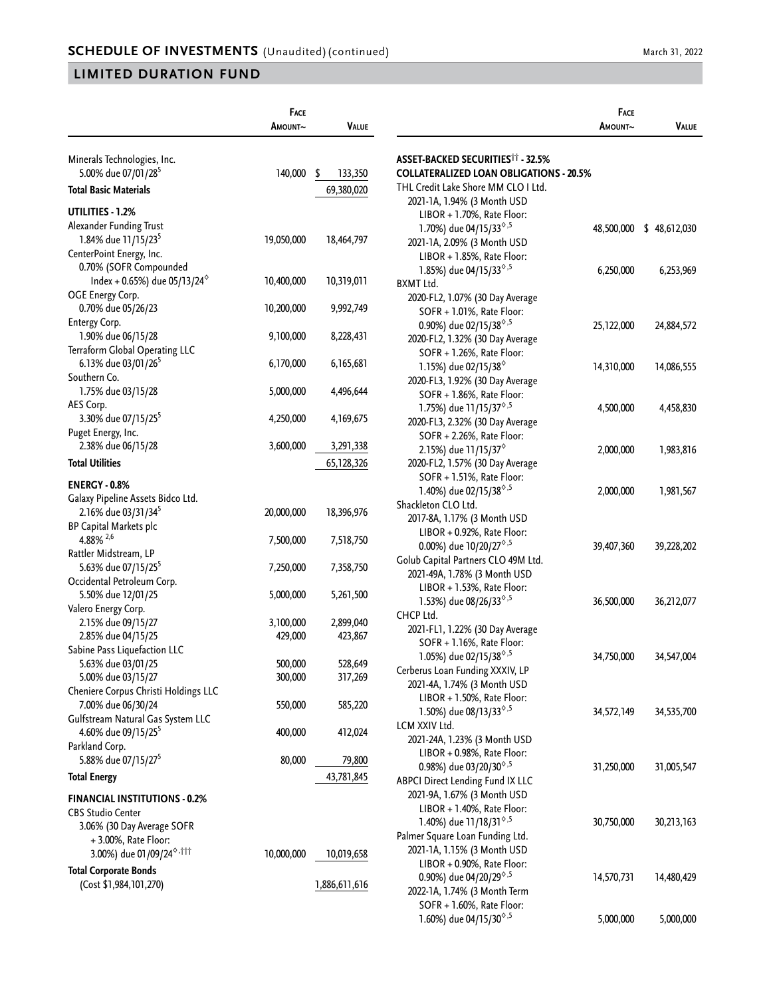|                                                                                        | FACE       |               |
|----------------------------------------------------------------------------------------|------------|---------------|
|                                                                                        | Amount~    | Value         |
|                                                                                        |            |               |
| Minerals Technologies, Inc.                                                            |            |               |
| 5.00% due 07/01/28 <sup>5</sup>                                                        | 140,000    | \$<br>133,350 |
| Total Basic Materials                                                                  |            | 69,380,020    |
|                                                                                        |            |               |
| UTILITIES - 1.2%                                                                       |            |               |
| Alexander Funding Trust                                                                |            |               |
| 1.84% due 11/15/23 <sup>5</sup>                                                        | 19,050,000 | 18,464,797    |
| CenterPoint Energy, Inc.                                                               |            |               |
| 0.70% (SOFR Compounded<br>Index + 0.65%) due 05/13/24 <sup><math>\diamond</math></sup> | 10,400,000 | 10,319,011    |
| OGE Energy Corp.                                                                       |            |               |
| 0.70% due 05/26/23                                                                     | 10,200,000 | 9,992,749     |
| Entergy Corp.                                                                          |            |               |
| 1.90% due 06/15/28                                                                     | 9,100,000  | 8,228,431     |
| Terraform Global Operating LLC                                                         |            |               |
| 6.13% due 03/01/26 <sup>5</sup>                                                        | 6,170,000  | 6,165,681     |
| Southern Co.                                                                           |            |               |
| 1.75% due 03/15/28                                                                     | 5,000,000  | 4,496,644     |
| AES Corp.                                                                              |            |               |
| 3.30% due 07/15/25 <sup>5</sup>                                                        | 4,250,000  | 4, 169, 675   |
| Puget Energy, Inc.                                                                     |            |               |
| 2.38% due 06/15/28                                                                     | 3,600,000  | 3,291,338     |
| <b>Total Utilities</b>                                                                 |            | 65,128,326    |
|                                                                                        |            |               |
| <b>ENERGY - 0.8%</b>                                                                   |            |               |
| Galaxy Pipeline Assets Bidco Ltd.                                                      |            |               |
| 2.16% due 03/31/34 <sup>5</sup>                                                        | 20,000,000 | 18,396,976    |
| <b>BP Capital Markets plc</b>                                                          |            |               |
| 4.88% $^{2,6}$                                                                         | 7,500,000  | 7,518,750     |
| Rattler Midstream, LP                                                                  |            |               |
| 5.63% due 07/15/25 <sup>5</sup><br>Occidental Petroleum Corp.                          | 7,250,000  | 7,358,750     |
| 5.50% due 12/01/25                                                                     | 5,000,000  | 5,261,500     |
| Valero Energy Corp.                                                                    |            |               |
| 2.15% due 09/15/27                                                                     | 3,100,000  | 2,899,040     |
| 2.85% due 04/15/25                                                                     | 429,000    | 423,867       |
| Sabine Pass Liquefaction LLC                                                           |            |               |
| 5.63% due 03/01/25                                                                     | 500,000    | 528,649       |
| 5.00% due 03/15/27                                                                     | 300,000    | 317,269       |
| Cheniere Corpus Christi Holdings LLC                                                   |            |               |
| 7.00% due 06/30/24                                                                     | 550,000    | 585,220       |
| Gulfstream Natural Gas System LLC                                                      |            |               |
| 4.60% due 09/15/25 <sup>5</sup>                                                        | 400,000    | 412,024       |
| Parkland Corp.                                                                         |            |               |
| 5.88% due 07/15/27 <sup>5</sup>                                                        | 80,000     | 79,800        |
| <b>Total Energy</b>                                                                    |            | 43,781,845    |
|                                                                                        |            |               |
| <b>FINANCIAL INSTITUTIONS - 0.2%</b>                                                   |            |               |
| <b>CBS Studio Center</b>                                                               |            |               |
| 3.06% (30 Day Average SOFR                                                             |            |               |
| +3.00%, Rate Floor:                                                                    |            |               |
| 3.00%) due 01/09/24 <sup>6,†††</sup>                                                   | 10,000,000 | 10,019,658    |
| <b>Total Corporate Bonds</b>                                                           |            |               |
| (Cost \$1,984,101,270)                                                                 |            | 1,886,611,616 |
|                                                                                        |            |               |

|                                                        | Face       |                          |
|--------------------------------------------------------|------------|--------------------------|
|                                                        | Amount~    | VALUE                    |
|                                                        |            |                          |
| <b>ASSET-BACKED SECURITIES<sup>11</sup> - 32.5%</b>    |            |                          |
| <b>COLLATERALIZED LOAN OBLIGATIONS - 20.5%</b>         |            |                          |
| THL Credit Lake Shore MM CLO I Ltd.                    |            |                          |
| 2021-1A, 1.94% (3 Month USD                            |            |                          |
| LIBOR + 1.70%, Rate Floor:                             |            |                          |
| 1.70%) due 04/15/33 <sup>6,5</sup>                     |            | 48,500,000 \$ 48,612,030 |
| 2021-1A, 2.09% (3 Month USD                            |            |                          |
| LIBOR + 1.85%, Rate Floor:                             |            |                          |
| 1.85%) due 04/15/33 <sup>6,5</sup>                     | 6,250,000  | 6,253,969                |
| <b>BXMT Ltd.</b>                                       |            |                          |
| 2020-FL2, 1.07% (30 Day Average                        |            |                          |
| SOFR + 1.01%, Rate Floor:                              |            |                          |
| 0.90%) due 02/15/38 <sup>6,5</sup>                     | 25,122,000 | 24,884,572               |
| 2020-FL2, 1.32% (30 Day Average                        |            |                          |
| SOFR + 1.26%, Rate Floor:                              |            |                          |
| 1.15%) due 02/15/38 <sup>%</sup>                       | 14,310,000 | 14,086,555               |
| 2020-FL3, 1.92% (30 Day Average                        |            |                          |
| SOFR + 1.86%, Rate Floor:                              |            |                          |
| 1.75%) due 11/15/37 <sup>6,5</sup>                     | 4,500,000  | 4,458,830                |
| 2020-FL3, 2.32% (30 Day Average                        |            |                          |
| SOFR + 2.26%, Rate Floor:                              |            |                          |
| 2.15%) due 11/15/37 <sup>6</sup>                       | 2,000,000  | 1,983,816                |
| 2020-FL2, 1.57% (30 Day Average                        |            |                          |
| SOFR + 1.51%, Rate Floor:                              |            |                          |
| 1.40%) due 02/15/38 <sup><math>\diamond</math>,5</sup> | 2,000,000  | 1,981,567                |
| Shackleton CLO Ltd.                                    |            |                          |
| 2017-8A, 1.17% (3 Month USD                            |            |                          |
| LIBOR + 0.92%, Rate Floor:                             |            |                          |
| 0.00%) due 10/20/27 <sup>6,5</sup>                     | 39,407,360 | 39,228,202               |
| Golub Capital Partners CLO 49M Ltd.                    |            |                          |
| 2021-49A, 1.78% (3 Month USD                           |            |                          |
| LIBOR + 1.53%, Rate Floor:                             |            |                          |
| 1.53%) due 08/26/33 <sup>6,5</sup>                     | 36,500,000 | 36,212,077               |
| CHCP Ltd.                                              |            |                          |
| 2021-FL1, 1.22% (30 Day Average                        |            |                          |
| SOFR + 1.16%, Rate Floor:                              |            |                          |
| 1.05%) due 02/15/38 <sup>6,5</sup>                     | 34,750,000 | 34,547,004               |
| Cerberus Loan Funding XXXIV, LP                        |            |                          |
| 2021-4A, 1.74% (3 Month USD                            |            |                          |
| LIBOR + 1.50%, Rate Floor:                             |            |                          |
| 1.50%) due 08/13/33 <sup>6,5</sup>                     | 34,572,149 | 34,535,700               |
| LCM XXIV Ltd.                                          |            |                          |
| 2021-24A, 1.23% (3 Month USD                           |            |                          |
| LIBOR + 0.98%, Rate Floor:                             |            |                          |
| 0.98%) due 03/20/30 <sup>6,5</sup>                     | 31,250,000 | 31,005,547               |
| <b>ABPCI Direct Lending Fund IX LLC</b>                |            |                          |
| 2021-9A, 1.67% (3 Month USD                            |            |                          |
| LIBOR + 1.40%, Rate Floor:                             |            |                          |
| 1.40%) due 11/18/31 <sup>6,5</sup>                     | 30,750,000 | 30,213,163               |
| Palmer Square Loan Funding Ltd.                        |            |                          |
| 2021-1A, 1.15% (3 Month USD                            |            |                          |
| LIBOR + 0.90%, Rate Floor:                             |            |                          |
| 0.90%) due 04/20/29 <sup>6,5</sup>                     | 14,570,731 | 14,480,429               |
| 2022-1A, 1.74% (3 Month Term                           |            |                          |
| SOFR + 1.60%, Rate Floor:                              |            |                          |
| 1.60%) due 04/15/30 <sup>6,5</sup>                     | 5,000,000  | 5,000,000                |
|                                                        |            |                          |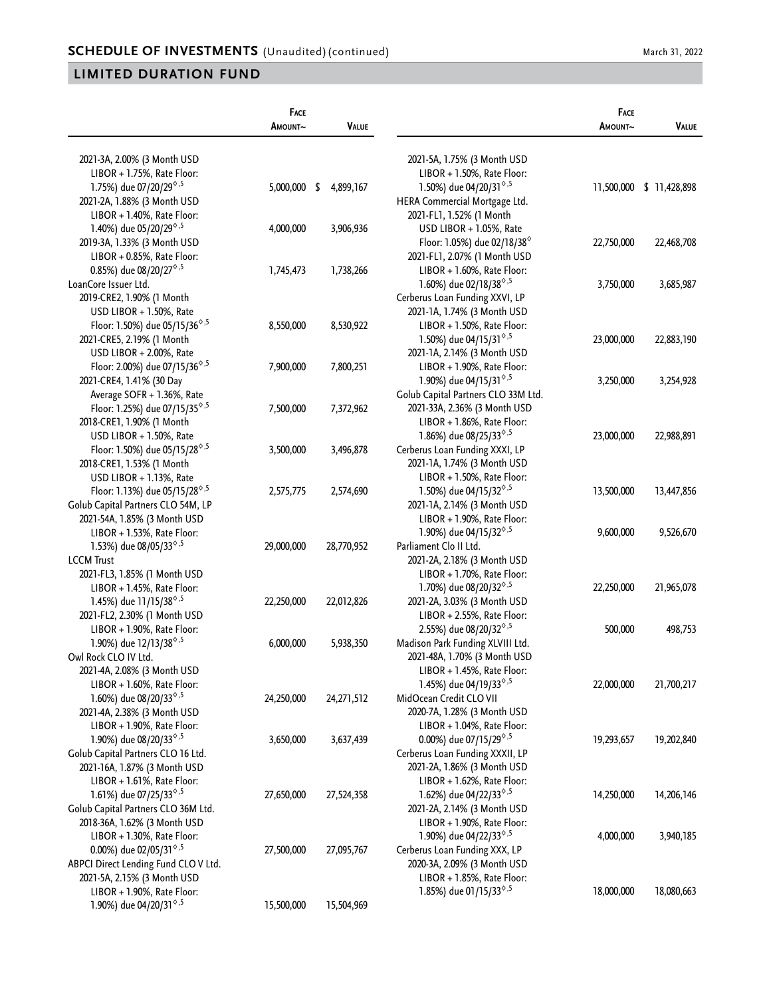|                                                               | FACE<br>AMOUNT~ | VALUE      |                                                        | FACE<br>AMOUNT~ | <b>VALUE</b>             |
|---------------------------------------------------------------|-----------------|------------|--------------------------------------------------------|-----------------|--------------------------|
|                                                               |                 |            |                                                        |                 |                          |
| 2021-3A, 2.00% (3 Month USD                                   |                 |            | 2021-5A, 1.75% (3 Month USD                            |                 |                          |
| LIBOR + 1.75%, Rate Floor:                                    |                 |            | LIBOR + 1.50%, Rate Floor:                             |                 |                          |
| 1.75%) due 07/20/29 <sup>6,5</sup>                            | 5,000,000 \$    | 4,899,167  | 1.50%) due 04/20/31 <sup>6,5</sup>                     |                 | 11,500,000 \$ 11,428,898 |
| 2021-2A, 1.88% (3 Month USD                                   |                 |            | HERA Commercial Mortgage Ltd.                          |                 |                          |
| LIBOR + 1.40%, Rate Floor:                                    |                 |            | 2021-FL1, 1.52% (1 Month                               |                 |                          |
| 1.40%) due 05/20/29 <sup>6,5</sup>                            | 4,000,000       | 3,906,936  | USD LIBOR + 1.05%, Rate                                |                 |                          |
| 2019-3A, 1.33% (3 Month USD                                   |                 |            | Floor: 1.05%) due 02/18/38 $^{\circ}$                  | 22,750,000      | 22,468,708               |
| LIBOR + 0.85%, Rate Floor:                                    |                 |            | 2021-FL1, 2.07% (1 Month USD                           |                 |                          |
| 0.85%) due 08/20/27 <sup>6,5</sup>                            | 1,745,473       | 1,738,266  | LIBOR + 1.60%, Rate Floor:                             |                 |                          |
| LoanCore Issuer Ltd.                                          |                 |            | 1.60%) due 02/18/38 <sup>6,5</sup>                     | 3,750,000       | 3,685,987                |
| 2019-CRE2, 1.90% (1 Month                                     |                 |            | Cerberus Loan Funding XXVI, LP                         |                 |                          |
| USD LIBOR + 1.50%, Rate                                       |                 |            | 2021-1A, 1.74% (3 Month USD                            |                 |                          |
| Floor: 1.50%) due 05/15/36 <sup><math>\diamond</math>,5</sup> | 8,550,000       | 8,530,922  | LIBOR + 1.50%, Rate Floor:                             |                 |                          |
| 2021-CRE5, 2.19% (1 Month                                     |                 |            | 1.50%) due 04/15/31 <sup><math>\diamond</math>,5</sup> | 23,000,000      | 22,883,190               |
| USD LIBOR $+ 2.00\%$ , Rate                                   |                 |            | 2021-1A, 2.14% (3 Month USD                            |                 |                          |
| Floor: 2.00%) due 07/15/36 <sup><math>\diamond</math>,5</sup> | 7,900,000       | 7,800,251  | LIBOR + 1.90%, Rate Floor:                             |                 |                          |
| 2021-CRE4, 1.41% (30 Day                                      |                 |            | 1.90%) due 04/15/31 <sup><math>\diamond</math>,5</sup> | 3,250,000       | 3,254,928                |
| Average SOFR + 1.36%, Rate                                    |                 |            | Golub Capital Partners CLO 33M Ltd.                    |                 |                          |
| Floor: 1.25%) due 07/15/35 <sup><math>\diamond</math>,5</sup> | 7,500,000       | 7,372,962  | 2021-33A, 2.36% (3 Month USD                           |                 |                          |
| 2018-CRE1, 1.90% (1 Month                                     |                 |            | LIBOR + 1.86%, Rate Floor:                             |                 |                          |
| USD LIBOR + 1.50%, Rate                                       |                 |            | 1.86%) due 08/25/33 <sup>6</sup> , <sup>5</sup>        | 23,000,000      | 22,988,891               |
| Floor: 1.50%) due 05/15/28 <sup><math>\diamond</math>,5</sup> | 3,500,000       | 3,496,878  | Cerberus Loan Funding XXXI, LP                         |                 |                          |
| 2018-CRE1, 1.53% (1 Month                                     |                 |            | 2021-1A, 1.74% (3 Month USD                            |                 |                          |
| USD LIBOR + 1.13%, Rate                                       |                 |            | LIBOR + 1.50%, Rate Floor:                             |                 |                          |
| Floor: 1.13%) due 05/15/28 <sup><math>\diamond</math>,5</sup> | 2,575,775       | 2,574,690  | 1.50%) due 04/15/32 <sup>6,5</sup>                     | 13,500,000      | 13,447,856               |
| Golub Capital Partners CLO 54M, LP                            |                 |            | 2021-1A, 2.14% (3 Month USD                            |                 |                          |
| 2021-54A, 1.85% (3 Month USD                                  |                 |            | LIBOR + 1.90%, Rate Floor:                             |                 |                          |
| LIBOR + 1.53%, Rate Floor:                                    |                 |            | 1.90%) due 04/15/32 <sup><math>\diamond</math>,5</sup> | 9,600,000       | 9,526,670                |
| 1.53%) due 08/05/33 <sup>6,5</sup>                            | 29,000,000      | 28,770,952 | Parliament Clo II Ltd.                                 |                 |                          |
| <b>LCCM Trust</b>                                             |                 |            | 2021-2A, 2.18% (3 Month USD                            |                 |                          |
| 2021-FL3, 1.85% (1 Month USD                                  |                 |            | LIBOR + 1.70%, Rate Floor:                             |                 |                          |
| LIBOR + 1.45%, Rate Floor:                                    |                 |            | 1.70%) due 08/20/32 <sup>6,5</sup>                     | 22,250,000      | 21,965,078               |
| 1.45%) due 11/15/38 <sup><math>\diamond</math>,5</sup>        | 22,250,000      | 22,012,826 | 2021-2A, 3.03% (3 Month USD                            |                 |                          |
| 2021-FL2, 2.30% (1 Month USD                                  |                 |            | LIBOR + 2.55%, Rate Floor:                             |                 |                          |
| LIBOR + 1.90%, Rate Floor:                                    |                 |            | 2.55%) due 08/20/32 <sup>6,5</sup>                     | 500,000         | 498,753                  |
| 1.90%) due 12/13/38 <sup><math>\diamond</math>,5</sup>        | 6,000,000       | 5,938,350  | Madison Park Funding XLVIII Ltd.                       |                 |                          |
| Owl Rock CLO IV Ltd.                                          |                 |            | 2021-48A, 1.70% (3 Month USD                           |                 |                          |
| 2021-4A, 2.08% (3 Month USD                                   |                 |            | LIBOR + 1.45%, Rate Floor:                             |                 |                          |
| LIBOR + 1.60%, Rate Floor:                                    |                 |            | 1.45%) due 04/19/33 <sup>6,5</sup>                     | 22,000,000      | 21,700,217               |
| 1.60%) due 08/20/33 <sup>6,5</sup>                            | 24,250,000      | 24,271,512 | MidOcean Credit CLO VII                                |                 |                          |
| 2021-4A, 2.38% (3 Month USD                                   |                 |            | 2020-7A, 1.28% (3 Month USD                            |                 |                          |
| $LIBOR + 1.90\%$ , Rate Floor:                                |                 |            | LIBOR + 1.04%, Rate Floor:                             |                 |                          |
| 1.90%) due 08/20/33 <sup>6,5</sup>                            | 3,650,000       | 3,637,439  | 0.00%) due 07/15/29 <sup>6,5</sup>                     | 19,293,657      | 19,202,840               |
| Golub Capital Partners CLO 16 Ltd.                            |                 |            | Cerberus Loan Funding XXXII, LP                        |                 |                          |
| 2021-16A, 1.87% (3 Month USD                                  |                 |            | 2021-2A, 1.86% (3 Month USD                            |                 |                          |
| LIBOR + 1.61%, Rate Floor:                                    |                 |            | LIBOR + 1.62%, Rate Floor:                             |                 |                          |
| 1.61%) due 07/25/33 <sup>6,5</sup>                            | 27,650,000      | 27,524,358 | 1.62%) due 04/22/33 <sup>6,5</sup>                     | 14,250,000      | 14,206,146               |
| Golub Capital Partners CLO 36M Ltd.                           |                 |            | 2021-2A, 2.14% (3 Month USD                            |                 |                          |
| 2018-36A, 1.62% (3 Month USD                                  |                 |            | LIBOR + 1.90%, Rate Floor:                             |                 |                          |
| LIBOR + 1.30%, Rate Floor:                                    |                 |            | 1.90%) due 04/22/33 <sup>6,5</sup>                     |                 |                          |
| 0.00%) due 02/05/31 <sup><math>\diamond</math>,5</sup>        |                 | 27,095,767 | Cerberus Loan Funding XXX, LP                          | 4,000,000       | 3,940,185                |
| ABPCI Direct Lending Fund CLO V Ltd.                          | 27,500,000      |            | 2020-3A, 2.09% (3 Month USD                            |                 |                          |
| 2021-5A, 2.15% (3 Month USD                                   |                 |            | LIBOR + 1.85%, Rate Floor:                             |                 |                          |
| LIBOR + 1.90%, Rate Floor:                                    |                 |            | 1.85%) due 01/15/33 <sup>6,5</sup>                     | 18,000,000      | 18,080,663               |
| 1.90%) due 04/20/31 <sup>6,5</sup>                            | 15,500,000      | 15,504,969 |                                                        |                 |                          |
|                                                               |                 |            |                                                        |                 |                          |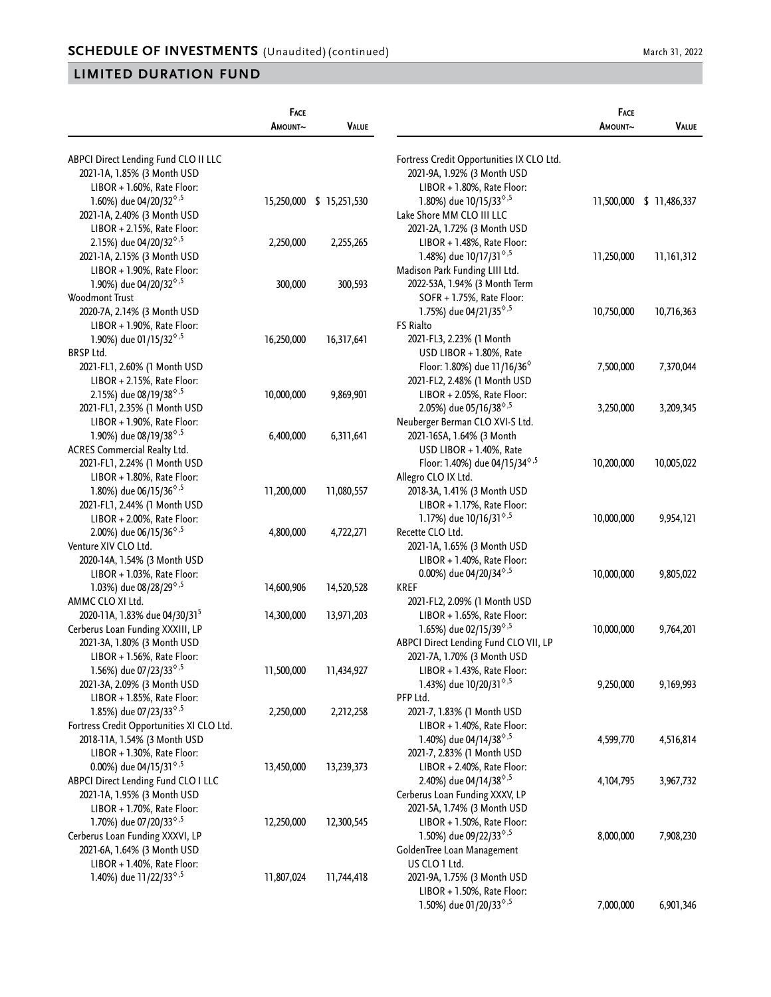|                                                        | FACE<br>AMOUNT~ | <b>VALUE</b>             |                                                           | FACE<br>AMOUNT~ | <b>VALUE</b>             |
|--------------------------------------------------------|-----------------|--------------------------|-----------------------------------------------------------|-----------------|--------------------------|
|                                                        |                 |                          |                                                           |                 |                          |
| ABPCI Direct Lending Fund CLO II LLC                   |                 |                          | Fortress Credit Opportunities IX CLO Ltd.                 |                 |                          |
| 2021-1A, 1.85% (3 Month USD                            |                 |                          | 2021-9A, 1.92% (3 Month USD                               |                 |                          |
| LIBOR + 1.60%, Rate Floor:                             |                 |                          | LIBOR + 1.80%, Rate Floor:                                |                 |                          |
| 1.60%) due 04/20/32 <sup>6,5</sup>                     |                 | 15,250,000 \$ 15,251,530 | 1.80%) due 10/15/33 <sup>6,5</sup>                        |                 | 11,500,000 \$ 11,486,337 |
| 2021-1A, 2.40% (3 Month USD                            |                 |                          | Lake Shore MM CLO III LLC                                 |                 |                          |
| LIBOR + 2.15%, Rate Floor:                             |                 |                          | 2021-2A, 1.72% (3 Month USD                               |                 |                          |
| 2.15%) due 04/20/32 <sup>6,5</sup>                     | 2,250,000       | 2,255,265                | LIBOR + 1.48%, Rate Floor:                                |                 |                          |
| 2021-1A, 2.15% (3 Month USD                            |                 |                          | 1.48%) due 10/17/31 <sup>6,5</sup>                        | 11,250,000      | 11,161,312               |
| LIBOR + 1.90%, Rate Floor:                             |                 |                          | Madison Park Funding LIII Ltd.                            |                 |                          |
| 1.90%) due 04/20/32 <sup>6,5</sup>                     | 300,000         | 300,593                  | 2022-53A, 1.94% (3 Month Term                             |                 |                          |
| Woodmont Trust                                         |                 |                          | SOFR + 1.75%, Rate Floor:                                 |                 |                          |
| 2020-7A, 2.14% (3 Month USD                            |                 |                          | 1.75%) due 04/21/35 <sup><math>\diamond</math>,5</sup>    | 10,750,000      | 10,716,363               |
| LIBOR + 1.90%, Rate Floor:                             |                 |                          | <b>FS Rialto</b>                                          |                 |                          |
| 1.90%) due 01/15/32 <sup>6,5</sup>                     | 16,250,000      | 16,317,641               | 2021-FL3, 2.23% (1 Month                                  |                 |                          |
| <b>BRSP Ltd.</b>                                       |                 |                          | USD LIBOR + 1.80%, Rate                                   |                 |                          |
| 2021-FL1, 2.60% (1 Month USD                           |                 |                          | Floor: 1.80%) due 11/16/36 $^{\circ}$                     | 7,500,000       | 7,370,044                |
| $LIBOR + 2.15\%$ , Rate Floor:                         |                 |                          | 2021-FL2, 2.48% (1 Month USD                              |                 |                          |
| 2.15%) due 08/19/38 <sup>6,5</sup>                     | 10,000,000      | 9,869,901                | LIBOR + 2.05%, Rate Floor:                                |                 |                          |
| 2021-FL1, 2.35% (1 Month USD                           |                 |                          | 2.05%) due 05/16/38 <sup><math>\diamond</math>,5</sup>    | 3,250,000       | 3,209,345                |
| LIBOR + 1.90%, Rate Floor:                             |                 |                          | Neuberger Berman CLO XVI-S Ltd.                           |                 |                          |
| 1.90%) due 08/19/38 <sup><math>\diamond</math>,5</sup> | 6,400,000       | 6,311,641                | 2021-16SA, 1.64% (3 Month                                 |                 |                          |
| ACRES Commercial Realty Ltd.                           |                 |                          | USD LIBOR + 1.40%, Rate                                   |                 |                          |
| 2021-FL1, 2.24% (1 Month USD                           |                 |                          | Floor: 1.40%) due 04/15/34 <sup>6,5</sup>                 | 10,200,000      | 10,005,022               |
| LIBOR + 1.80%, Rate Floor:                             |                 |                          | Allegro CLO IX Ltd.                                       |                 |                          |
| 1.80%) due 06/15/36 <sup><math>\diamond</math>,5</sup> | 11,200,000      | 11,080,557               | 2018-3A, 1.41% (3 Month USD                               |                 |                          |
| 2021-FL1, 2.44% (1 Month USD                           |                 |                          | LIBOR + 1.17%, Rate Floor:                                |                 |                          |
| LIBOR + 2.00%, Rate Floor:                             |                 |                          | 1.17%) due 10/16/31 <sup><math>\diamond</math>,5</sup>    | 10,000,000      | 9,954,121                |
| 2.00%) due 06/15/36 <sup><math>\diamond</math>,5</sup> | 4,800,000       | 4,722,271                | Recette CLO Ltd.                                          |                 |                          |
| Venture XIV CLO Ltd.                                   |                 |                          | 2021-1A, 1.65% (3 Month USD                               |                 |                          |
| 2020-14A, 1.54% (3 Month USD                           |                 |                          | LIBOR + 1.40%, Rate Floor:                                |                 |                          |
| LIBOR + 1.03%, Rate Floor:                             |                 |                          | 0.00%) due 04/20/34 <sup><math>\diamond</math>,5</sup>    | 10,000,000      | 9,805,022                |
| 1.03%) due 08/28/29 <sup>6,5</sup>                     | 14,600,906      | 14,520,528               | <b>KREF</b>                                               |                 |                          |
| AMMC CLO XI Ltd.                                       |                 |                          | 2021-FL2, 2.09% (1 Month USD                              |                 |                          |
| 2020-11A, 1.83% due 04/30/31 <sup>5</sup>              | 14,300,000      | 13,971,203               | LIBOR + 1.65%, Rate Floor:                                |                 |                          |
| Cerberus Loan Funding XXXIII, LP                       |                 |                          | 1.65%) due 02/15/39 <sup><math>\diamond</math>,5</sup>    | 10,000,000      | 9,764,201                |
| 2021-3A, 1.80% (3 Month USD                            |                 |                          | ABPCI Direct Lending Fund CLO VII, LP                     |                 |                          |
| LIBOR + 1.56%, Rate Floor:                             |                 |                          |                                                           |                 |                          |
| 1.56%) due 07/23/33 <sup>6,5</sup>                     | 11,500,000      |                          | 2021-7A, 1.70% (3 Month USD<br>LIBOR + 1.43%, Rate Floor: |                 |                          |
|                                                        |                 | 11,434,927               |                                                           |                 |                          |
| 2021-3A, 2.09% (3 Month USD                            |                 |                          | 1.43%) due $10/20/31^{\diamond,5}$                        | 9,250,000       | 9,169,993                |
| LIBOR + 1.85%, Rate Floor:                             |                 |                          | PFP Ltd.                                                  |                 |                          |
| 1.85%) due 07/23/33 <sup>6,5</sup>                     | 2,250,000       | 2,212,258                | 2021-7, 1.83% (1 Month USD                                |                 |                          |
| Fortress Credit Opportunities XI CLO Ltd.              |                 |                          | LIBOR + 1.40%, Rate Floor:                                |                 |                          |
| 2018-11A, 1.54% (3 Month USD                           |                 |                          | 1.40%) due 04/14/38 <sup><math>\diamond</math>,5</sup>    | 4,599,770       | 4,516,814                |
| $LIBOR + 1.30\%$ , Rate Floor:                         |                 |                          | 2021-7, 2.83% (1 Month USD                                |                 |                          |
| 0.00%) due 04/15/31 <sup><math>\diamond</math>,5</sup> | 13,450,000      | 13,239,373               | LIBOR + 2.40%, Rate Floor:                                |                 |                          |
| ABPCI Direct Lending Fund CLO I LLC                    |                 |                          | 2.40%) due 04/14/38 <sup>6,5</sup>                        | 4, 104, 795     | 3,967,732                |
| 2021-1A, 1.95% (3 Month USD                            |                 |                          | Cerberus Loan Funding XXXV, LP                            |                 |                          |
| LIBOR + 1.70%, Rate Floor:                             |                 |                          | 2021-5A, 1.74% (3 Month USD                               |                 |                          |
| 1.70%) due 07/20/33 <sup>6,5</sup>                     | 12,250,000      | 12,300,545               | LIBOR + 1.50%, Rate Floor:                                |                 |                          |
| Cerberus Loan Funding XXXVI, LP                        |                 |                          | 1.50%) due 09/22/33 <sup>6,5</sup>                        | 8,000,000       | 7,908,230                |
| 2021-6A, 1.64% (3 Month USD                            |                 |                          | GoldenTree Loan Management                                |                 |                          |
| LIBOR + 1.40%, Rate Floor:                             |                 |                          | US CLO 1 Ltd.                                             |                 |                          |
| 1.40%) due 11/22/33 <sup>6,5</sup>                     | 11,807,024      | 11,744,418               | 2021-9A, 1.75% (3 Month USD                               |                 |                          |
|                                                        |                 |                          | LIBOR + 1.50%, Rate Floor:                                |                 |                          |
|                                                        |                 |                          | 1.50%) due 01/20/33 <sup><math>\diamond</math>,5</sup>    | 7,000,000       | 6,901,346                |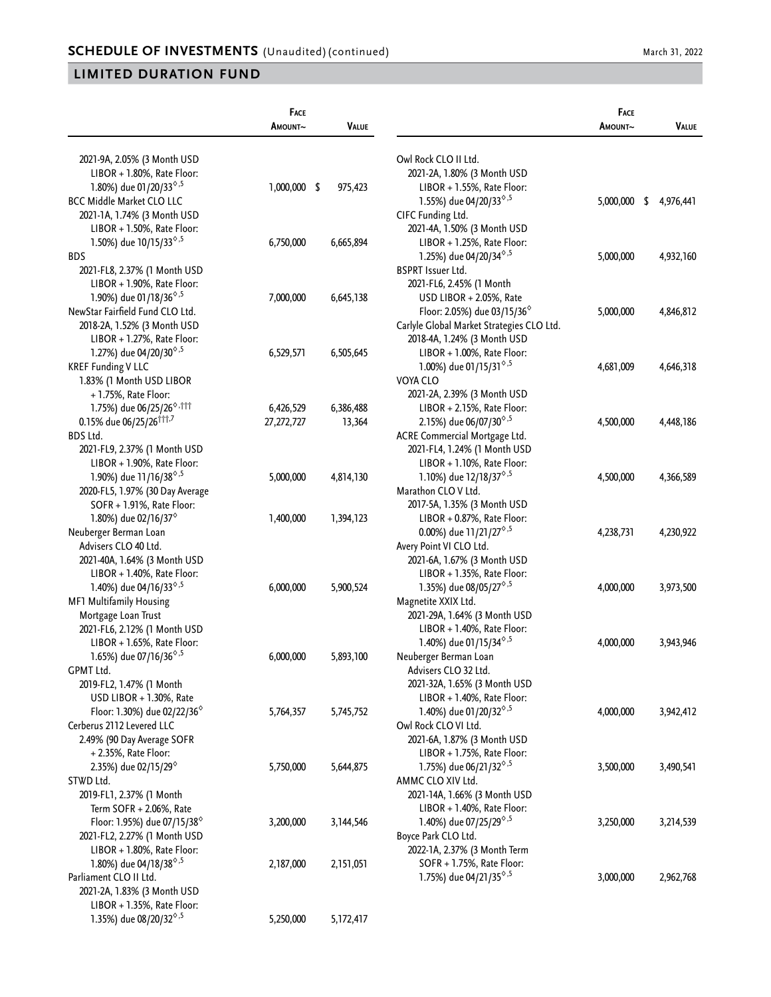|                                                             | FACE           |              |                                                        | FACE      |                 |
|-------------------------------------------------------------|----------------|--------------|--------------------------------------------------------|-----------|-----------------|
|                                                             | AMOUNT~        | <b>VALUE</b> |                                                        | AMOUNT~   | <b>VALUE</b>    |
| 2021-9A, 2.05% (3 Month USD                                 |                |              | Owl Rock CLO II Ltd.                                   |           |                 |
| LIBOR + 1.80%, Rate Floor:                                  |                |              | 2021-2A, 1.80% (3 Month USD                            |           |                 |
| 1.80%) due 01/20/33 <sup>6,5</sup>                          | $1,000,000$ \$ | 975,423      | LIBOR + 1.55%, Rate Floor:                             |           |                 |
| <b>BCC Middle Market CLO LLC</b>                            |                |              | 1.55%) due 04/20/33 <sup>6,5</sup>                     | 5,000,000 | \$<br>4,976,441 |
| 2021-1A, 1.74% (3 Month USD                                 |                |              | CIFC Funding Ltd.                                      |           |                 |
| LIBOR + 1.50%, Rate Floor:                                  |                |              | 2021-4A, 1.50% (3 Month USD                            |           |                 |
| 1.50%) due 10/15/33 <sup>6,5</sup>                          | 6,750,000      | 6,665,894    | LIBOR + 1.25%, Rate Floor:                             |           |                 |
| <b>BDS</b>                                                  |                |              | 1.25%) due 04/20/34 <sup>6,5</sup>                     | 5,000,000 | 4,932,160       |
| 2021-FL8, 2.37% (1 Month USD                                |                |              | <b>BSPRT Issuer Ltd.</b>                               |           |                 |
| LIBOR + 1.90%, Rate Floor:                                  |                |              | 2021-FL6, 2.45% (1 Month                               |           |                 |
| 1.90%) due 01/18/36 <sup><math>\diamond</math>,5</sup>      | 7,000,000      | 6,645,138    | USD LIBOR + 2.05%, Rate                                |           |                 |
| NewStar Fairfield Fund CLO Ltd.                             |                |              | Floor: 2.05%) due 03/15/36 <sup>%</sup>                | 5,000,000 | 4,846,812       |
| 2018-2A, 1.52% (3 Month USD                                 |                |              | Carlyle Global Market Strategies CLO Ltd.              |           |                 |
| LIBOR + 1.27%, Rate Floor:                                  |                |              | 2018-4A, 1.24% (3 Month USD                            |           |                 |
| 1.27%) due 04/20/30 <sup>6,5</sup>                          | 6,529,571      | 6,505,645    | LIBOR + 1.00%, Rate Floor:                             |           |                 |
| <b>KREF Funding V LLC</b>                                   |                |              | 1.00%) due 01/15/31 <sup><math>\diamond</math>,5</sup> | 4,681,009 | 4,646,318       |
| 1.83% (1 Month USD LIBOR                                    |                |              | VOYA CLO                                               |           |                 |
| + 1.75%, Rate Floor:                                        |                |              | 2021-2A, 2.39% (3 Month USD                            |           |                 |
| 1.75%) due 06/25/26 <sup>6,111</sup>                        | 6,426,529      | 6,386,488    | LIBOR + 2.15%, Rate Floor:                             |           |                 |
| 0.15% due 06/25/26 <sup>†††,7</sup>                         | 27,272,727     | 13,364       | 2.15%) due 06/07/30 <sup>6,5</sup>                     | 4,500,000 | 4,448,186       |
| BDS Ltd.                                                    |                |              | ACRE Commercial Mortgage Ltd.                          |           |                 |
| 2021-FL9, 2.37% (1 Month USD                                |                |              | 2021-FL4, 1.24% (1 Month USD                           |           |                 |
| LIBOR + 1.90%, Rate Floor:                                  |                |              | LIBOR + 1.10%, Rate Floor:                             |           |                 |
| 1.90%) due 11/16/38 <sup><math>\diamond</math>,5</sup>      | 5,000,000      | 4,814,130    | 1.10%) due 12/18/37 <sup><math>\diamond</math>,5</sup> | 4,500,000 | 4,366,589       |
| 2020-FL5, 1.97% (30 Day Average                             |                |              | Marathon CLO V Ltd.                                    |           |                 |
| SOFR + 1.91%, Rate Floor:                                   |                |              | 2017-5A, 1.35% (3 Month USD                            |           |                 |
| 1.80%) due 02/16/37 <sup><math>\diamond</math></sup>        | 1,400,000      | 1,394,123    | $LIBOR + 0.87\%$ , Rate Floor:                         |           |                 |
| Neuberger Berman Loan                                       |                |              | 0.00%) due 11/21/27 <sup><math>\diamond</math>,5</sup> | 4,238,731 | 4,230,922       |
| Advisers CLO 40 Ltd.                                        |                |              | Avery Point VI CLO Ltd.                                |           |                 |
| 2021-40A, 1.64% (3 Month USD                                |                |              | 2021-6A, 1.67% (3 Month USD                            |           |                 |
| LIBOR + 1.40%, Rate Floor:                                  |                |              | LIBOR + 1.35%, Rate Floor:                             |           |                 |
| 1.40%) due 04/16/33 <sup><math>\diamond</math>,5</sup>      | 6,000,000      | 5,900,524    | 1.35%) due 08/05/27 <sup>6,5</sup>                     | 4,000,000 | 3,973,500       |
| MF1 Multifamily Housing                                     |                |              | Magnetite XXIX Ltd.                                    |           |                 |
| Mortgage Loan Trust                                         |                |              | 2021-29A, 1.64% (3 Month USD                           |           |                 |
| 2021-FL6, 2.12% (1 Month USD                                |                |              | LIBOR + 1.40%, Rate Floor:                             |           |                 |
| LIBOR + 1.65%, Rate Floor:                                  |                |              | 1.40%) due 01/15/34 <sup>6,5</sup>                     | 4,000,000 | 3,943,946       |
| 1.65%) due 07/16/36 <sup><math>\diamond</math>,5</sup>      | 6,000,000      | 5,893,100    | Neuberger Berman Loan                                  |           |                 |
| GPMT Ltd.                                                   |                |              | Advisers CLO 32 Ltd.                                   |           |                 |
| 2019-FL2, 1.47% (1 Month                                    |                |              | 2021-32A, 1.65% (3 Month USD                           |           |                 |
| USD LIBOR + 1.30%, Rate                                     |                |              | LIBOR + 1.40%, Rate Floor:                             |           |                 |
| Floor: 1.30%) due 02/22/36 <sup><math>\diamond</math></sup> | 5,764,357      | 5,745,752    | 1.40%) due 01/20/32 <sup><math>\diamond</math>,5</sup> | 4,000,000 | 3,942,412       |
| Cerberus 2112 Levered LLC                                   |                |              | Owl Rock CLO VI Ltd.                                   |           |                 |
| 2.49% (90 Day Average SOFR                                  |                |              | 2021-6A, 1.87% (3 Month USD                            |           |                 |
| + 2.35%, Rate Floor:                                        |                |              | LIBOR + 1.75%, Rate Floor:                             |           |                 |
| 2.35%) due 02/15/29 <sup>°</sup>                            | 5,750,000      | 5,644,875    | 1.75%) due 06/21/32 <sup>6,5</sup>                     | 3,500,000 | 3,490,541       |
| STWD Ltd.                                                   |                |              | AMMC CLO XIV Ltd.                                      |           |                 |
| 2019-FL1, 2.37% (1 Month                                    |                |              | 2021-14A, 1.66% (3 Month USD                           |           |                 |
| Term $SOFR + 2.06\%$ , Rate                                 |                |              | LIBOR + 1.40%, Rate Floor:                             |           |                 |
| Floor: 1.95%) due 07/15/38 $^{\circ}$                       | 3,200,000      | 3,144,546    | 1.40%) due 07/25/29 <sup>6,5</sup>                     | 3,250,000 | 3,214,539       |
| 2021-FL2, 2.27% (1 Month USD                                |                |              | Boyce Park CLO Ltd.                                    |           |                 |
| LIBOR + 1.80%, Rate Floor:                                  |                |              | 2022-1A, 2.37% (3 Month Term                           |           |                 |
| 1.80%) due 04/18/38 <sup><math>\diamond</math>,5</sup>      | 2,187,000      | 2,151,051    | SOFR + 1.75%, Rate Floor:                              |           |                 |
| Parliament CLO II Ltd.                                      |                |              | 1.75%) due 04/21/35 <sup><math>\diamond</math>,5</sup> | 3,000,000 | 2,962,768       |
| 2021-2A, 1.83% (3 Month USD                                 |                |              |                                                        |           |                 |
| LIBOR + 1.35%, Rate Floor:                                  |                |              |                                                        |           |                 |
| 1.35%) due 08/20/32 <sup>6,5</sup>                          | 5,250,000      | 5,172,417    |                                                        |           |                 |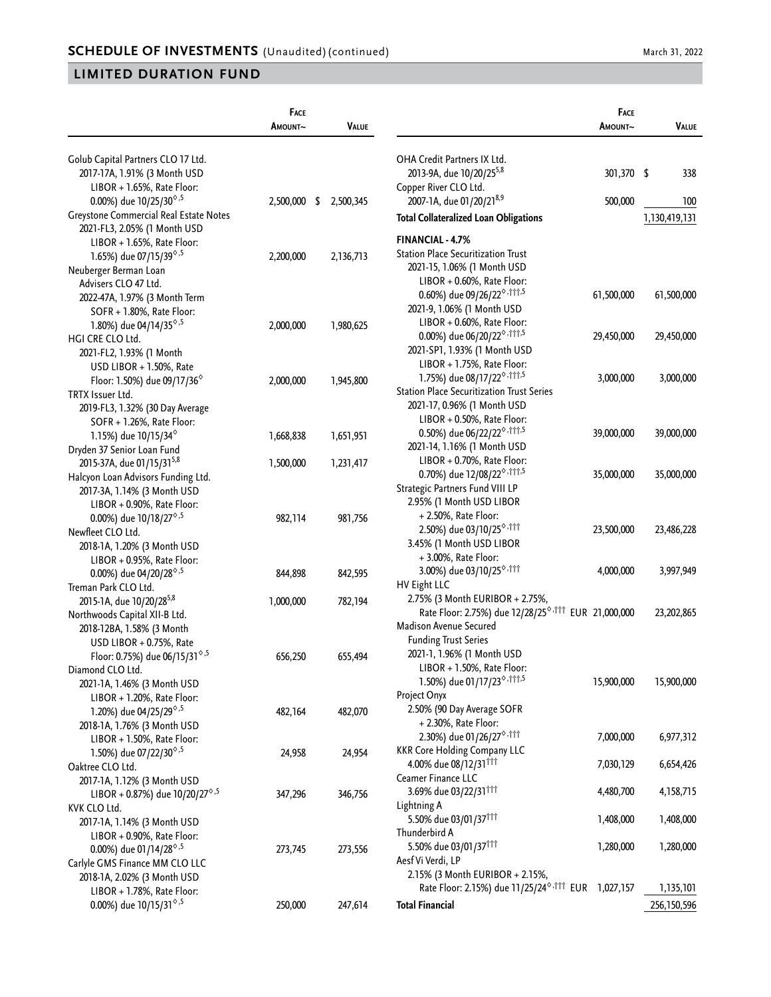| Golub Capital Partners CLO 17 Ltd.<br>OHA Credit Partners IX Ltd.<br>2013-9A, due 10/20/25 <sup>5,8</sup><br>301,370 \$<br>338<br>2017-17A, 1.91% (3 Month USD<br>$LIBOR + 1.65\%$ , Rate Floor:<br>Copper River CLO Ltd.<br>2007-1A, due 01/20/21 <sup>8,9</sup><br>0.00%) due $10/25/30^{\circ.5}$<br>500,000<br>2,500,000<br>\$<br>2,500,345<br>100<br>Greystone Commercial Real Estate Notes<br><b>Total Collateralized Loan Obligations</b><br>1,130,419,131<br>2021-FL3, 2.05% (1 Month USD<br><b>FINANCIAL - 4.7%</b><br>LIBOR + 1.65%, Rate Floor:<br><b>Station Place Securitization Trust</b><br>1.65%) due 07/15/39 <sup>6,5</sup><br>2,200,000<br>2,136,713<br>2021-15, 1.06% (1 Month USD<br>Neuberger Berman Loan<br>LIBOR + 0.60%, Rate Floor:<br>Advisers CLO 47 Ltd.<br>0.60%) due 09/26/22 <sup>6,†††,5</sup><br>61,500,000<br>61,500,000<br>2022-47A, 1.97% (3 Month Term<br>2021-9, 1.06% (1 Month USD<br>SOFR + 1.80%, Rate Floor:<br>LIBOR + 0.60%, Rate Floor:<br>1.80%) due 04/14/35 <sup><math>\diamond</math>,5</sup><br>1,980,625<br>2,000,000<br>0.00%) due 06/20/22 <sup>0,111,5</sup><br>29,450,000<br>29,450,000<br>HGI CRE CLO Ltd.<br>2021-SP1, 1.93% (1 Month USD<br>2021-FL2, 1.93% (1 Month<br>LIBOR + 1.75%, Rate Floor:<br>USD LIBOR + 1.50%, Rate<br>1.75%) due 08/17/22 <sup>6,111,5</sup><br>3,000,000<br>3,000,000<br>Floor: 1.50%) due 09/17/36 $^{\circ}$<br>2,000,000<br>1,945,800<br><b>Station Place Securitization Trust Series</b><br>TRTX Issuer Ltd.<br>2021-17, 0.96% (1 Month USD<br>2019-FL3, 1.32% (30 Day Average<br>LIBOR + 0.50%, Rate Floor:<br>SOFR + 1.26%, Rate Floor:<br>0.50%) due 06/22/22 <sup>6,†††,5</sup><br>39,000,000<br>39,000,000<br>1.15%) due $10/15/34^{\circ}$<br>1,668,838<br>1,651,951<br>2021-14, 1.16% (1 Month USD<br>Dryden 37 Senior Loan Fund<br>LIBOR + 0.70%, Rate Floor:<br>2015-37A, due 01/15/31 <sup>5,8</sup><br>1,500,000<br>1,231,417<br>0.70%) due 12/08/22 <sup>6</sup> , 111, 5<br>35,000,000<br>35,000,000<br>Halcyon Loan Advisors Funding Ltd.<br>Strategic Partners Fund VIII LP<br>2017-3A, 1.14% (3 Month USD<br>2.95% (1 Month USD LIBOR<br>LIBOR + 0.90%, Rate Floor:<br>+ 2.50%, Rate Floor:<br>0.00%) due $10/18/27^{\diamond,5}$<br>982,114<br>981,756<br>2.50%) due 03/10/25 <sup>6</sup> , 111<br>23,500,000<br>23,486,228<br>Newfleet CLO Ltd.<br>3.45% (1 Month USD LIBOR<br>2018-1A, 1.20% (3 Month USD<br>+3.00%, Rate Floor:<br>LIBOR + 0.95%, Rate Floor:<br>3.00%) due 03/10/25 <sup>°</sup> <sup>111</sup><br>4,000,000<br>3,997,949<br>0.00%) due 04/20/28 <sup><math>\diamond</math>,5</sup><br>842,595<br>844,898<br>HV Eight LLC<br>Treman Park CLO Ltd.<br>2.75% (3 Month EURIBOR + 2.75%,<br>2015-1A, due 10/20/285,8<br>782,194<br>1,000,000<br>Rate Floor: 2.75%) due 12/28/25 <sup>6, †††</sup> EUR 21,000,000<br>23,202,865<br>Northwoods Capital XII-B Ltd.<br>Madison Avenue Secured<br>2018-12BA, 1.58% (3 Month<br><b>Funding Trust Series</b><br>USD LIBOR + 0.75%, Rate<br>2021-1, 1.96% (1 Month USD<br>Floor: 0.75%) due 06/15/31 <sup><math>\diamond</math>,5</sup><br>656,250<br>655,494<br>LIBOR + 1.50%, Rate Floor:<br>Diamond CLO Ltd.<br>1.50%) due 01/17/23 <sup>°</sup> 111,5<br>15,900,000<br>2021-1A, 1.46% (3 Month USD<br>Project Onyx<br>LIBOR + 1.20%, Rate Floor:<br>2.50% (90 Day Average SOFR<br>1.20%) due 04/25/29 <sup>6,5</sup><br>482,070<br>482,164<br>+ 2.30%, Rate Floor:<br>2018-1A, 1.76% (3 Month USD<br>2.30%) due 01/26/27 <sup>°</sup> 111<br>7,000,000<br>LIBOR + 1.50%, Rate Floor:<br><b>KKR Core Holding Company LLC</b><br>1.50%) due 07/22/30 <sup><math>\diamond</math>,5</sup><br>24,954<br>24,958<br>4.00% due 08/12/31 <sup>111</sup><br>7,030,129<br>6,654,426<br>Oaktree CLO Ltd.<br>Ceamer Finance LLC<br>2017-1A, 1.12% (3 Month USD<br>3.69% due 03/22/31111<br>4,480,700<br>4,158,715<br>LIBOR + 0.87%) due $10/20/27^{\circ.5}$<br>347,296<br>346,756<br>Lightning A<br>KVK CLO Ltd.<br>5.50% due 03/01/37 <sup>111</sup><br>1,408,000<br>1,408,000<br>2017-1A, 1.14% (3 Month USD<br>Thunderbird A<br>LIBOR + 0.90%, Rate Floor:<br>5.50% due 03/01/37 <sup>111</sup><br>1,280,000<br>1,280,000<br>0.00%) due 01/14/28 $^{\diamond,5}$<br>273,745<br>273,556<br>Aesf Vi Verdi, LP<br>Carlyle GMS Finance MM CLO LLC<br>2.15% (3 Month EURIBOR + 2.15%,<br>2018-1A, 2.02% (3 Month USD<br>Rate Floor: 2.15%) due 11/25/24 <sup>0,†††</sup> EUR<br>1,027,157<br>1,135,101<br>LIBOR + 1.78%, Rate Floor:<br>0.00%) due 10/15/31 <sup><math>\diamond</math>,5</sup><br><b>Total Financial</b><br>250,000<br>247,614<br>256,150,596 | FACE<br>AMOUNT~ | <b>VALUE</b> | FACE<br>Amount~ | <b>VALUE</b> |
|--------------------------------------------------------------------------------------------------------------------------------------------------------------------------------------------------------------------------------------------------------------------------------------------------------------------------------------------------------------------------------------------------------------------------------------------------------------------------------------------------------------------------------------------------------------------------------------------------------------------------------------------------------------------------------------------------------------------------------------------------------------------------------------------------------------------------------------------------------------------------------------------------------------------------------------------------------------------------------------------------------------------------------------------------------------------------------------------------------------------------------------------------------------------------------------------------------------------------------------------------------------------------------------------------------------------------------------------------------------------------------------------------------------------------------------------------------------------------------------------------------------------------------------------------------------------------------------------------------------------------------------------------------------------------------------------------------------------------------------------------------------------------------------------------------------------------------------------------------------------------------------------------------------------------------------------------------------------------------------------------------------------------------------------------------------------------------------------------------------------------------------------------------------------------------------------------------------------------------------------------------------------------------------------------------------------------------------------------------------------------------------------------------------------------------------------------------------------------------------------------------------------------------------------------------------------------------------------------------------------------------------------------------------------------------------------------------------------------------------------------------------------------------------------------------------------------------------------------------------------------------------------------------------------------------------------------------------------------------------------------------------------------------------------------------------------------------------------------------------------------------------------------------------------------------------------------------------------------------------------------------------------------------------------------------------------------------------------------------------------------------------------------------------------------------------------------------------------------------------------------------------------------------------------------------------------------------------------------------------------------------------------------------------------------------------------------------------------------------------------------------------------------------------------------------------------------------------------------------------------------------------------------------------------------------------------------------------------------------------------------------------------------------------------------------------------------------------------------------------------------------------------------------------------------------------------------------------------------------------------------------------------------------------------------------------------------------------------------------------------------------------------------------------------------------------------------------------------------------------------------------------------------------------------------------------------------------------------------------------------------|-----------------|--------------|-----------------|--------------|
|                                                                                                                                                                                                                                                                                                                                                                                                                                                                                                                                                                                                                                                                                                                                                                                                                                                                                                                                                                                                                                                                                                                                                                                                                                                                                                                                                                                                                                                                                                                                                                                                                                                                                                                                                                                                                                                                                                                                                                                                                                                                                                                                                                                                                                                                                                                                                                                                                                                                                                                                                                                                                                                                                                                                                                                                                                                                                                                                                                                                                                                                                                                                                                                                                                                                                                                                                                                                                                                                                                                                                                                                                                                                                                                                                                                                                                                                                                                                                                                                                                                                                                                                                                                                                                                                                                                                                                                                                                                                                                                                                                                                                          |                 |              |                 |              |
| 15,900,000<br>6,977,312                                                                                                                                                                                                                                                                                                                                                                                                                                                                                                                                                                                                                                                                                                                                                                                                                                                                                                                                                                                                                                                                                                                                                                                                                                                                                                                                                                                                                                                                                                                                                                                                                                                                                                                                                                                                                                                                                                                                                                                                                                                                                                                                                                                                                                                                                                                                                                                                                                                                                                                                                                                                                                                                                                                                                                                                                                                                                                                                                                                                                                                                                                                                                                                                                                                                                                                                                                                                                                                                                                                                                                                                                                                                                                                                                                                                                                                                                                                                                                                                                                                                                                                                                                                                                                                                                                                                                                                                                                                                                                                                                                                                  |                 |              |                 |              |
|                                                                                                                                                                                                                                                                                                                                                                                                                                                                                                                                                                                                                                                                                                                                                                                                                                                                                                                                                                                                                                                                                                                                                                                                                                                                                                                                                                                                                                                                                                                                                                                                                                                                                                                                                                                                                                                                                                                                                                                                                                                                                                                                                                                                                                                                                                                                                                                                                                                                                                                                                                                                                                                                                                                                                                                                                                                                                                                                                                                                                                                                                                                                                                                                                                                                                                                                                                                                                                                                                                                                                                                                                                                                                                                                                                                                                                                                                                                                                                                                                                                                                                                                                                                                                                                                                                                                                                                                                                                                                                                                                                                                                          |                 |              |                 |              |
|                                                                                                                                                                                                                                                                                                                                                                                                                                                                                                                                                                                                                                                                                                                                                                                                                                                                                                                                                                                                                                                                                                                                                                                                                                                                                                                                                                                                                                                                                                                                                                                                                                                                                                                                                                                                                                                                                                                                                                                                                                                                                                                                                                                                                                                                                                                                                                                                                                                                                                                                                                                                                                                                                                                                                                                                                                                                                                                                                                                                                                                                                                                                                                                                                                                                                                                                                                                                                                                                                                                                                                                                                                                                                                                                                                                                                                                                                                                                                                                                                                                                                                                                                                                                                                                                                                                                                                                                                                                                                                                                                                                                                          |                 |              |                 |              |
|                                                                                                                                                                                                                                                                                                                                                                                                                                                                                                                                                                                                                                                                                                                                                                                                                                                                                                                                                                                                                                                                                                                                                                                                                                                                                                                                                                                                                                                                                                                                                                                                                                                                                                                                                                                                                                                                                                                                                                                                                                                                                                                                                                                                                                                                                                                                                                                                                                                                                                                                                                                                                                                                                                                                                                                                                                                                                                                                                                                                                                                                                                                                                                                                                                                                                                                                                                                                                                                                                                                                                                                                                                                                                                                                                                                                                                                                                                                                                                                                                                                                                                                                                                                                                                                                                                                                                                                                                                                                                                                                                                                                                          |                 |              |                 |              |
|                                                                                                                                                                                                                                                                                                                                                                                                                                                                                                                                                                                                                                                                                                                                                                                                                                                                                                                                                                                                                                                                                                                                                                                                                                                                                                                                                                                                                                                                                                                                                                                                                                                                                                                                                                                                                                                                                                                                                                                                                                                                                                                                                                                                                                                                                                                                                                                                                                                                                                                                                                                                                                                                                                                                                                                                                                                                                                                                                                                                                                                                                                                                                                                                                                                                                                                                                                                                                                                                                                                                                                                                                                                                                                                                                                                                                                                                                                                                                                                                                                                                                                                                                                                                                                                                                                                                                                                                                                                                                                                                                                                                                          |                 |              |                 |              |
|                                                                                                                                                                                                                                                                                                                                                                                                                                                                                                                                                                                                                                                                                                                                                                                                                                                                                                                                                                                                                                                                                                                                                                                                                                                                                                                                                                                                                                                                                                                                                                                                                                                                                                                                                                                                                                                                                                                                                                                                                                                                                                                                                                                                                                                                                                                                                                                                                                                                                                                                                                                                                                                                                                                                                                                                                                                                                                                                                                                                                                                                                                                                                                                                                                                                                                                                                                                                                                                                                                                                                                                                                                                                                                                                                                                                                                                                                                                                                                                                                                                                                                                                                                                                                                                                                                                                                                                                                                                                                                                                                                                                                          |                 |              |                 |              |
|                                                                                                                                                                                                                                                                                                                                                                                                                                                                                                                                                                                                                                                                                                                                                                                                                                                                                                                                                                                                                                                                                                                                                                                                                                                                                                                                                                                                                                                                                                                                                                                                                                                                                                                                                                                                                                                                                                                                                                                                                                                                                                                                                                                                                                                                                                                                                                                                                                                                                                                                                                                                                                                                                                                                                                                                                                                                                                                                                                                                                                                                                                                                                                                                                                                                                                                                                                                                                                                                                                                                                                                                                                                                                                                                                                                                                                                                                                                                                                                                                                                                                                                                                                                                                                                                                                                                                                                                                                                                                                                                                                                                                          |                 |              |                 |              |
|                                                                                                                                                                                                                                                                                                                                                                                                                                                                                                                                                                                                                                                                                                                                                                                                                                                                                                                                                                                                                                                                                                                                                                                                                                                                                                                                                                                                                                                                                                                                                                                                                                                                                                                                                                                                                                                                                                                                                                                                                                                                                                                                                                                                                                                                                                                                                                                                                                                                                                                                                                                                                                                                                                                                                                                                                                                                                                                                                                                                                                                                                                                                                                                                                                                                                                                                                                                                                                                                                                                                                                                                                                                                                                                                                                                                                                                                                                                                                                                                                                                                                                                                                                                                                                                                                                                                                                                                                                                                                                                                                                                                                          |                 |              |                 |              |
|                                                                                                                                                                                                                                                                                                                                                                                                                                                                                                                                                                                                                                                                                                                                                                                                                                                                                                                                                                                                                                                                                                                                                                                                                                                                                                                                                                                                                                                                                                                                                                                                                                                                                                                                                                                                                                                                                                                                                                                                                                                                                                                                                                                                                                                                                                                                                                                                                                                                                                                                                                                                                                                                                                                                                                                                                                                                                                                                                                                                                                                                                                                                                                                                                                                                                                                                                                                                                                                                                                                                                                                                                                                                                                                                                                                                                                                                                                                                                                                                                                                                                                                                                                                                                                                                                                                                                                                                                                                                                                                                                                                                                          |                 |              |                 |              |
|                                                                                                                                                                                                                                                                                                                                                                                                                                                                                                                                                                                                                                                                                                                                                                                                                                                                                                                                                                                                                                                                                                                                                                                                                                                                                                                                                                                                                                                                                                                                                                                                                                                                                                                                                                                                                                                                                                                                                                                                                                                                                                                                                                                                                                                                                                                                                                                                                                                                                                                                                                                                                                                                                                                                                                                                                                                                                                                                                                                                                                                                                                                                                                                                                                                                                                                                                                                                                                                                                                                                                                                                                                                                                                                                                                                                                                                                                                                                                                                                                                                                                                                                                                                                                                                                                                                                                                                                                                                                                                                                                                                                                          |                 |              |                 |              |
|                                                                                                                                                                                                                                                                                                                                                                                                                                                                                                                                                                                                                                                                                                                                                                                                                                                                                                                                                                                                                                                                                                                                                                                                                                                                                                                                                                                                                                                                                                                                                                                                                                                                                                                                                                                                                                                                                                                                                                                                                                                                                                                                                                                                                                                                                                                                                                                                                                                                                                                                                                                                                                                                                                                                                                                                                                                                                                                                                                                                                                                                                                                                                                                                                                                                                                                                                                                                                                                                                                                                                                                                                                                                                                                                                                                                                                                                                                                                                                                                                                                                                                                                                                                                                                                                                                                                                                                                                                                                                                                                                                                                                          |                 |              |                 |              |
|                                                                                                                                                                                                                                                                                                                                                                                                                                                                                                                                                                                                                                                                                                                                                                                                                                                                                                                                                                                                                                                                                                                                                                                                                                                                                                                                                                                                                                                                                                                                                                                                                                                                                                                                                                                                                                                                                                                                                                                                                                                                                                                                                                                                                                                                                                                                                                                                                                                                                                                                                                                                                                                                                                                                                                                                                                                                                                                                                                                                                                                                                                                                                                                                                                                                                                                                                                                                                                                                                                                                                                                                                                                                                                                                                                                                                                                                                                                                                                                                                                                                                                                                                                                                                                                                                                                                                                                                                                                                                                                                                                                                                          |                 |              |                 |              |
|                                                                                                                                                                                                                                                                                                                                                                                                                                                                                                                                                                                                                                                                                                                                                                                                                                                                                                                                                                                                                                                                                                                                                                                                                                                                                                                                                                                                                                                                                                                                                                                                                                                                                                                                                                                                                                                                                                                                                                                                                                                                                                                                                                                                                                                                                                                                                                                                                                                                                                                                                                                                                                                                                                                                                                                                                                                                                                                                                                                                                                                                                                                                                                                                                                                                                                                                                                                                                                                                                                                                                                                                                                                                                                                                                                                                                                                                                                                                                                                                                                                                                                                                                                                                                                                                                                                                                                                                                                                                                                                                                                                                                          |                 |              |                 |              |
|                                                                                                                                                                                                                                                                                                                                                                                                                                                                                                                                                                                                                                                                                                                                                                                                                                                                                                                                                                                                                                                                                                                                                                                                                                                                                                                                                                                                                                                                                                                                                                                                                                                                                                                                                                                                                                                                                                                                                                                                                                                                                                                                                                                                                                                                                                                                                                                                                                                                                                                                                                                                                                                                                                                                                                                                                                                                                                                                                                                                                                                                                                                                                                                                                                                                                                                                                                                                                                                                                                                                                                                                                                                                                                                                                                                                                                                                                                                                                                                                                                                                                                                                                                                                                                                                                                                                                                                                                                                                                                                                                                                                                          |                 |              |                 |              |
|                                                                                                                                                                                                                                                                                                                                                                                                                                                                                                                                                                                                                                                                                                                                                                                                                                                                                                                                                                                                                                                                                                                                                                                                                                                                                                                                                                                                                                                                                                                                                                                                                                                                                                                                                                                                                                                                                                                                                                                                                                                                                                                                                                                                                                                                                                                                                                                                                                                                                                                                                                                                                                                                                                                                                                                                                                                                                                                                                                                                                                                                                                                                                                                                                                                                                                                                                                                                                                                                                                                                                                                                                                                                                                                                                                                                                                                                                                                                                                                                                                                                                                                                                                                                                                                                                                                                                                                                                                                                                                                                                                                                                          |                 |              |                 |              |
|                                                                                                                                                                                                                                                                                                                                                                                                                                                                                                                                                                                                                                                                                                                                                                                                                                                                                                                                                                                                                                                                                                                                                                                                                                                                                                                                                                                                                                                                                                                                                                                                                                                                                                                                                                                                                                                                                                                                                                                                                                                                                                                                                                                                                                                                                                                                                                                                                                                                                                                                                                                                                                                                                                                                                                                                                                                                                                                                                                                                                                                                                                                                                                                                                                                                                                                                                                                                                                                                                                                                                                                                                                                                                                                                                                                                                                                                                                                                                                                                                                                                                                                                                                                                                                                                                                                                                                                                                                                                                                                                                                                                                          |                 |              |                 |              |
|                                                                                                                                                                                                                                                                                                                                                                                                                                                                                                                                                                                                                                                                                                                                                                                                                                                                                                                                                                                                                                                                                                                                                                                                                                                                                                                                                                                                                                                                                                                                                                                                                                                                                                                                                                                                                                                                                                                                                                                                                                                                                                                                                                                                                                                                                                                                                                                                                                                                                                                                                                                                                                                                                                                                                                                                                                                                                                                                                                                                                                                                                                                                                                                                                                                                                                                                                                                                                                                                                                                                                                                                                                                                                                                                                                                                                                                                                                                                                                                                                                                                                                                                                                                                                                                                                                                                                                                                                                                                                                                                                                                                                          |                 |              |                 |              |
|                                                                                                                                                                                                                                                                                                                                                                                                                                                                                                                                                                                                                                                                                                                                                                                                                                                                                                                                                                                                                                                                                                                                                                                                                                                                                                                                                                                                                                                                                                                                                                                                                                                                                                                                                                                                                                                                                                                                                                                                                                                                                                                                                                                                                                                                                                                                                                                                                                                                                                                                                                                                                                                                                                                                                                                                                                                                                                                                                                                                                                                                                                                                                                                                                                                                                                                                                                                                                                                                                                                                                                                                                                                                                                                                                                                                                                                                                                                                                                                                                                                                                                                                                                                                                                                                                                                                                                                                                                                                                                                                                                                                                          |                 |              |                 |              |
|                                                                                                                                                                                                                                                                                                                                                                                                                                                                                                                                                                                                                                                                                                                                                                                                                                                                                                                                                                                                                                                                                                                                                                                                                                                                                                                                                                                                                                                                                                                                                                                                                                                                                                                                                                                                                                                                                                                                                                                                                                                                                                                                                                                                                                                                                                                                                                                                                                                                                                                                                                                                                                                                                                                                                                                                                                                                                                                                                                                                                                                                                                                                                                                                                                                                                                                                                                                                                                                                                                                                                                                                                                                                                                                                                                                                                                                                                                                                                                                                                                                                                                                                                                                                                                                                                                                                                                                                                                                                                                                                                                                                                          |                 |              |                 |              |
|                                                                                                                                                                                                                                                                                                                                                                                                                                                                                                                                                                                                                                                                                                                                                                                                                                                                                                                                                                                                                                                                                                                                                                                                                                                                                                                                                                                                                                                                                                                                                                                                                                                                                                                                                                                                                                                                                                                                                                                                                                                                                                                                                                                                                                                                                                                                                                                                                                                                                                                                                                                                                                                                                                                                                                                                                                                                                                                                                                                                                                                                                                                                                                                                                                                                                                                                                                                                                                                                                                                                                                                                                                                                                                                                                                                                                                                                                                                                                                                                                                                                                                                                                                                                                                                                                                                                                                                                                                                                                                                                                                                                                          |                 |              |                 |              |
|                                                                                                                                                                                                                                                                                                                                                                                                                                                                                                                                                                                                                                                                                                                                                                                                                                                                                                                                                                                                                                                                                                                                                                                                                                                                                                                                                                                                                                                                                                                                                                                                                                                                                                                                                                                                                                                                                                                                                                                                                                                                                                                                                                                                                                                                                                                                                                                                                                                                                                                                                                                                                                                                                                                                                                                                                                                                                                                                                                                                                                                                                                                                                                                                                                                                                                                                                                                                                                                                                                                                                                                                                                                                                                                                                                                                                                                                                                                                                                                                                                                                                                                                                                                                                                                                                                                                                                                                                                                                                                                                                                                                                          |                 |              |                 |              |
|                                                                                                                                                                                                                                                                                                                                                                                                                                                                                                                                                                                                                                                                                                                                                                                                                                                                                                                                                                                                                                                                                                                                                                                                                                                                                                                                                                                                                                                                                                                                                                                                                                                                                                                                                                                                                                                                                                                                                                                                                                                                                                                                                                                                                                                                                                                                                                                                                                                                                                                                                                                                                                                                                                                                                                                                                                                                                                                                                                                                                                                                                                                                                                                                                                                                                                                                                                                                                                                                                                                                                                                                                                                                                                                                                                                                                                                                                                                                                                                                                                                                                                                                                                                                                                                                                                                                                                                                                                                                                                                                                                                                                          |                 |              |                 |              |
|                                                                                                                                                                                                                                                                                                                                                                                                                                                                                                                                                                                                                                                                                                                                                                                                                                                                                                                                                                                                                                                                                                                                                                                                                                                                                                                                                                                                                                                                                                                                                                                                                                                                                                                                                                                                                                                                                                                                                                                                                                                                                                                                                                                                                                                                                                                                                                                                                                                                                                                                                                                                                                                                                                                                                                                                                                                                                                                                                                                                                                                                                                                                                                                                                                                                                                                                                                                                                                                                                                                                                                                                                                                                                                                                                                                                                                                                                                                                                                                                                                                                                                                                                                                                                                                                                                                                                                                                                                                                                                                                                                                                                          |                 |              |                 |              |
|                                                                                                                                                                                                                                                                                                                                                                                                                                                                                                                                                                                                                                                                                                                                                                                                                                                                                                                                                                                                                                                                                                                                                                                                                                                                                                                                                                                                                                                                                                                                                                                                                                                                                                                                                                                                                                                                                                                                                                                                                                                                                                                                                                                                                                                                                                                                                                                                                                                                                                                                                                                                                                                                                                                                                                                                                                                                                                                                                                                                                                                                                                                                                                                                                                                                                                                                                                                                                                                                                                                                                                                                                                                                                                                                                                                                                                                                                                                                                                                                                                                                                                                                                                                                                                                                                                                                                                                                                                                                                                                                                                                                                          |                 |              |                 |              |
|                                                                                                                                                                                                                                                                                                                                                                                                                                                                                                                                                                                                                                                                                                                                                                                                                                                                                                                                                                                                                                                                                                                                                                                                                                                                                                                                                                                                                                                                                                                                                                                                                                                                                                                                                                                                                                                                                                                                                                                                                                                                                                                                                                                                                                                                                                                                                                                                                                                                                                                                                                                                                                                                                                                                                                                                                                                                                                                                                                                                                                                                                                                                                                                                                                                                                                                                                                                                                                                                                                                                                                                                                                                                                                                                                                                                                                                                                                                                                                                                                                                                                                                                                                                                                                                                                                                                                                                                                                                                                                                                                                                                                          |                 |              |                 |              |
|                                                                                                                                                                                                                                                                                                                                                                                                                                                                                                                                                                                                                                                                                                                                                                                                                                                                                                                                                                                                                                                                                                                                                                                                                                                                                                                                                                                                                                                                                                                                                                                                                                                                                                                                                                                                                                                                                                                                                                                                                                                                                                                                                                                                                                                                                                                                                                                                                                                                                                                                                                                                                                                                                                                                                                                                                                                                                                                                                                                                                                                                                                                                                                                                                                                                                                                                                                                                                                                                                                                                                                                                                                                                                                                                                                                                                                                                                                                                                                                                                                                                                                                                                                                                                                                                                                                                                                                                                                                                                                                                                                                                                          |                 |              |                 |              |
|                                                                                                                                                                                                                                                                                                                                                                                                                                                                                                                                                                                                                                                                                                                                                                                                                                                                                                                                                                                                                                                                                                                                                                                                                                                                                                                                                                                                                                                                                                                                                                                                                                                                                                                                                                                                                                                                                                                                                                                                                                                                                                                                                                                                                                                                                                                                                                                                                                                                                                                                                                                                                                                                                                                                                                                                                                                                                                                                                                                                                                                                                                                                                                                                                                                                                                                                                                                                                                                                                                                                                                                                                                                                                                                                                                                                                                                                                                                                                                                                                                                                                                                                                                                                                                                                                                                                                                                                                                                                                                                                                                                                                          |                 |              |                 |              |
|                                                                                                                                                                                                                                                                                                                                                                                                                                                                                                                                                                                                                                                                                                                                                                                                                                                                                                                                                                                                                                                                                                                                                                                                                                                                                                                                                                                                                                                                                                                                                                                                                                                                                                                                                                                                                                                                                                                                                                                                                                                                                                                                                                                                                                                                                                                                                                                                                                                                                                                                                                                                                                                                                                                                                                                                                                                                                                                                                                                                                                                                                                                                                                                                                                                                                                                                                                                                                                                                                                                                                                                                                                                                                                                                                                                                                                                                                                                                                                                                                                                                                                                                                                                                                                                                                                                                                                                                                                                                                                                                                                                                                          |                 |              |                 |              |
|                                                                                                                                                                                                                                                                                                                                                                                                                                                                                                                                                                                                                                                                                                                                                                                                                                                                                                                                                                                                                                                                                                                                                                                                                                                                                                                                                                                                                                                                                                                                                                                                                                                                                                                                                                                                                                                                                                                                                                                                                                                                                                                                                                                                                                                                                                                                                                                                                                                                                                                                                                                                                                                                                                                                                                                                                                                                                                                                                                                                                                                                                                                                                                                                                                                                                                                                                                                                                                                                                                                                                                                                                                                                                                                                                                                                                                                                                                                                                                                                                                                                                                                                                                                                                                                                                                                                                                                                                                                                                                                                                                                                                          |                 |              |                 |              |
|                                                                                                                                                                                                                                                                                                                                                                                                                                                                                                                                                                                                                                                                                                                                                                                                                                                                                                                                                                                                                                                                                                                                                                                                                                                                                                                                                                                                                                                                                                                                                                                                                                                                                                                                                                                                                                                                                                                                                                                                                                                                                                                                                                                                                                                                                                                                                                                                                                                                                                                                                                                                                                                                                                                                                                                                                                                                                                                                                                                                                                                                                                                                                                                                                                                                                                                                                                                                                                                                                                                                                                                                                                                                                                                                                                                                                                                                                                                                                                                                                                                                                                                                                                                                                                                                                                                                                                                                                                                                                                                                                                                                                          |                 |              |                 |              |
|                                                                                                                                                                                                                                                                                                                                                                                                                                                                                                                                                                                                                                                                                                                                                                                                                                                                                                                                                                                                                                                                                                                                                                                                                                                                                                                                                                                                                                                                                                                                                                                                                                                                                                                                                                                                                                                                                                                                                                                                                                                                                                                                                                                                                                                                                                                                                                                                                                                                                                                                                                                                                                                                                                                                                                                                                                                                                                                                                                                                                                                                                                                                                                                                                                                                                                                                                                                                                                                                                                                                                                                                                                                                                                                                                                                                                                                                                                                                                                                                                                                                                                                                                                                                                                                                                                                                                                                                                                                                                                                                                                                                                          |                 |              |                 |              |
|                                                                                                                                                                                                                                                                                                                                                                                                                                                                                                                                                                                                                                                                                                                                                                                                                                                                                                                                                                                                                                                                                                                                                                                                                                                                                                                                                                                                                                                                                                                                                                                                                                                                                                                                                                                                                                                                                                                                                                                                                                                                                                                                                                                                                                                                                                                                                                                                                                                                                                                                                                                                                                                                                                                                                                                                                                                                                                                                                                                                                                                                                                                                                                                                                                                                                                                                                                                                                                                                                                                                                                                                                                                                                                                                                                                                                                                                                                                                                                                                                                                                                                                                                                                                                                                                                                                                                                                                                                                                                                                                                                                                                          |                 |              |                 |              |
|                                                                                                                                                                                                                                                                                                                                                                                                                                                                                                                                                                                                                                                                                                                                                                                                                                                                                                                                                                                                                                                                                                                                                                                                                                                                                                                                                                                                                                                                                                                                                                                                                                                                                                                                                                                                                                                                                                                                                                                                                                                                                                                                                                                                                                                                                                                                                                                                                                                                                                                                                                                                                                                                                                                                                                                                                                                                                                                                                                                                                                                                                                                                                                                                                                                                                                                                                                                                                                                                                                                                                                                                                                                                                                                                                                                                                                                                                                                                                                                                                                                                                                                                                                                                                                                                                                                                                                                                                                                                                                                                                                                                                          |                 |              |                 |              |
|                                                                                                                                                                                                                                                                                                                                                                                                                                                                                                                                                                                                                                                                                                                                                                                                                                                                                                                                                                                                                                                                                                                                                                                                                                                                                                                                                                                                                                                                                                                                                                                                                                                                                                                                                                                                                                                                                                                                                                                                                                                                                                                                                                                                                                                                                                                                                                                                                                                                                                                                                                                                                                                                                                                                                                                                                                                                                                                                                                                                                                                                                                                                                                                                                                                                                                                                                                                                                                                                                                                                                                                                                                                                                                                                                                                                                                                                                                                                                                                                                                                                                                                                                                                                                                                                                                                                                                                                                                                                                                                                                                                                                          |                 |              |                 |              |
|                                                                                                                                                                                                                                                                                                                                                                                                                                                                                                                                                                                                                                                                                                                                                                                                                                                                                                                                                                                                                                                                                                                                                                                                                                                                                                                                                                                                                                                                                                                                                                                                                                                                                                                                                                                                                                                                                                                                                                                                                                                                                                                                                                                                                                                                                                                                                                                                                                                                                                                                                                                                                                                                                                                                                                                                                                                                                                                                                                                                                                                                                                                                                                                                                                                                                                                                                                                                                                                                                                                                                                                                                                                                                                                                                                                                                                                                                                                                                                                                                                                                                                                                                                                                                                                                                                                                                                                                                                                                                                                                                                                                                          |                 |              |                 |              |
|                                                                                                                                                                                                                                                                                                                                                                                                                                                                                                                                                                                                                                                                                                                                                                                                                                                                                                                                                                                                                                                                                                                                                                                                                                                                                                                                                                                                                                                                                                                                                                                                                                                                                                                                                                                                                                                                                                                                                                                                                                                                                                                                                                                                                                                                                                                                                                                                                                                                                                                                                                                                                                                                                                                                                                                                                                                                                                                                                                                                                                                                                                                                                                                                                                                                                                                                                                                                                                                                                                                                                                                                                                                                                                                                                                                                                                                                                                                                                                                                                                                                                                                                                                                                                                                                                                                                                                                                                                                                                                                                                                                                                          |                 |              |                 |              |
|                                                                                                                                                                                                                                                                                                                                                                                                                                                                                                                                                                                                                                                                                                                                                                                                                                                                                                                                                                                                                                                                                                                                                                                                                                                                                                                                                                                                                                                                                                                                                                                                                                                                                                                                                                                                                                                                                                                                                                                                                                                                                                                                                                                                                                                                                                                                                                                                                                                                                                                                                                                                                                                                                                                                                                                                                                                                                                                                                                                                                                                                                                                                                                                                                                                                                                                                                                                                                                                                                                                                                                                                                                                                                                                                                                                                                                                                                                                                                                                                                                                                                                                                                                                                                                                                                                                                                                                                                                                                                                                                                                                                                          |                 |              |                 |              |
|                                                                                                                                                                                                                                                                                                                                                                                                                                                                                                                                                                                                                                                                                                                                                                                                                                                                                                                                                                                                                                                                                                                                                                                                                                                                                                                                                                                                                                                                                                                                                                                                                                                                                                                                                                                                                                                                                                                                                                                                                                                                                                                                                                                                                                                                                                                                                                                                                                                                                                                                                                                                                                                                                                                                                                                                                                                                                                                                                                                                                                                                                                                                                                                                                                                                                                                                                                                                                                                                                                                                                                                                                                                                                                                                                                                                                                                                                                                                                                                                                                                                                                                                                                                                                                                                                                                                                                                                                                                                                                                                                                                                                          |                 |              |                 |              |
|                                                                                                                                                                                                                                                                                                                                                                                                                                                                                                                                                                                                                                                                                                                                                                                                                                                                                                                                                                                                                                                                                                                                                                                                                                                                                                                                                                                                                                                                                                                                                                                                                                                                                                                                                                                                                                                                                                                                                                                                                                                                                                                                                                                                                                                                                                                                                                                                                                                                                                                                                                                                                                                                                                                                                                                                                                                                                                                                                                                                                                                                                                                                                                                                                                                                                                                                                                                                                                                                                                                                                                                                                                                                                                                                                                                                                                                                                                                                                                                                                                                                                                                                                                                                                                                                                                                                                                                                                                                                                                                                                                                                                          |                 |              |                 |              |
|                                                                                                                                                                                                                                                                                                                                                                                                                                                                                                                                                                                                                                                                                                                                                                                                                                                                                                                                                                                                                                                                                                                                                                                                                                                                                                                                                                                                                                                                                                                                                                                                                                                                                                                                                                                                                                                                                                                                                                                                                                                                                                                                                                                                                                                                                                                                                                                                                                                                                                                                                                                                                                                                                                                                                                                                                                                                                                                                                                                                                                                                                                                                                                                                                                                                                                                                                                                                                                                                                                                                                                                                                                                                                                                                                                                                                                                                                                                                                                                                                                                                                                                                                                                                                                                                                                                                                                                                                                                                                                                                                                                                                          |                 |              |                 |              |
|                                                                                                                                                                                                                                                                                                                                                                                                                                                                                                                                                                                                                                                                                                                                                                                                                                                                                                                                                                                                                                                                                                                                                                                                                                                                                                                                                                                                                                                                                                                                                                                                                                                                                                                                                                                                                                                                                                                                                                                                                                                                                                                                                                                                                                                                                                                                                                                                                                                                                                                                                                                                                                                                                                                                                                                                                                                                                                                                                                                                                                                                                                                                                                                                                                                                                                                                                                                                                                                                                                                                                                                                                                                                                                                                                                                                                                                                                                                                                                                                                                                                                                                                                                                                                                                                                                                                                                                                                                                                                                                                                                                                                          |                 |              |                 |              |
|                                                                                                                                                                                                                                                                                                                                                                                                                                                                                                                                                                                                                                                                                                                                                                                                                                                                                                                                                                                                                                                                                                                                                                                                                                                                                                                                                                                                                                                                                                                                                                                                                                                                                                                                                                                                                                                                                                                                                                                                                                                                                                                                                                                                                                                                                                                                                                                                                                                                                                                                                                                                                                                                                                                                                                                                                                                                                                                                                                                                                                                                                                                                                                                                                                                                                                                                                                                                                                                                                                                                                                                                                                                                                                                                                                                                                                                                                                                                                                                                                                                                                                                                                                                                                                                                                                                                                                                                                                                                                                                                                                                                                          |                 |              |                 |              |
|                                                                                                                                                                                                                                                                                                                                                                                                                                                                                                                                                                                                                                                                                                                                                                                                                                                                                                                                                                                                                                                                                                                                                                                                                                                                                                                                                                                                                                                                                                                                                                                                                                                                                                                                                                                                                                                                                                                                                                                                                                                                                                                                                                                                                                                                                                                                                                                                                                                                                                                                                                                                                                                                                                                                                                                                                                                                                                                                                                                                                                                                                                                                                                                                                                                                                                                                                                                                                                                                                                                                                                                                                                                                                                                                                                                                                                                                                                                                                                                                                                                                                                                                                                                                                                                                                                                                                                                                                                                                                                                                                                                                                          |                 |              |                 |              |
|                                                                                                                                                                                                                                                                                                                                                                                                                                                                                                                                                                                                                                                                                                                                                                                                                                                                                                                                                                                                                                                                                                                                                                                                                                                                                                                                                                                                                                                                                                                                                                                                                                                                                                                                                                                                                                                                                                                                                                                                                                                                                                                                                                                                                                                                                                                                                                                                                                                                                                                                                                                                                                                                                                                                                                                                                                                                                                                                                                                                                                                                                                                                                                                                                                                                                                                                                                                                                                                                                                                                                                                                                                                                                                                                                                                                                                                                                                                                                                                                                                                                                                                                                                                                                                                                                                                                                                                                                                                                                                                                                                                                                          |                 |              |                 |              |
|                                                                                                                                                                                                                                                                                                                                                                                                                                                                                                                                                                                                                                                                                                                                                                                                                                                                                                                                                                                                                                                                                                                                                                                                                                                                                                                                                                                                                                                                                                                                                                                                                                                                                                                                                                                                                                                                                                                                                                                                                                                                                                                                                                                                                                                                                                                                                                                                                                                                                                                                                                                                                                                                                                                                                                                                                                                                                                                                                                                                                                                                                                                                                                                                                                                                                                                                                                                                                                                                                                                                                                                                                                                                                                                                                                                                                                                                                                                                                                                                                                                                                                                                                                                                                                                                                                                                                                                                                                                                                                                                                                                                                          |                 |              |                 |              |
|                                                                                                                                                                                                                                                                                                                                                                                                                                                                                                                                                                                                                                                                                                                                                                                                                                                                                                                                                                                                                                                                                                                                                                                                                                                                                                                                                                                                                                                                                                                                                                                                                                                                                                                                                                                                                                                                                                                                                                                                                                                                                                                                                                                                                                                                                                                                                                                                                                                                                                                                                                                                                                                                                                                                                                                                                                                                                                                                                                                                                                                                                                                                                                                                                                                                                                                                                                                                                                                                                                                                                                                                                                                                                                                                                                                                                                                                                                                                                                                                                                                                                                                                                                                                                                                                                                                                                                                                                                                                                                                                                                                                                          |                 |              |                 |              |
|                                                                                                                                                                                                                                                                                                                                                                                                                                                                                                                                                                                                                                                                                                                                                                                                                                                                                                                                                                                                                                                                                                                                                                                                                                                                                                                                                                                                                                                                                                                                                                                                                                                                                                                                                                                                                                                                                                                                                                                                                                                                                                                                                                                                                                                                                                                                                                                                                                                                                                                                                                                                                                                                                                                                                                                                                                                                                                                                                                                                                                                                                                                                                                                                                                                                                                                                                                                                                                                                                                                                                                                                                                                                                                                                                                                                                                                                                                                                                                                                                                                                                                                                                                                                                                                                                                                                                                                                                                                                                                                                                                                                                          |                 |              |                 |              |
|                                                                                                                                                                                                                                                                                                                                                                                                                                                                                                                                                                                                                                                                                                                                                                                                                                                                                                                                                                                                                                                                                                                                                                                                                                                                                                                                                                                                                                                                                                                                                                                                                                                                                                                                                                                                                                                                                                                                                                                                                                                                                                                                                                                                                                                                                                                                                                                                                                                                                                                                                                                                                                                                                                                                                                                                                                                                                                                                                                                                                                                                                                                                                                                                                                                                                                                                                                                                                                                                                                                                                                                                                                                                                                                                                                                                                                                                                                                                                                                                                                                                                                                                                                                                                                                                                                                                                                                                                                                                                                                                                                                                                          |                 |              |                 |              |
|                                                                                                                                                                                                                                                                                                                                                                                                                                                                                                                                                                                                                                                                                                                                                                                                                                                                                                                                                                                                                                                                                                                                                                                                                                                                                                                                                                                                                                                                                                                                                                                                                                                                                                                                                                                                                                                                                                                                                                                                                                                                                                                                                                                                                                                                                                                                                                                                                                                                                                                                                                                                                                                                                                                                                                                                                                                                                                                                                                                                                                                                                                                                                                                                                                                                                                                                                                                                                                                                                                                                                                                                                                                                                                                                                                                                                                                                                                                                                                                                                                                                                                                                                                                                                                                                                                                                                                                                                                                                                                                                                                                                                          |                 |              |                 |              |
|                                                                                                                                                                                                                                                                                                                                                                                                                                                                                                                                                                                                                                                                                                                                                                                                                                                                                                                                                                                                                                                                                                                                                                                                                                                                                                                                                                                                                                                                                                                                                                                                                                                                                                                                                                                                                                                                                                                                                                                                                                                                                                                                                                                                                                                                                                                                                                                                                                                                                                                                                                                                                                                                                                                                                                                                                                                                                                                                                                                                                                                                                                                                                                                                                                                                                                                                                                                                                                                                                                                                                                                                                                                                                                                                                                                                                                                                                                                                                                                                                                                                                                                                                                                                                                                                                                                                                                                                                                                                                                                                                                                                                          |                 |              |                 |              |
|                                                                                                                                                                                                                                                                                                                                                                                                                                                                                                                                                                                                                                                                                                                                                                                                                                                                                                                                                                                                                                                                                                                                                                                                                                                                                                                                                                                                                                                                                                                                                                                                                                                                                                                                                                                                                                                                                                                                                                                                                                                                                                                                                                                                                                                                                                                                                                                                                                                                                                                                                                                                                                                                                                                                                                                                                                                                                                                                                                                                                                                                                                                                                                                                                                                                                                                                                                                                                                                                                                                                                                                                                                                                                                                                                                                                                                                                                                                                                                                                                                                                                                                                                                                                                                                                                                                                                                                                                                                                                                                                                                                                                          |                 |              |                 |              |
|                                                                                                                                                                                                                                                                                                                                                                                                                                                                                                                                                                                                                                                                                                                                                                                                                                                                                                                                                                                                                                                                                                                                                                                                                                                                                                                                                                                                                                                                                                                                                                                                                                                                                                                                                                                                                                                                                                                                                                                                                                                                                                                                                                                                                                                                                                                                                                                                                                                                                                                                                                                                                                                                                                                                                                                                                                                                                                                                                                                                                                                                                                                                                                                                                                                                                                                                                                                                                                                                                                                                                                                                                                                                                                                                                                                                                                                                                                                                                                                                                                                                                                                                                                                                                                                                                                                                                                                                                                                                                                                                                                                                                          |                 |              |                 |              |
|                                                                                                                                                                                                                                                                                                                                                                                                                                                                                                                                                                                                                                                                                                                                                                                                                                                                                                                                                                                                                                                                                                                                                                                                                                                                                                                                                                                                                                                                                                                                                                                                                                                                                                                                                                                                                                                                                                                                                                                                                                                                                                                                                                                                                                                                                                                                                                                                                                                                                                                                                                                                                                                                                                                                                                                                                                                                                                                                                                                                                                                                                                                                                                                                                                                                                                                                                                                                                                                                                                                                                                                                                                                                                                                                                                                                                                                                                                                                                                                                                                                                                                                                                                                                                                                                                                                                                                                                                                                                                                                                                                                                                          |                 |              |                 |              |
|                                                                                                                                                                                                                                                                                                                                                                                                                                                                                                                                                                                                                                                                                                                                                                                                                                                                                                                                                                                                                                                                                                                                                                                                                                                                                                                                                                                                                                                                                                                                                                                                                                                                                                                                                                                                                                                                                                                                                                                                                                                                                                                                                                                                                                                                                                                                                                                                                                                                                                                                                                                                                                                                                                                                                                                                                                                                                                                                                                                                                                                                                                                                                                                                                                                                                                                                                                                                                                                                                                                                                                                                                                                                                                                                                                                                                                                                                                                                                                                                                                                                                                                                                                                                                                                                                                                                                                                                                                                                                                                                                                                                                          |                 |              |                 |              |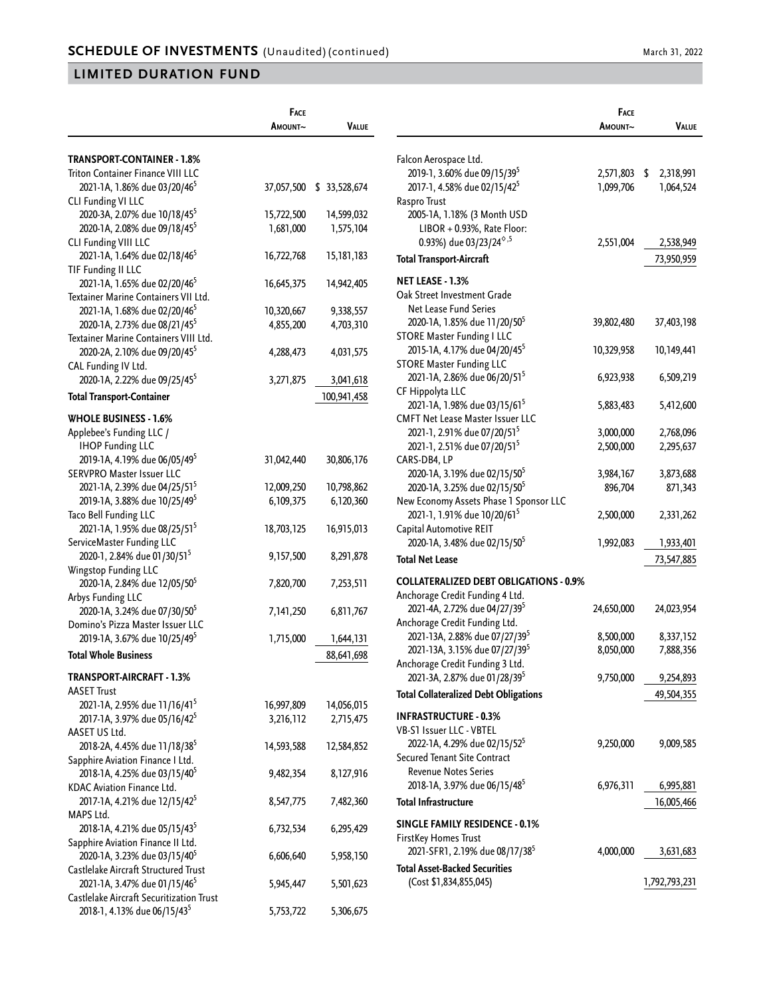|                                          | FACE       |                          |                                                        | <b>FACE</b> |                  |
|------------------------------------------|------------|--------------------------|--------------------------------------------------------|-------------|------------------|
|                                          | AMOUNT~    | <b>VALUE</b>             |                                                        | AMOUNT~     | VALUE            |
| TRANSPORT-CONTAINER - 1.8%               |            |                          | Falcon Aerospace Ltd.                                  |             |                  |
| Triton Container Finance VIII LLC        |            |                          | 2019-1, 3.60% due 09/15/39 <sup>5</sup>                | 2,571,803   | 2,318,991<br>-\$ |
| 2021-1A, 1.86% due 03/20/46 <sup>5</sup> |            | 37,057,500 \$ 33,528,674 | 2017-1, 4.58% due 02/15/42 <sup>5</sup>                | 1,099,706   | 1,064,524        |
| CLI Funding VI LLC                       |            |                          | Raspro Trust                                           |             |                  |
| 2020-3A, 2.07% due 10/18/45 <sup>5</sup> | 15,722,500 | 14,599,032               | 2005-1A, 1.18% (3 Month USD                            |             |                  |
| 2020-1A, 2.08% due 09/18/45 <sup>5</sup> | 1,681,000  | 1,575,104                | LIBOR + 0.93%, Rate Floor:                             |             |                  |
| CLI Funding VIII LLC                     |            |                          | 0.93%) due 03/23/24 <sup><math>\diamond</math>,5</sup> | 2,551,004   | 2,538,949        |
| 2021-1A, 1.64% due 02/18/46 <sup>5</sup> | 16,722,768 | 15,181,183               |                                                        |             |                  |
| TIF Funding II LLC                       |            |                          | <b>Total Transport-Aircraft</b>                        |             | 73,950,959       |
| 2021-1A, 1.65% due 02/20/46 <sup>5</sup> | 16,645,375 | 14,942,405               | NET LEASE - 1.3%                                       |             |                  |
| Textainer Marine Containers VII Ltd.     |            |                          | Oak Street Investment Grade                            |             |                  |
| 2021-1A, 1.68% due 02/20/46 <sup>5</sup> | 10,320,667 | 9,338,557                | Net Lease Fund Series                                  |             |                  |
| 2020-1A, 2.73% due 08/21/45 <sup>5</sup> | 4,855,200  | 4,703,310                | 2020-1A, 1.85% due 11/20/50 <sup>5</sup>               | 39,802,480  | 37,403,198       |
| Textainer Marine Containers VIII Ltd.    |            |                          | <b>STORE Master Funding I LLC</b>                      |             |                  |
| 2020-2A, 2.10% due 09/20/45 <sup>5</sup> | 4,288,473  | 4,031,575                | 2015-1A, 4.17% due 04/20/45 <sup>5</sup>               | 10,329,958  | 10,149,441       |
| CAL Funding IV Ltd.                      |            |                          | <b>STORE Master Funding LLC</b>                        |             |                  |
| 2020-1A, 2.22% due 09/25/45 <sup>5</sup> | 3,271,875  | 3,041,618                | 2021-1A, 2.86% due 06/20/51 <sup>5</sup>               | 6,923,938   | 6,509,219        |
|                                          |            |                          | CF Hippolyta LLC                                       |             |                  |
| <b>Total Transport-Container</b>         |            | 100,941,458              | 2021-1A, 1.98% due 03/15/61 <sup>5</sup>               | 5,883,483   | 5,412,600        |
| <b>WHOLE BUSINESS - 1.6%</b>             |            |                          | <b>CMFT Net Lease Master Issuer LLC</b>                |             |                  |
| Applebee's Funding LLC /                 |            |                          | 2021-1, 2.91% due 07/20/51 <sup>5</sup>                | 3,000,000   | 2,768,096        |
| <b>IHOP Funding LLC</b>                  |            |                          | 2021-1, 2.51% due 07/20/51 <sup>5</sup>                | 2,500,000   | 2,295,637        |
| 2019-1A, 4.19% due 06/05/49 <sup>5</sup> | 31,042,440 | 30,806,176               | CARS-DB4, LP                                           |             |                  |
| SERVPRO Master Issuer LLC                |            |                          | 2020-1A, 3.19% due 02/15/50 <sup>5</sup>               | 3,984,167   | 3,873,688        |
| 2021-1A, 2.39% due 04/25/51 <sup>5</sup> | 12,009,250 | 10,798,862               | 2020-1A, 3.25% due 02/15/50 <sup>5</sup>               | 896,704     | 871,343          |
| 2019-1A, 3.88% due 10/25/49 <sup>5</sup> | 6,109,375  | 6,120,360                | New Economy Assets Phase 1 Sponsor LLC                 |             |                  |
| Taco Bell Funding LLC                    |            |                          | 2021-1, 1.91% due 10/20/61 <sup>5</sup>                | 2,500,000   | 2,331,262        |
| 2021-1A, 1.95% due 08/25/51 <sup>5</sup> | 18,703,125 | 16,915,013               | Capital Automotive REIT                                |             |                  |
| ServiceMaster Funding LLC                |            |                          | 2020-1A, 3.48% due 02/15/50 <sup>5</sup>               | 1,992,083   | 1,933,401        |
| 2020-1, 2.84% due 01/30/51 <sup>5</sup>  | 9,157,500  | 8,291,878                |                                                        |             |                  |
| Wingstop Funding LLC                     |            |                          | <b>Total Net Lease</b>                                 |             | 73,547,885       |
| 2020-1A, 2.84% due 12/05/50 <sup>5</sup> | 7,820,700  | 7,253,511                | <b>COLLATERALIZED DEBT OBLIGATIONS - 0.9%</b>          |             |                  |
| Arbys Funding LLC                        |            |                          | Anchorage Credit Funding 4 Ltd.                        |             |                  |
| 2020-1A, 3.24% due 07/30/50 <sup>5</sup> | 7,141,250  | 6,811,767                | 2021-4A, 2.72% due 04/27/39 <sup>5</sup>               | 24,650,000  | 24,023,954       |
| Domino's Pizza Master Issuer LLC         |            |                          | Anchorage Credit Funding Ltd.                          |             |                  |
| 2019-1A, 3.67% due 10/25/49 <sup>5</sup> | 1,715,000  | 1,644,131                | 2021-13A, 2.88% due 07/27/39 <sup>5</sup>              | 8,500,000   | 8,337,152        |
| <b>Total Whole Business</b>              |            |                          | 2021-13A, 3.15% due 07/27/39 <sup>5</sup>              | 8,050,000   | 7,888,356        |
|                                          |            | 88,641,698               | Anchorage Credit Funding 3 Ltd.                        |             |                  |
| TRANSPORT-AIRCRAFT - 1.3%                |            |                          | 2021-3A, 2.87% due 01/28/39 <sup>5</sup>               | 9,750,000   | 9,254,893        |
| <b>AASET Trust</b>                       |            |                          | <b>Total Collateralized Debt Obligations</b>           |             | 49,504,355       |
| 2021-1A, 2.95% due 11/16/41 <sup>5</sup> | 16,997,809 | 14,056,015               |                                                        |             |                  |
| 2017-1A, 3.97% due 05/16/42 <sup>5</sup> | 3,216,112  | 2,715,475                | <b>INFRASTRUCTURE - 0.3%</b>                           |             |                  |
| AASET US Ltd.                            |            |                          | VB-S1 Issuer LLC - VBTEL                               |             |                  |
| 2018-2A, 4.45% due 11/18/38 <sup>5</sup> | 14,593,588 | 12,584,852               | 2022-1A, 4.29% due 02/15/52 <sup>5</sup>               | 9,250,000   | 9,009,585        |
| Sapphire Aviation Finance I Ltd.         |            |                          | Secured Tenant Site Contract                           |             |                  |
| 2018-1A, 4.25% due 03/15/40 <sup>5</sup> | 9,482,354  | 8,127,916                | <b>Revenue Notes Series</b>                            |             |                  |
| KDAC Aviation Finance Ltd.               |            |                          | 2018-1A, 3.97% due 06/15/48 <sup>5</sup>               | 6,976,311   | 6,995,881        |
| 2017-1A, 4.21% due 12/15/42 <sup>5</sup> | 8,547,775  | 7,482,360                | <b>Total Infrastructure</b>                            |             | 16,005,466       |
| MAPS Ltd.                                |            |                          |                                                        |             |                  |
| 2018-1A, 4.21% due 05/15/43 <sup>5</sup> | 6,732,534  | 6,295,429                | <b>SINGLE FAMILY RESIDENCE - 0.1%</b>                  |             |                  |
| Sapphire Aviation Finance II Ltd.        |            |                          | FirstKey Homes Trust                                   |             |                  |
| 2020-1A, 3.23% due 03/15/40 <sup>5</sup> | 6,606,640  | 5,958,150                | 2021-SFR1, 2.19% due 08/17/38 <sup>5</sup>             | 4,000,000   | 3,631,683        |
| Castlelake Aircraft Structured Trust     |            |                          | <b>Total Asset-Backed Securities</b>                   |             |                  |
| 2021-1A, 3.47% due 01/15/46 <sup>5</sup> | 5,945,447  | 5,501,623                | (Cost \$1,834,855,045)                                 |             | 1,792,793,231    |
| Castlelake Aircraft Securitization Trust |            |                          |                                                        |             |                  |
| 2018-1, 4.13% due 06/15/43 <sup>5</sup>  | 5,753,722  | 5,306,675                |                                                        |             |                  |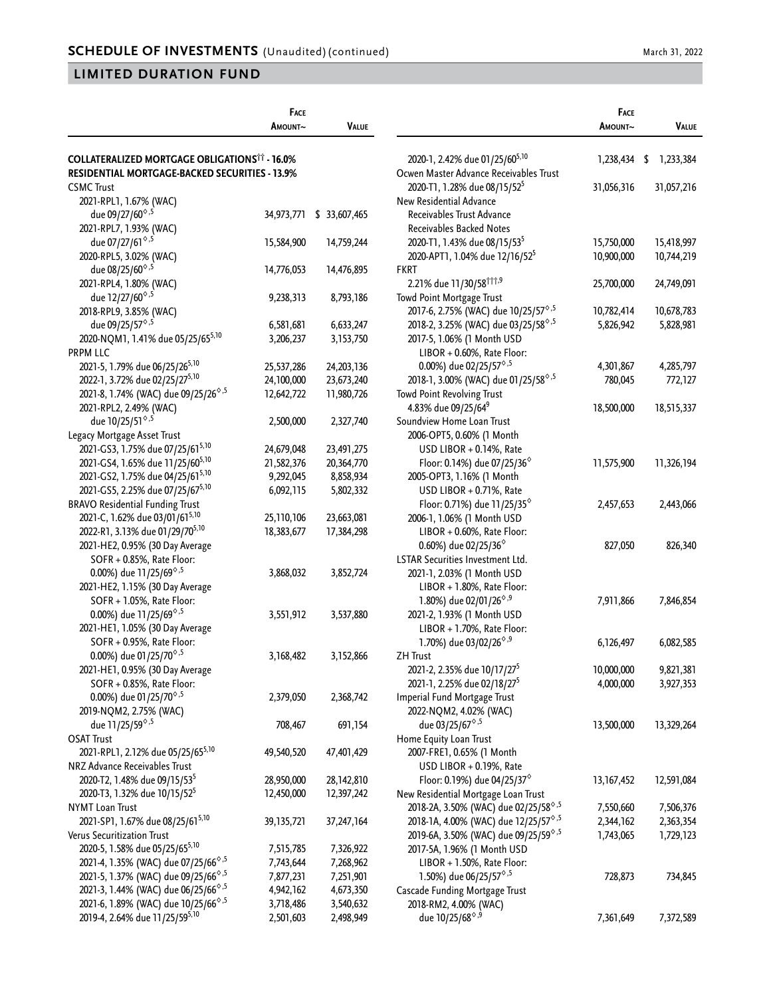|                                                        | <b>FACE</b>  |               |                  |
|--------------------------------------------------------|--------------|---------------|------------------|
|                                                        | Amount~      | VALUE         |                  |
|                                                        |              |               |                  |
| <b>COLLATERALIZED MORTGAGE OBLIGATIONS*** - 16.0%</b>  |              |               | $2020-1,$        |
| RESIDENTIAL MORTGAGE-BACKED SECURITIES - 13.9%         |              |               | Ocwen Ma         |
| <b>CSMC Trust</b>                                      |              |               | 2020-T           |
| 2021-RPL1, 1.67% (WAC)                                 |              |               | <b>New Resid</b> |
| due 09/27/60 <sup><math>\diamond</math>,5</sup>        | 34,973,771   | \$ 33,607,465 | Receiva          |
| 2021-RPL7, 1.93% (WAC)                                 |              |               | Receiva          |
| due 07/27/61 <sup>6,5</sup>                            | 15,584,900   | 14,759,244    | 2020-T           |
| 2020-RPL5, 3.02% (WAC)                                 |              |               | 2020-A           |
| due 08/25/60 <sup><math>\diamond</math>,5</sup>        | 14,776,053   | 14,476,895    | <b>FKRT</b>      |
| 2021-RPL4, 1.80% (WAC)                                 |              |               | 2.21%            |
| due 12/27/60 <sup><math>\diamond</math>,5</sup>        | 9,238,313    | 8,793,186     | <b>Towd Poir</b> |
| 2018-RPL9, 3.85% (WAC)                                 |              |               | 2017-6,          |
| due 09/25/57 <sup><math>\diamond</math>,5</sup>        | 6,581,681    | 6,633,247     | 2018-2,          |
| 2020-NQM1, 1.41% due 05/25/655,10                      | 3,206,237    | 3,153,750     | 2017-5,          |
| <b>PRPM LLC</b>                                        |              |               | LIB <sub>C</sub> |
| 2021-5, 1.79% due 06/25/26 <sup>5,10</sup>             | 25,537,286   | 24,203,136    | 0.00             |
| 2022-1, 3.72% due 02/25/275,10                         | 24,100,000   | 23,673,240    | 2018-1,          |
| 2021-8, 1.74% (WAC) due 09/25/26 <sup>6,5</sup>        | 12,642,722   | 11,980,726    | <b>Towd Poir</b> |
| 2021-RPL2, 2.49% (WAC)                                 |              |               | 4.83%            |
| due 10/25/51 <sup>6,5</sup>                            | 2,500,000    | 2,327,740     | Soundview        |
| Legacy Mortgage Asset Trust                            |              |               | 2006-O           |
| 2021-GS3, 1.75% due 07/25/615,10                       | 24,679,048   | 23,491,275    | <b>USD</b>       |
| 2021-GS4, 1.65% due 11/25/605,10                       | 21,582,376   | 20,364,770    | Floc             |
| 2021-GS2, 1.75% due 04/25/615,10                       | 9,292,045    | 8,858,934     | 2005-O           |
| 2021-GS5, 2.25% due 07/25/675,10                       | 6,092,115    | 5,802,332     | <b>USD</b>       |
| <b>BRAVO Residential Funding Trust</b>                 |              |               | Floc             |
| 2021-C, 1.62% due 03/01/61 <sup>5,10</sup>             | 25,110,106   | 23,663,081    | 2006-1,          |
| 2022-R1, 3.13% due 01/29/70 <sup>5,10</sup>            | 18,383,677   | 17,384,298    | LIB <sub>C</sub> |
| 2021-HE2, 0.95% (30 Day Average                        |              |               | 0.60             |
| SOFR + 0.85%, Rate Floor:                              |              |               | <b>LSTAR Ser</b> |
| 0.00%) due 11/25/69 <sup>6,5</sup>                     | 3,868,032    | 3,852,724     | 2021-1,          |
| 2021-HE2, 1.15% (30 Day Average                        |              |               | LIB <sub>C</sub> |
| SOFR + 1.05%, Rate Floor:                              |              |               |                  |
| 0.00%) due 11/25/69 <sup><math>\diamond</math>,5</sup> |              |               | 1.80             |
|                                                        | 3,551,912    | 3,537,880     | 2021-2,          |
| 2021-HE1, 1.05% (30 Day Average                        |              |               | LIB <sub>C</sub> |
| SOFR + 0.95%, Rate Floor:                              |              |               | 1.70             |
| 0.00%) due 01/25/70 <sup>6,5</sup>                     | 3,168,482    | 3,152,866     | ZH Trust         |
| 2021-HE1, 0.95% (30 Day Average                        |              |               | 2021-2,          |
| SOFR + 0.85%, Rate Floor:                              |              |               | 2021-1,          |
| 0.00%) due 01/25/70 <sup>6,5</sup>                     | 2,379,050    | 2,368,742     | Imperial F       |
| 2019-NQM2, 2.75% (WAC)                                 |              |               | 2022-N           |
| due 11/25/59 <sup><math>\diamond</math>,5</sup>        | 708,467      | 691,154       | due              |
| <b>OSAT Trust</b>                                      |              |               | Home Equ         |
| 2021-RPL1, 2.12% due 05/25/655,10                      | 49,540,520   | 47,401,429    | 2007-FI          |
| NRZ Advance Receivables Trust                          |              |               | USD              |
| 2020-T2, 1.48% due 09/15/53 <sup>5</sup>               | 28,950,000   | 28,142,810    | Floc             |
| 2020-T3, 1.32% due 10/15/52 <sup>5</sup>               | 12,450,000   | 12,397,242    | New Resid        |
| <b>NYMT Loan Trust</b>                                 |              |               | 2018-2/          |
| 2021-SP1, 1.67% due 08/25/615,10                       | 39, 135, 721 | 37,247,164    | $2018 - 14$      |
| Verus Securitization Trust                             |              |               | 2019-6/          |
| 2020-5, 1.58% due 05/25/655,10                         | 7,515,785    | 7,326,922     | $2017 - 51$      |
| 2021-4, 1.35% (WAC) due 07/25/66 <sup>6,5</sup>        | 7,743,644    | 7,268,962     | LIB <sub>C</sub> |
| 2021-5, 1.37% (WAC) due 09/25/66 <sup>6,5</sup>        | 7,877,231    | 7,251,901     | 1.50             |
| 2021-3, 1.44% (WAC) due 06/25/66 <sup>6,5</sup>        | 4,942,162    | 4,673,350     | Cascade F        |
| 2021-6, 1.89% (WAC) due 10/25/66 <sup>6,5</sup>        | 3,718,486    | 3,540,632     | 2018-R           |
| 2019-4, 2.64% due 11/25/595,10                         | 2,501,603    | 2,498,949     | due              |

| 2020-1, 2.42% due 01/25/605,10<br>\$<br>1,238,434<br>1,233,384<br>Ocwen Master Advance Receivables Trust<br>2020-T1, 1.28% due 08/15/52 <sup>5</sup><br>31,056,316<br>31,057,216<br>New Residential Advance<br>Receivables Trust Advance<br>Receivables Backed Notes<br>2020-T1, 1.43% due 08/15/53 <sup>5</sup><br>15,750,000<br>15,418,997<br>2020-APT1, 1.04% due 12/16/52 <sup>5</sup><br>10,900,000<br>10,744,219<br><b>FKRT</b><br>2.21% due 11/30/58 <sup>†††,9</sup><br>25,700,000<br>24,749,091<br>Towd Point Mortgage Trust<br>2017-6, 2.75% (WAC) due 10/25/57 <sup>6,5</sup><br>10,782,414<br>10,678,783<br>2018-2, 3.25% (WAC) due 03/25/58 <sup>6,5</sup><br>5,826,942<br>5,828,981<br>2017-5, 1.06% (1 Month USD<br>LIBOR + 0.60%, Rate Floor:<br>0.00%) due 02/25/57 <sup><math>\diamond</math>,5</sup><br>4,301,867<br>4,285,797<br>2018-1, 3.00% (WAC) due 01/25/58 <sup>6,5</sup><br>780,045<br>772,127<br><b>Towd Point Revolving Trust</b><br>4.83% due 09/25/64 <sup>9</sup><br>18,500,000<br>18,515,337<br>Soundview Home Loan Trust<br>2006-OPT5, 0.60% (1 Month<br>USD LIBOR + 0.14%, Rate<br>Floor: 0.14%) due 07/25/36 $^{\circ}$<br>11,575,900<br>11,326,194<br>2005-OPT3, 1.16% (1 Month<br>USD LIBOR + 0.71%, Rate<br>Floor: 0.71%) due 11/25/35 <sup><math>\diamond</math></sup><br>2,457,653<br>2,443,066<br>2006-1, 1.06% (1 Month USD<br>LIBOR + 0.60%, Rate Floor:<br>0.60%) due 02/25/36 <sup>6</sup><br>827,050<br>826,340<br><b>LSTAR Securities Investment Ltd.</b><br>2021-1, 2.03% (1 Month USD<br>LIBOR + 1.80%, Rate Floor:<br>1.80%) due 02/01/26 <sup>6,9</sup><br>7,911,866<br>7,846,854<br>2021-2, 1.93% (1 Month USD<br>LIBOR + 1.70%, Rate Floor:<br>1.70%) due 03/02/26 <sup><math>\diamond</math>,9</sup><br>6,126,497<br>6,082,585<br><b>ZH Trust</b><br>2021-2, 2.35% due 10/17/27 <sup>5</sup><br>10,000,000<br>9,821,381<br>2021-1, 2.25% due 02/18/27 <sup>5</sup><br>4,000,000<br>3,927,353<br>Imperial Fund Mortgage Trust<br>2022-NQM2, 4.02% (WAC)<br>due 03/25/67 <sup>6,5</sup><br>13,500,000<br>13,329,264<br>Home Equity Loan Trust<br>2007-FRE1, 0.65% (1 Month<br>USD LIBOR + 0.19%, Rate<br>Floor: 0.19%) due 04/25/37 $^{\circ}$<br>13, 167, 452<br>12,591,084<br>New Residential Mortgage Loan Trust<br>2018-2A, 3.50% (WAC) due 02/25/58 <sup>6,5</sup><br>7,550,660<br>7,506,376<br>2018-1A, 4.00% (WAC) due 12/25/57 <sup>6,5</sup><br>2,344,162<br>2,363,354<br>2019-6A, 3.50% (WAC) due 09/25/59 <sup>6,5</sup><br>1,743,065<br>1,729,123<br>2017-5A, 1.96% (1 Month USD<br>LIBOR + 1.50%, Rate Floor:<br>1.50%) due 06/25/57 <sup>6,5</sup><br>728,873<br>734,845<br>Cascade Funding Mortgage Trust<br>2018-RM2, 4.00% (WAC)<br>due 10/25/68 <sup><math>\diamond</math>,9</sup><br>7,361,649<br>7,372,589 | <b>FACE</b><br>Amount~ | VALUE |
|--------------------------------------------------------------------------------------------------------------------------------------------------------------------------------------------------------------------------------------------------------------------------------------------------------------------------------------------------------------------------------------------------------------------------------------------------------------------------------------------------------------------------------------------------------------------------------------------------------------------------------------------------------------------------------------------------------------------------------------------------------------------------------------------------------------------------------------------------------------------------------------------------------------------------------------------------------------------------------------------------------------------------------------------------------------------------------------------------------------------------------------------------------------------------------------------------------------------------------------------------------------------------------------------------------------------------------------------------------------------------------------------------------------------------------------------------------------------------------------------------------------------------------------------------------------------------------------------------------------------------------------------------------------------------------------------------------------------------------------------------------------------------------------------------------------------------------------------------------------------------------------------------------------------------------------------------------------------------------------------------------------------------------------------------------------------------------------------------------------------------------------------------------------------------------------------------------------------------------------------------------------------------------------------------------------------------------------------------------------------------------------------------------------------------------------------------------------------------------------------------------------------------------------------------------------------------------------------------------------------------------------------------------------------------------------------------------------------------------------------------------------------------------------|------------------------|-------|
|                                                                                                                                                                                                                                                                                                                                                                                                                                                                                                                                                                                                                                                                                                                                                                                                                                                                                                                                                                                                                                                                                                                                                                                                                                                                                                                                                                                                                                                                                                                                                                                                                                                                                                                                                                                                                                                                                                                                                                                                                                                                                                                                                                                                                                                                                                                                                                                                                                                                                                                                                                                                                                                                                                                                                                                      |                        |       |
|                                                                                                                                                                                                                                                                                                                                                                                                                                                                                                                                                                                                                                                                                                                                                                                                                                                                                                                                                                                                                                                                                                                                                                                                                                                                                                                                                                                                                                                                                                                                                                                                                                                                                                                                                                                                                                                                                                                                                                                                                                                                                                                                                                                                                                                                                                                                                                                                                                                                                                                                                                                                                                                                                                                                                                                      |                        |       |
|                                                                                                                                                                                                                                                                                                                                                                                                                                                                                                                                                                                                                                                                                                                                                                                                                                                                                                                                                                                                                                                                                                                                                                                                                                                                                                                                                                                                                                                                                                                                                                                                                                                                                                                                                                                                                                                                                                                                                                                                                                                                                                                                                                                                                                                                                                                                                                                                                                                                                                                                                                                                                                                                                                                                                                                      |                        |       |
|                                                                                                                                                                                                                                                                                                                                                                                                                                                                                                                                                                                                                                                                                                                                                                                                                                                                                                                                                                                                                                                                                                                                                                                                                                                                                                                                                                                                                                                                                                                                                                                                                                                                                                                                                                                                                                                                                                                                                                                                                                                                                                                                                                                                                                                                                                                                                                                                                                                                                                                                                                                                                                                                                                                                                                                      |                        |       |
|                                                                                                                                                                                                                                                                                                                                                                                                                                                                                                                                                                                                                                                                                                                                                                                                                                                                                                                                                                                                                                                                                                                                                                                                                                                                                                                                                                                                                                                                                                                                                                                                                                                                                                                                                                                                                                                                                                                                                                                                                                                                                                                                                                                                                                                                                                                                                                                                                                                                                                                                                                                                                                                                                                                                                                                      |                        |       |
|                                                                                                                                                                                                                                                                                                                                                                                                                                                                                                                                                                                                                                                                                                                                                                                                                                                                                                                                                                                                                                                                                                                                                                                                                                                                                                                                                                                                                                                                                                                                                                                                                                                                                                                                                                                                                                                                                                                                                                                                                                                                                                                                                                                                                                                                                                                                                                                                                                                                                                                                                                                                                                                                                                                                                                                      |                        |       |
|                                                                                                                                                                                                                                                                                                                                                                                                                                                                                                                                                                                                                                                                                                                                                                                                                                                                                                                                                                                                                                                                                                                                                                                                                                                                                                                                                                                                                                                                                                                                                                                                                                                                                                                                                                                                                                                                                                                                                                                                                                                                                                                                                                                                                                                                                                                                                                                                                                                                                                                                                                                                                                                                                                                                                                                      |                        |       |
|                                                                                                                                                                                                                                                                                                                                                                                                                                                                                                                                                                                                                                                                                                                                                                                                                                                                                                                                                                                                                                                                                                                                                                                                                                                                                                                                                                                                                                                                                                                                                                                                                                                                                                                                                                                                                                                                                                                                                                                                                                                                                                                                                                                                                                                                                                                                                                                                                                                                                                                                                                                                                                                                                                                                                                                      |                        |       |
|                                                                                                                                                                                                                                                                                                                                                                                                                                                                                                                                                                                                                                                                                                                                                                                                                                                                                                                                                                                                                                                                                                                                                                                                                                                                                                                                                                                                                                                                                                                                                                                                                                                                                                                                                                                                                                                                                                                                                                                                                                                                                                                                                                                                                                                                                                                                                                                                                                                                                                                                                                                                                                                                                                                                                                                      |                        |       |
|                                                                                                                                                                                                                                                                                                                                                                                                                                                                                                                                                                                                                                                                                                                                                                                                                                                                                                                                                                                                                                                                                                                                                                                                                                                                                                                                                                                                                                                                                                                                                                                                                                                                                                                                                                                                                                                                                                                                                                                                                                                                                                                                                                                                                                                                                                                                                                                                                                                                                                                                                                                                                                                                                                                                                                                      |                        |       |
|                                                                                                                                                                                                                                                                                                                                                                                                                                                                                                                                                                                                                                                                                                                                                                                                                                                                                                                                                                                                                                                                                                                                                                                                                                                                                                                                                                                                                                                                                                                                                                                                                                                                                                                                                                                                                                                                                                                                                                                                                                                                                                                                                                                                                                                                                                                                                                                                                                                                                                                                                                                                                                                                                                                                                                                      |                        |       |
|                                                                                                                                                                                                                                                                                                                                                                                                                                                                                                                                                                                                                                                                                                                                                                                                                                                                                                                                                                                                                                                                                                                                                                                                                                                                                                                                                                                                                                                                                                                                                                                                                                                                                                                                                                                                                                                                                                                                                                                                                                                                                                                                                                                                                                                                                                                                                                                                                                                                                                                                                                                                                                                                                                                                                                                      |                        |       |
|                                                                                                                                                                                                                                                                                                                                                                                                                                                                                                                                                                                                                                                                                                                                                                                                                                                                                                                                                                                                                                                                                                                                                                                                                                                                                                                                                                                                                                                                                                                                                                                                                                                                                                                                                                                                                                                                                                                                                                                                                                                                                                                                                                                                                                                                                                                                                                                                                                                                                                                                                                                                                                                                                                                                                                                      |                        |       |
|                                                                                                                                                                                                                                                                                                                                                                                                                                                                                                                                                                                                                                                                                                                                                                                                                                                                                                                                                                                                                                                                                                                                                                                                                                                                                                                                                                                                                                                                                                                                                                                                                                                                                                                                                                                                                                                                                                                                                                                                                                                                                                                                                                                                                                                                                                                                                                                                                                                                                                                                                                                                                                                                                                                                                                                      |                        |       |
|                                                                                                                                                                                                                                                                                                                                                                                                                                                                                                                                                                                                                                                                                                                                                                                                                                                                                                                                                                                                                                                                                                                                                                                                                                                                                                                                                                                                                                                                                                                                                                                                                                                                                                                                                                                                                                                                                                                                                                                                                                                                                                                                                                                                                                                                                                                                                                                                                                                                                                                                                                                                                                                                                                                                                                                      |                        |       |
|                                                                                                                                                                                                                                                                                                                                                                                                                                                                                                                                                                                                                                                                                                                                                                                                                                                                                                                                                                                                                                                                                                                                                                                                                                                                                                                                                                                                                                                                                                                                                                                                                                                                                                                                                                                                                                                                                                                                                                                                                                                                                                                                                                                                                                                                                                                                                                                                                                                                                                                                                                                                                                                                                                                                                                                      |                        |       |
|                                                                                                                                                                                                                                                                                                                                                                                                                                                                                                                                                                                                                                                                                                                                                                                                                                                                                                                                                                                                                                                                                                                                                                                                                                                                                                                                                                                                                                                                                                                                                                                                                                                                                                                                                                                                                                                                                                                                                                                                                                                                                                                                                                                                                                                                                                                                                                                                                                                                                                                                                                                                                                                                                                                                                                                      |                        |       |
|                                                                                                                                                                                                                                                                                                                                                                                                                                                                                                                                                                                                                                                                                                                                                                                                                                                                                                                                                                                                                                                                                                                                                                                                                                                                                                                                                                                                                                                                                                                                                                                                                                                                                                                                                                                                                                                                                                                                                                                                                                                                                                                                                                                                                                                                                                                                                                                                                                                                                                                                                                                                                                                                                                                                                                                      |                        |       |
|                                                                                                                                                                                                                                                                                                                                                                                                                                                                                                                                                                                                                                                                                                                                                                                                                                                                                                                                                                                                                                                                                                                                                                                                                                                                                                                                                                                                                                                                                                                                                                                                                                                                                                                                                                                                                                                                                                                                                                                                                                                                                                                                                                                                                                                                                                                                                                                                                                                                                                                                                                                                                                                                                                                                                                                      |                        |       |
|                                                                                                                                                                                                                                                                                                                                                                                                                                                                                                                                                                                                                                                                                                                                                                                                                                                                                                                                                                                                                                                                                                                                                                                                                                                                                                                                                                                                                                                                                                                                                                                                                                                                                                                                                                                                                                                                                                                                                                                                                                                                                                                                                                                                                                                                                                                                                                                                                                                                                                                                                                                                                                                                                                                                                                                      |                        |       |
|                                                                                                                                                                                                                                                                                                                                                                                                                                                                                                                                                                                                                                                                                                                                                                                                                                                                                                                                                                                                                                                                                                                                                                                                                                                                                                                                                                                                                                                                                                                                                                                                                                                                                                                                                                                                                                                                                                                                                                                                                                                                                                                                                                                                                                                                                                                                                                                                                                                                                                                                                                                                                                                                                                                                                                                      |                        |       |
|                                                                                                                                                                                                                                                                                                                                                                                                                                                                                                                                                                                                                                                                                                                                                                                                                                                                                                                                                                                                                                                                                                                                                                                                                                                                                                                                                                                                                                                                                                                                                                                                                                                                                                                                                                                                                                                                                                                                                                                                                                                                                                                                                                                                                                                                                                                                                                                                                                                                                                                                                                                                                                                                                                                                                                                      |                        |       |
|                                                                                                                                                                                                                                                                                                                                                                                                                                                                                                                                                                                                                                                                                                                                                                                                                                                                                                                                                                                                                                                                                                                                                                                                                                                                                                                                                                                                                                                                                                                                                                                                                                                                                                                                                                                                                                                                                                                                                                                                                                                                                                                                                                                                                                                                                                                                                                                                                                                                                                                                                                                                                                                                                                                                                                                      |                        |       |
|                                                                                                                                                                                                                                                                                                                                                                                                                                                                                                                                                                                                                                                                                                                                                                                                                                                                                                                                                                                                                                                                                                                                                                                                                                                                                                                                                                                                                                                                                                                                                                                                                                                                                                                                                                                                                                                                                                                                                                                                                                                                                                                                                                                                                                                                                                                                                                                                                                                                                                                                                                                                                                                                                                                                                                                      |                        |       |
|                                                                                                                                                                                                                                                                                                                                                                                                                                                                                                                                                                                                                                                                                                                                                                                                                                                                                                                                                                                                                                                                                                                                                                                                                                                                                                                                                                                                                                                                                                                                                                                                                                                                                                                                                                                                                                                                                                                                                                                                                                                                                                                                                                                                                                                                                                                                                                                                                                                                                                                                                                                                                                                                                                                                                                                      |                        |       |
|                                                                                                                                                                                                                                                                                                                                                                                                                                                                                                                                                                                                                                                                                                                                                                                                                                                                                                                                                                                                                                                                                                                                                                                                                                                                                                                                                                                                                                                                                                                                                                                                                                                                                                                                                                                                                                                                                                                                                                                                                                                                                                                                                                                                                                                                                                                                                                                                                                                                                                                                                                                                                                                                                                                                                                                      |                        |       |
|                                                                                                                                                                                                                                                                                                                                                                                                                                                                                                                                                                                                                                                                                                                                                                                                                                                                                                                                                                                                                                                                                                                                                                                                                                                                                                                                                                                                                                                                                                                                                                                                                                                                                                                                                                                                                                                                                                                                                                                                                                                                                                                                                                                                                                                                                                                                                                                                                                                                                                                                                                                                                                                                                                                                                                                      |                        |       |
|                                                                                                                                                                                                                                                                                                                                                                                                                                                                                                                                                                                                                                                                                                                                                                                                                                                                                                                                                                                                                                                                                                                                                                                                                                                                                                                                                                                                                                                                                                                                                                                                                                                                                                                                                                                                                                                                                                                                                                                                                                                                                                                                                                                                                                                                                                                                                                                                                                                                                                                                                                                                                                                                                                                                                                                      |                        |       |
|                                                                                                                                                                                                                                                                                                                                                                                                                                                                                                                                                                                                                                                                                                                                                                                                                                                                                                                                                                                                                                                                                                                                                                                                                                                                                                                                                                                                                                                                                                                                                                                                                                                                                                                                                                                                                                                                                                                                                                                                                                                                                                                                                                                                                                                                                                                                                                                                                                                                                                                                                                                                                                                                                                                                                                                      |                        |       |
|                                                                                                                                                                                                                                                                                                                                                                                                                                                                                                                                                                                                                                                                                                                                                                                                                                                                                                                                                                                                                                                                                                                                                                                                                                                                                                                                                                                                                                                                                                                                                                                                                                                                                                                                                                                                                                                                                                                                                                                                                                                                                                                                                                                                                                                                                                                                                                                                                                                                                                                                                                                                                                                                                                                                                                                      |                        |       |
|                                                                                                                                                                                                                                                                                                                                                                                                                                                                                                                                                                                                                                                                                                                                                                                                                                                                                                                                                                                                                                                                                                                                                                                                                                                                                                                                                                                                                                                                                                                                                                                                                                                                                                                                                                                                                                                                                                                                                                                                                                                                                                                                                                                                                                                                                                                                                                                                                                                                                                                                                                                                                                                                                                                                                                                      |                        |       |
|                                                                                                                                                                                                                                                                                                                                                                                                                                                                                                                                                                                                                                                                                                                                                                                                                                                                                                                                                                                                                                                                                                                                                                                                                                                                                                                                                                                                                                                                                                                                                                                                                                                                                                                                                                                                                                                                                                                                                                                                                                                                                                                                                                                                                                                                                                                                                                                                                                                                                                                                                                                                                                                                                                                                                                                      |                        |       |
|                                                                                                                                                                                                                                                                                                                                                                                                                                                                                                                                                                                                                                                                                                                                                                                                                                                                                                                                                                                                                                                                                                                                                                                                                                                                                                                                                                                                                                                                                                                                                                                                                                                                                                                                                                                                                                                                                                                                                                                                                                                                                                                                                                                                                                                                                                                                                                                                                                                                                                                                                                                                                                                                                                                                                                                      |                        |       |
|                                                                                                                                                                                                                                                                                                                                                                                                                                                                                                                                                                                                                                                                                                                                                                                                                                                                                                                                                                                                                                                                                                                                                                                                                                                                                                                                                                                                                                                                                                                                                                                                                                                                                                                                                                                                                                                                                                                                                                                                                                                                                                                                                                                                                                                                                                                                                                                                                                                                                                                                                                                                                                                                                                                                                                                      |                        |       |
|                                                                                                                                                                                                                                                                                                                                                                                                                                                                                                                                                                                                                                                                                                                                                                                                                                                                                                                                                                                                                                                                                                                                                                                                                                                                                                                                                                                                                                                                                                                                                                                                                                                                                                                                                                                                                                                                                                                                                                                                                                                                                                                                                                                                                                                                                                                                                                                                                                                                                                                                                                                                                                                                                                                                                                                      |                        |       |
|                                                                                                                                                                                                                                                                                                                                                                                                                                                                                                                                                                                                                                                                                                                                                                                                                                                                                                                                                                                                                                                                                                                                                                                                                                                                                                                                                                                                                                                                                                                                                                                                                                                                                                                                                                                                                                                                                                                                                                                                                                                                                                                                                                                                                                                                                                                                                                                                                                                                                                                                                                                                                                                                                                                                                                                      |                        |       |
|                                                                                                                                                                                                                                                                                                                                                                                                                                                                                                                                                                                                                                                                                                                                                                                                                                                                                                                                                                                                                                                                                                                                                                                                                                                                                                                                                                                                                                                                                                                                                                                                                                                                                                                                                                                                                                                                                                                                                                                                                                                                                                                                                                                                                                                                                                                                                                                                                                                                                                                                                                                                                                                                                                                                                                                      |                        |       |
|                                                                                                                                                                                                                                                                                                                                                                                                                                                                                                                                                                                                                                                                                                                                                                                                                                                                                                                                                                                                                                                                                                                                                                                                                                                                                                                                                                                                                                                                                                                                                                                                                                                                                                                                                                                                                                                                                                                                                                                                                                                                                                                                                                                                                                                                                                                                                                                                                                                                                                                                                                                                                                                                                                                                                                                      |                        |       |
|                                                                                                                                                                                                                                                                                                                                                                                                                                                                                                                                                                                                                                                                                                                                                                                                                                                                                                                                                                                                                                                                                                                                                                                                                                                                                                                                                                                                                                                                                                                                                                                                                                                                                                                                                                                                                                                                                                                                                                                                                                                                                                                                                                                                                                                                                                                                                                                                                                                                                                                                                                                                                                                                                                                                                                                      |                        |       |
|                                                                                                                                                                                                                                                                                                                                                                                                                                                                                                                                                                                                                                                                                                                                                                                                                                                                                                                                                                                                                                                                                                                                                                                                                                                                                                                                                                                                                                                                                                                                                                                                                                                                                                                                                                                                                                                                                                                                                                                                                                                                                                                                                                                                                                                                                                                                                                                                                                                                                                                                                                                                                                                                                                                                                                                      |                        |       |
|                                                                                                                                                                                                                                                                                                                                                                                                                                                                                                                                                                                                                                                                                                                                                                                                                                                                                                                                                                                                                                                                                                                                                                                                                                                                                                                                                                                                                                                                                                                                                                                                                                                                                                                                                                                                                                                                                                                                                                                                                                                                                                                                                                                                                                                                                                                                                                                                                                                                                                                                                                                                                                                                                                                                                                                      |                        |       |
|                                                                                                                                                                                                                                                                                                                                                                                                                                                                                                                                                                                                                                                                                                                                                                                                                                                                                                                                                                                                                                                                                                                                                                                                                                                                                                                                                                                                                                                                                                                                                                                                                                                                                                                                                                                                                                                                                                                                                                                                                                                                                                                                                                                                                                                                                                                                                                                                                                                                                                                                                                                                                                                                                                                                                                                      |                        |       |
|                                                                                                                                                                                                                                                                                                                                                                                                                                                                                                                                                                                                                                                                                                                                                                                                                                                                                                                                                                                                                                                                                                                                                                                                                                                                                                                                                                                                                                                                                                                                                                                                                                                                                                                                                                                                                                                                                                                                                                                                                                                                                                                                                                                                                                                                                                                                                                                                                                                                                                                                                                                                                                                                                                                                                                                      |                        |       |
|                                                                                                                                                                                                                                                                                                                                                                                                                                                                                                                                                                                                                                                                                                                                                                                                                                                                                                                                                                                                                                                                                                                                                                                                                                                                                                                                                                                                                                                                                                                                                                                                                                                                                                                                                                                                                                                                                                                                                                                                                                                                                                                                                                                                                                                                                                                                                                                                                                                                                                                                                                                                                                                                                                                                                                                      |                        |       |
|                                                                                                                                                                                                                                                                                                                                                                                                                                                                                                                                                                                                                                                                                                                                                                                                                                                                                                                                                                                                                                                                                                                                                                                                                                                                                                                                                                                                                                                                                                                                                                                                                                                                                                                                                                                                                                                                                                                                                                                                                                                                                                                                                                                                                                                                                                                                                                                                                                                                                                                                                                                                                                                                                                                                                                                      |                        |       |
|                                                                                                                                                                                                                                                                                                                                                                                                                                                                                                                                                                                                                                                                                                                                                                                                                                                                                                                                                                                                                                                                                                                                                                                                                                                                                                                                                                                                                                                                                                                                                                                                                                                                                                                                                                                                                                                                                                                                                                                                                                                                                                                                                                                                                                                                                                                                                                                                                                                                                                                                                                                                                                                                                                                                                                                      |                        |       |
|                                                                                                                                                                                                                                                                                                                                                                                                                                                                                                                                                                                                                                                                                                                                                                                                                                                                                                                                                                                                                                                                                                                                                                                                                                                                                                                                                                                                                                                                                                                                                                                                                                                                                                                                                                                                                                                                                                                                                                                                                                                                                                                                                                                                                                                                                                                                                                                                                                                                                                                                                                                                                                                                                                                                                                                      |                        |       |
|                                                                                                                                                                                                                                                                                                                                                                                                                                                                                                                                                                                                                                                                                                                                                                                                                                                                                                                                                                                                                                                                                                                                                                                                                                                                                                                                                                                                                                                                                                                                                                                                                                                                                                                                                                                                                                                                                                                                                                                                                                                                                                                                                                                                                                                                                                                                                                                                                                                                                                                                                                                                                                                                                                                                                                                      |                        |       |
|                                                                                                                                                                                                                                                                                                                                                                                                                                                                                                                                                                                                                                                                                                                                                                                                                                                                                                                                                                                                                                                                                                                                                                                                                                                                                                                                                                                                                                                                                                                                                                                                                                                                                                                                                                                                                                                                                                                                                                                                                                                                                                                                                                                                                                                                                                                                                                                                                                                                                                                                                                                                                                                                                                                                                                                      |                        |       |
|                                                                                                                                                                                                                                                                                                                                                                                                                                                                                                                                                                                                                                                                                                                                                                                                                                                                                                                                                                                                                                                                                                                                                                                                                                                                                                                                                                                                                                                                                                                                                                                                                                                                                                                                                                                                                                                                                                                                                                                                                                                                                                                                                                                                                                                                                                                                                                                                                                                                                                                                                                                                                                                                                                                                                                                      |                        |       |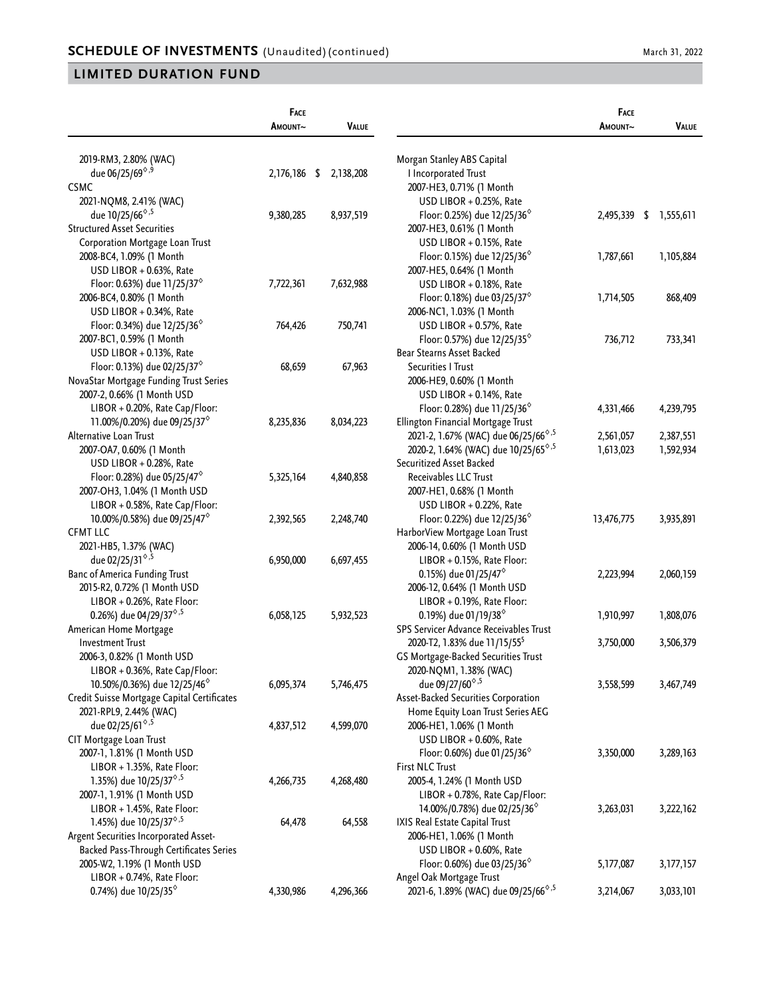|                                                 | FACE<br>AMOUNT~ | <b>VALUE</b> |                                                                     | FACE<br>AMOUNT~ | <b>VALUE</b>    |
|-------------------------------------------------|-----------------|--------------|---------------------------------------------------------------------|-----------------|-----------------|
|                                                 |                 |              |                                                                     |                 |                 |
| 2019-RM3, 2.80% (WAC)                           |                 |              | Morgan Stanley ABS Capital                                          |                 |                 |
| due 06/25/69 <sup><math>\diamond</math>,9</sup> | 2,176,186 \$    | 2,138,208    | I Incorporated Trust                                                |                 |                 |
| <b>CSMC</b>                                     |                 |              | 2007-HE3, 0.71% (1 Month                                            |                 |                 |
| 2021-NQM8, 2.41% (WAC)                          |                 |              | USD LIBOR + 0.25%, Rate                                             |                 |                 |
| due 10/25/66 <sup><math>\diamond</math>,5</sup> | 9,380,285       | 8,937,519    | Floor: 0.25%) due $12/25/36^{\circ}$                                | 2,495,339       | \$<br>1,555,611 |
| <b>Structured Asset Securities</b>              |                 |              | 2007-HE3, 0.61% (1 Month                                            |                 |                 |
| Corporation Mortgage Loan Trust                 |                 |              | USD LIBOR $+$ 0.15%, Rate                                           |                 |                 |
| 2008-BC4, 1.09% (1 Month                        |                 |              | Floor: 0.15%) due 12/25/36 <sup>%</sup>                             | 1,787,661       | 1,105,884       |
| USD LIBOR + 0.63%, Rate                         |                 |              | 2007-HE5, 0.64% (1 Month                                            |                 |                 |
| Floor: 0.63%) due 11/25/37 $^{\circ}$           | 7,722,361       | 7,632,988    | USD LIBOR + 0.18%, Rate                                             |                 |                 |
| 2006-BC4, 0.80% (1 Month                        |                 |              | Floor: 0.18%) due 03/25/37 $^{\circ}$                               | 1,714,505       | 868,409         |
| USD LIBOR + 0.34%, Rate                         |                 |              | 2006-NC1, 1.03% (1 Month                                            |                 |                 |
| Floor: 0.34%) due $12/25/36^{\circ}$            | 764,426         | 750,741      | USD LIBOR + 0.57%, Rate                                             |                 |                 |
| 2007-BC1, 0.59% (1 Month                        |                 |              | Floor: 0.57%) due $12/25/35^{\circ}$                                | 736,712         | 733,341         |
| USD LIBOR + 0.13%, Rate                         |                 |              | Bear Stearns Asset Backed                                           |                 |                 |
| Floor: 0.13%) due 02/25/37 <sup>6</sup>         | 68,659          | 67,963       | Securities I Trust                                                  |                 |                 |
| NovaStar Mortgage Funding Trust Series          |                 |              | 2006-HE9, 0.60% (1 Month                                            |                 |                 |
| 2007-2, 0.66% (1 Month USD                      |                 |              | USD LIBOR + 0.14%, Rate                                             |                 |                 |
| LIBOR + 0.20%, Rate Cap/Floor:                  |                 |              | Floor: 0.28%) due 11/25/36 $^{\circ}$                               | 4,331,466       | 4,239,795       |
| 11.00%/0.20%) due 09/25/37 <sup>°</sup>         | 8,235,836       | 8,034,223    | Ellington Financial Mortgage Trust                                  |                 |                 |
| Alternative Loan Trust                          |                 |              | 2021-2, 1.67% (WAC) due 06/25/66 <sup>6</sup> , <sup>5</sup>        | 2,561,057       | 2,387,551       |
| 2007-OA7, 0.60% (1 Month                        |                 |              | 2020-2, 1.64% (WAC) due 10/25/65 <sup><math>\diamond</math>,5</sup> | 1,613,023       | 1,592,934       |
| USD LIBOR + 0.28%, Rate                         |                 |              | Securitized Asset Backed                                            |                 |                 |
| Floor: 0.28%) due 05/25/47 $^{\circ}$           | 5,325,164       | 4,840,858    | Receivables LLC Trust                                               |                 |                 |
| 2007-OH3, 1.04% (1 Month USD                    |                 |              | 2007-HE1, 0.68% (1 Month                                            |                 |                 |
| LIBOR + 0.58%, Rate Cap/Floor:                  |                 |              | USD LIBOR + 0.22%, Rate                                             |                 |                 |
| 10.00%/0.58%) due 09/25/47 <sup>%</sup>         | 2,392,565       | 2,248,740    | Floor: 0.22%) due $12/25/36^{\circ}$                                | 13,476,775      | 3,935,891       |
| <b>CFMT LLC</b>                                 |                 |              | HarborView Mortgage Loan Trust                                      |                 |                 |
| 2021-HB5, 1.37% (WAC)                           |                 |              | 2006-14, 0.60% (1 Month USD                                         |                 |                 |
| due 02/25/31 <sup><math>\diamond</math>,5</sup> | 6,950,000       | 6,697,455    | LIBOR + 0.15%, Rate Floor:                                          |                 |                 |
| <b>Banc of America Funding Trust</b>            |                 |              | 0.15%) due 01/25/47 <sup><math>\diamond</math></sup>                | 2,223,994       | 2,060,159       |
| 2015-R2, 0.72% (1 Month USD                     |                 |              | 2006-12, 0.64% (1 Month USD                                         |                 |                 |
| LIBOR + 0.26%, Rate Floor:                      |                 |              | LIBOR + 0.19%, Rate Floor:                                          |                 |                 |
| 0.26%) due 04/29/37 <sup>6,5</sup>              | 6,058,125       | 5,932,523    | 0.19%) due 01/19/38 <sup><math>\diamond</math></sup>                | 1,910,997       | 1,808,076       |
| American Home Mortgage                          |                 |              | SPS Servicer Advance Receivables Trust                              |                 |                 |
| <b>Investment Trust</b>                         |                 |              | 2020-T2, 1.83% due 11/15/55 <sup>5</sup>                            | 3,750,000       | 3,506,379       |
| 2006-3, 0.82% (1 Month USD                      |                 |              | GS Mortgage-Backed Securities Trust                                 |                 |                 |
| LIBOR + 0.36%, Rate Cap/Floor:                  |                 |              | 2020-NQM1, 1.38% (WAC)                                              |                 |                 |
| 10.50%/0.36%) due 12/25/46 <sup>°</sup>         | 6,095,374       | 5,746,475    | due 09/27/60 <sup><math>\diamond</math>,5</sup>                     | 3,558,599       | 3,467,749       |
| Credit Suisse Mortgage Capital Certificates     |                 |              | Asset-Backed Securities Corporation                                 |                 |                 |
| 2021-RPL9, 2.44% (WAC)                          |                 |              | Home Equity Loan Trust Series AEG                                   |                 |                 |
| due 02/25/61 <sup>6,5</sup>                     | 4,837,512       | 4,599,070    | 2006-HE1, 1.06% (1 Month                                            |                 |                 |
| CIT Mortgage Loan Trust                         |                 |              | USD LIBOR + 0.60%, Rate                                             |                 |                 |
| 2007-1, 1.81% (1 Month USD                      |                 |              | Floor: 0.60%) due 01/25/36 $^{\circ}$                               | 3,350,000       | 3,289,163       |
| $LIBOR + 1.35\%$ , Rate Floor:                  |                 |              | <b>First NLC Trust</b>                                              |                 |                 |
| 1.35%) due 10/25/37 <sup>6,5</sup>              | 4,266,735       | 4,268,480    | 2005-4, 1.24% (1 Month USD                                          |                 |                 |
| 2007-1, 1.91% (1 Month USD                      |                 |              | LIBOR + 0.78%, Rate Cap/Floor:                                      |                 |                 |
| LIBOR + 1.45%, Rate Floor:                      |                 |              | 14.00%/0.78%) due 02/25/36 <sup>6</sup>                             | 3,263,031       | 3,222,162       |
| 1.45%) due 10/25/37 <sup>6,5</sup>              | 64,478          | 64,558       | IXIS Real Estate Capital Trust                                      |                 |                 |
| Argent Securities Incorporated Asset-           |                 |              | 2006-HE1, 1.06% (1 Month                                            |                 |                 |
| Backed Pass-Through Certificates Series         |                 |              | USD LIBOR + 0.60%, Rate                                             |                 |                 |
| 2005-W2, 1.19% (1 Month USD                     |                 |              | Floor: 0.60%) due 03/25/36 $^{\circ}$                               | 5,177,087       | 3,177,157       |
| LIBOR + 0.74%, Rate Floor:                      |                 |              | Angel Oak Mortgage Trust                                            |                 |                 |
| 0.74%) due 10/25/35 <sup>6</sup>                | 4,330,986       | 4,296,366    | 2021-6, 1.89% (WAC) due 09/25/66 <sup>6,5</sup>                     | 3,214,067       | 3,033,101       |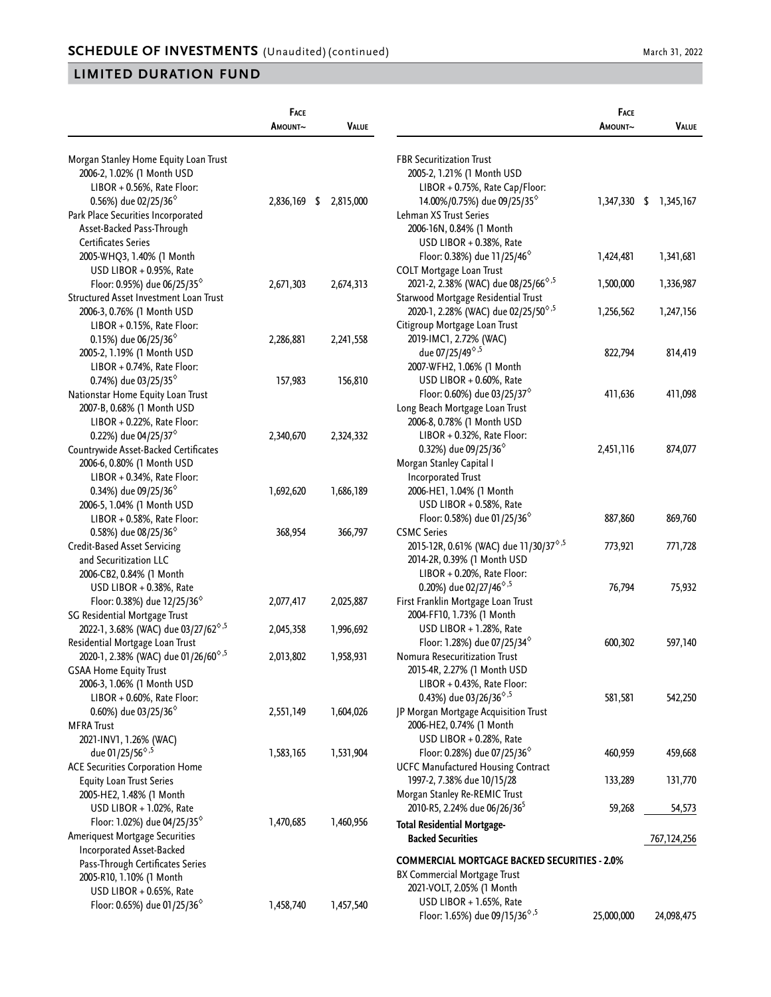|                                                               | FACE                   |              |                                                                     | FACE       |                        |
|---------------------------------------------------------------|------------------------|--------------|---------------------------------------------------------------------|------------|------------------------|
|                                                               | AMOUNT~                | <b>VALUE</b> |                                                                     | Amount~    | VALUE                  |
| Morgan Stanley Home Equity Loan Trust                         |                        |              | <b>FBR Securitization Trust</b>                                     |            |                        |
| 2006-2, 1.02% (1 Month USD                                    |                        |              | 2005-2, 1.21% (1 Month USD                                          |            |                        |
| LIBOR + 0.56%, Rate Floor:                                    |                        |              | $LIBOR + 0.75%$ , Rate Cap/Floor:                                   |            |                        |
| 0.56%) due 02/25/36 <sup>6</sup>                              | 2,836,169 \$ 2,815,000 |              | 14.00%/0.75%) due 09/25/35 <sup><math>\diamond</math></sup>         |            | 1,347,330 \$ 1,345,167 |
| Park Place Securities Incorporated                            |                        |              | Lehman XS Trust Series                                              |            |                        |
| Asset-Backed Pass-Through                                     |                        |              | 2006-16N, 0.84% (1 Month                                            |            |                        |
| <b>Certificates Series</b>                                    |                        |              | USD LIBOR + 0.38%, Rate                                             |            |                        |
| 2005-WHQ3, 1.40% (1 Month                                     |                        |              | Floor: 0.38%) due 11/25/46 <sup>°</sup>                             | 1,424,481  | 1,341,681              |
| USD LIBOR + 0.95%, Rate                                       |                        |              | <b>COLT Mortgage Loan Trust</b>                                     |            |                        |
| Floor: 0.95%) due 06/25/35 <sup><math>\diamond</math></sup>   | 2,671,303              | 2,674,313    | 2021-2, 2.38% (WAC) due 08/25/66 <sup><math>\diamond</math>,5</sup> | 1,500,000  | 1,336,987              |
| Structured Asset Investment Loan Trust                        |                        |              | Starwood Mortgage Residential Trust                                 |            |                        |
| 2006-3, 0.76% (1 Month USD                                    |                        |              | 2020-1, 2.28% (WAC) due 02/25/50 <sup>6,5</sup>                     | 1,256,562  | 1,247,156              |
| LIBOR + 0.15%, Rate Floor:                                    |                        |              | Citigroup Mortgage Loan Trust                                       |            |                        |
| 0.15%) due 06/25/36 $^{\circ}$                                | 2,286,881              | 2,241,558    | 2019-IMC1, 2.72% (WAC)                                              |            |                        |
| 2005-2, 1.19% (1 Month USD                                    |                        |              | due 07/25/49 <sup><math>\diamond</math>,5</sup>                     | 822,794    | 814,419                |
| LIBOR + 0.74%, Rate Floor:                                    |                        |              | 2007-WFH2, 1.06% (1 Month                                           |            |                        |
| 0.74%) due 03/25/35 <sup>%</sup>                              | 157,983                | 156,810      | USD LIBOR + 0.60%, Rate                                             |            |                        |
| Nationstar Home Equity Loan Trust                             |                        |              | Floor: 0.60%) due 03/25/37 <sup>6</sup>                             | 411,636    | 411,098                |
| 2007-B, 0.68% (1 Month USD                                    |                        |              | Long Beach Mortgage Loan Trust                                      |            |                        |
| LIBOR + 0.22%, Rate Floor:                                    |                        |              | 2006-8, 0.78% (1 Month USD                                          |            |                        |
| 0.22%) due 04/25/37 <sup><math>\diamond</math></sup>          | 2,340,670              | 2,324,332    | LIBOR + 0.32%, Rate Floor:                                          |            |                        |
| Countrywide Asset-Backed Certificates                         |                        |              | 0.32%) due 09/25/36 <sup>°</sup>                                    | 2,451,116  | 874,077                |
| 2006-6, 0.80% (1 Month USD                                    |                        |              | Morgan Stanley Capital I                                            |            |                        |
| LIBOR + 0.34%, Rate Floor:                                    |                        |              | <b>Incorporated Trust</b>                                           |            |                        |
| 0.34%) due 09/25/36 <sup><math>\diamond</math></sup>          | 1,692,620              | 1,686,189    | 2006-HE1, 1.04% (1 Month                                            |            |                        |
| 2006-5, 1.04% (1 Month USD                                    |                        |              | USD LIBOR + 0.58%, Rate                                             |            |                        |
| $LIBOR + 0.58\%$ , Rate Floor:                                |                        |              | Floor: 0.58%) due 01/25/36 $^{\circ}$                               | 887,860    | 869,760                |
| 0.58%) due 08/25/36 <sup><math>\diamond</math></sup>          | 368,954                | 366,797      | <b>CSMC Series</b>                                                  |            |                        |
| <b>Credit-Based Asset Servicing</b>                           |                        |              | 2015-12R, 0.61% (WAC) due 11/30/37 <sup>6,5</sup>                   | 773,921    | 771,728                |
| and Securitization LLC                                        |                        |              | 2014-2R, 0.39% (1 Month USD                                         |            |                        |
| 2006-CB2, 0.84% (1 Month                                      |                        |              | LIBOR + 0.20%, Rate Floor:                                          |            |                        |
| USD LIBOR + 0.38%, Rate                                       |                        |              | 0.20%) due 02/27/46 <sup><math>\diamond</math>,5</sup>              | 76,794     | 75,932                 |
| Floor: 0.38%) due 12/25/36 <sup><math>\diamond</math></sup>   | 2,077,417              | 2,025,887    | First Franklin Mortgage Loan Trust                                  |            |                        |
| SG Residential Mortgage Trust                                 |                        |              | 2004-FF10, 1.73% (1 Month                                           |            |                        |
| 2022-1, 3.68% (WAC) due 03/27/62 <sup>6,5</sup>               | 2,045,358              | 1,996,692    | USD LIBOR + 1.28%, Rate                                             |            |                        |
| Residential Mortgage Loan Trust                               |                        |              | Floor: 1.28%) due 07/25/34 <sup>%</sup>                             | 600,302    | 597,140                |
| 2020-1, 2.38% (WAC) due 01/26/60 <sup>6,5</sup>               | 2,013,802              | 1,958,931    | Nomura Resecuritization Trust                                       |            |                        |
| <b>GSAA Home Equity Trust</b>                                 |                        |              | 2015-4R, 2.27% (1 Month USD                                         |            |                        |
| 2006-3, 1.06% (1 Month USD                                    |                        |              | LIBOR + 0.43%, Rate Floor:                                          |            |                        |
| LIBOR + 0.60%, Rate Floor:                                    |                        |              | 0.43%) due 03/26/36 <sup>6,5</sup>                                  | 581,581    | 542,250                |
| 0.60%) due 03/25/36 <sup><math>\diamond</math></sup>          | 2,551,149              | 1,604,026    | JP Morgan Mortgage Acquisition Trust                                |            |                        |
| <b>MFRA Trust</b>                                             |                        |              | 2006-HE2, 0.74% (1 Month                                            |            |                        |
| 2021-INV1, 1.26% (WAC)                                        |                        |              | USD LIBOR + 0.28%, Rate                                             |            |                        |
| due 01/25/56 <sup><math>\diamond</math>,5</sup>               | 1,583,165              | 1,531,904    | Floor: 0.28%) due 07/25/36 <sup>%</sup>                             | 460,959    | 459,668                |
| <b>ACE Securities Corporation Home</b>                        |                        |              | <b>UCFC Manufactured Housing Contract</b>                           |            |                        |
| <b>Equity Loan Trust Series</b>                               |                        |              | 1997-2, 7.38% due 10/15/28                                          | 133,289    | 131,770                |
| 2005-HE2, 1.48% (1 Month                                      |                        |              | Morgan Stanley Re-REMIC Trust                                       |            |                        |
| USD LIBOR + 1.02%, Rate                                       |                        |              | 2010-R5, 2.24% due 06/26/36 <sup>5</sup>                            | 59,268     | 54,573                 |
| Floor: 1.02%) due 04/25/35 $^{\circ}$                         | 1,470,685              | 1,460,956    | <b>Total Residential Mortgage-</b>                                  |            |                        |
| <b>Ameriquest Mortgage Securities</b>                         |                        |              | <b>Backed Securities</b>                                            |            | 767,124,256            |
| Incorporated Asset-Backed<br>Pass-Through Certificates Series |                        |              | <b>COMMERCIAL MORTGAGE BACKED SECURITIES - 2.0%</b>                 |            |                        |
| 2005-R10, 1.10% (1 Month                                      |                        |              | BX Commercial Mortgage Trust                                        |            |                        |
| USD LIBOR + 0.65%, Rate                                       |                        |              | 2021-VOLT, 2.05% (1 Month                                           |            |                        |
| Floor: 0.65%) due 01/25/36 $^{\circ}$                         | 1,458,740              | 1,457,540    | USD LIBOR + 1.65%, Rate                                             |            |                        |
|                                                               |                        |              | Floor: 1.65%) due 09/15/36 <sup><math>\diamond</math>,5</sup>       | 25,000,000 | 24,098,475             |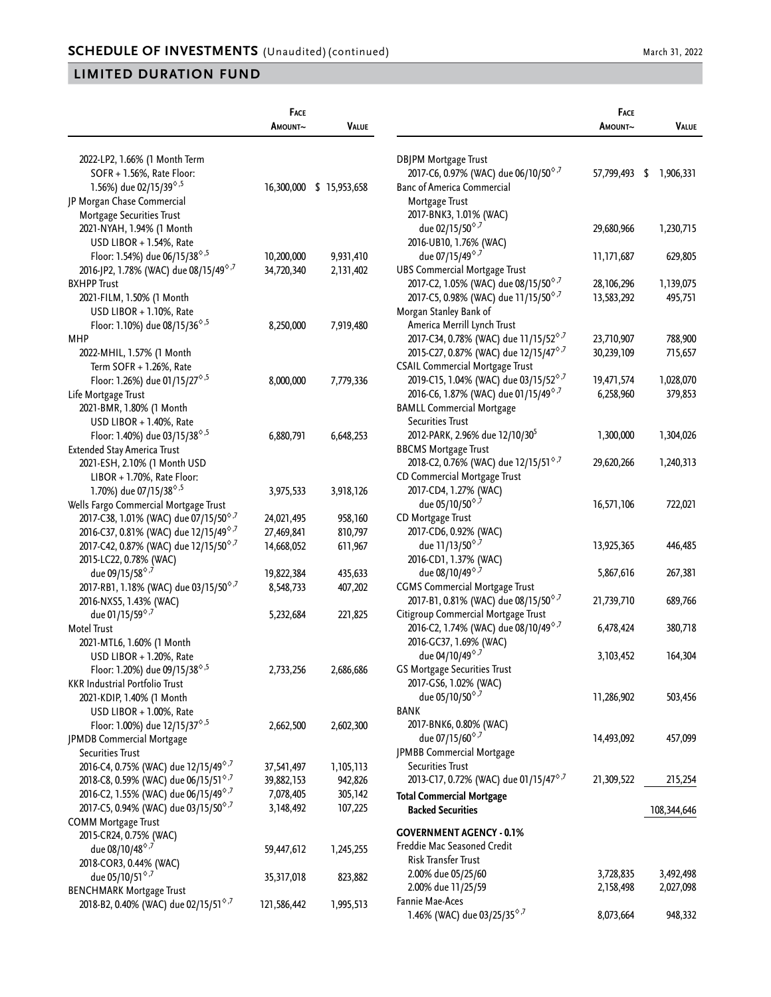|                                                                                          | FACE        |                          |                                                                                         | <b>FACE</b>   |              |
|------------------------------------------------------------------------------------------|-------------|--------------------------|-----------------------------------------------------------------------------------------|---------------|--------------|
|                                                                                          | AMOUNT~     | <b>VALUE</b>             |                                                                                         | AMOUNT~       | <b>VALUE</b> |
| 2022-LP2, 1.66% (1 Month Term                                                            |             |                          | DBJPM Mortgage Trust                                                                    |               |              |
| SOFR + 1.56%, Rate Floor:                                                                |             |                          | 2017-C6, 0.97% (WAC) due 06/10/50 <sup>6,7</sup>                                        | 57,799,493 \$ | 1,906,331    |
| 1.56%) due 02/15/39 <sup>6,5</sup>                                                       |             | 16,300,000 \$ 15,953,658 | <b>Banc of America Commercial</b>                                                       |               |              |
| JP Morgan Chase Commercial                                                               |             |                          | Mortgage Trust                                                                          |               |              |
| Mortgage Securities Trust                                                                |             |                          | 2017-BNK3, 1.01% (WAC)                                                                  |               |              |
| 2021-NYAH, 1.94% (1 Month                                                                |             |                          | due 02/15/50 <sup><math>\diamond</math>,7</sup>                                         | 29,680,966    | 1,230,715    |
| USD LIBOR $+$ 1.54%, Rate                                                                |             |                          | 2016-UB10, 1.76% (WAC)                                                                  |               |              |
| Floor: 1.54%) due 06/15/38 <sup><math>\diamond</math>,5</sup>                            | 10,200,000  | 9,931,410                | due 07/15/49 <sup>6,7</sup>                                                             | 11,171,687    | 629,805      |
| 2016-JP2, 1.78% (WAC) due 08/15/49 <sup>6,7</sup>                                        | 34,720,340  | 2,131,402                | <b>UBS Commercial Mortgage Trust</b>                                                    |               |              |
| <b>BXHPP Trust</b>                                                                       |             |                          | 2017-C2, 1.05% (WAC) due 08/15/50 <sup>6,7</sup>                                        | 28, 106, 296  | 1,139,075    |
| 2021-FILM, 1.50% (1 Month                                                                |             |                          | 2017-C5, 0.98% (WAC) due 11/15/50 <sup>6,7</sup>                                        | 13,583,292    | 495,751      |
| USD LIBOR + 1.10%, Rate                                                                  |             |                          | Morgan Stanley Bank of                                                                  |               |              |
| Floor: 1.10%) due 08/15/36 <sup><math>\diamond</math>,5</sup>                            | 8,250,000   | 7,919,480                | America Merrill Lynch Trust                                                             |               |              |
| MHP                                                                                      |             |                          | 2017-C34, 0.78% (WAC) due 11/15/52 <sup>6,7</sup>                                       | 23,710,907    | 788,900      |
| 2022-MHIL, 1.57% (1 Month                                                                |             |                          | 2015-C27, 0.87% (WAC) due 12/15/47 <sup>6,7</sup>                                       | 30,239,109    | 715,657      |
| Term SOFR + 1.26%, Rate                                                                  |             |                          | <b>CSAIL Commercial Mortgage Trust</b>                                                  |               |              |
| Floor: 1.26%) due 01/15/27 <sup><math>\diamond</math>,5</sup>                            | 8,000,000   | 7,779,336                | 2019-C15, 1.04% (WAC) due 03/15/52 <sup>6,7</sup>                                       | 19,471,574    | 1,028,070    |
| Life Mortgage Trust                                                                      |             |                          | 2016-C6, 1.87% (WAC) due 01/15/49 <sup>6,7</sup>                                        | 6,258,960     | 379,853      |
| 2021-BMR, 1.80% (1 Month                                                                 |             |                          | <b>BAMLL Commercial Mortgage</b>                                                        |               |              |
| USD LIBOR + 1.40%, Rate                                                                  |             |                          | <b>Securities Trust</b>                                                                 |               |              |
| Floor: 1.40%) due 03/15/38 <sup><math>\diamond</math>,5</sup>                            | 6,880,791   | 6,648,253                | 2012-PARK, 2.96% due 12/10/30 <sup>5</sup>                                              | 1,300,000     | 1,304,026    |
| Extended Stay America Trust                                                              |             |                          | <b>BBCMS Mortgage Trust</b>                                                             |               |              |
| 2021-ESH, 2.10% (1 Month USD                                                             |             |                          | 2018-C2, 0.76% (WAC) due 12/15/51 <sup>6,7</sup>                                        | 29,620,266    | 1,240,313    |
| LIBOR + 1.70%, Rate Floor:                                                               |             |                          | CD Commercial Mortgage Trust                                                            |               |              |
| 1.70%) due 07/15/38 <sup><math>\diamond</math>,5</sup>                                   | 3,975,533   | 3,918,126                | 2017-CD4, 1.27% (WAC)                                                                   |               |              |
| Wells Fargo Commercial Mortgage Trust                                                    |             |                          | due 05/10/50 $^{\circ,7}$                                                               | 16,571,106    | 722,021      |
| 2017-C38, 1.01% (WAC) due 07/15/50 <sup>6,7</sup>                                        | 24,021,495  | 958,160                  | CD Mortgage Trust                                                                       |               |              |
| 2016-C37, 0.81% (WAC) due 12/15/49 <sup>6,7</sup>                                        |             |                          | 2017-CD6, 0.92% (WAC)                                                                   |               |              |
| 2017-C42, 0.87% (WAC) due 12/15/50 <sup>6,7</sup>                                        | 27,469,841  | 810,797                  | due 11/13/50 $^{\circ,7}$                                                               |               | 446,485      |
|                                                                                          | 14,668,052  | 611,967                  |                                                                                         | 13,925,365    |              |
| 2015-LC22, 0.78% (WAC)                                                                   |             |                          | 2016-CD1, 1.37% (WAC)<br>due 08/10/49 <sup>6,7</sup>                                    |               |              |
| due 09/15/58 <sup><math>\diamond</math>,7</sup>                                          | 19,822,384  | 435,633                  | <b>CGMS Commercial Mortgage Trust</b>                                                   | 5,867,616     | 267,381      |
| 2017-RB1, 1.18% (WAC) due 03/15/50 <sup>6,7</sup>                                        | 8,548,733   | 407,202                  |                                                                                         | 21,739,710    | 689,766      |
| 2016-NXS5, 1.43% (WAC)                                                                   |             |                          | 2017-B1, 0.81% (WAC) due 08/15/50 <sup>6,7</sup>                                        |               |              |
| due 01/15/59 <sup>6,7</sup><br><b>Motel Trust</b>                                        | 5,232,684   | 221,825                  | Citigroup Commercial Mortgage Trust<br>2016-C2, 1.74% (WAC) due 08/10/49 <sup>6,7</sup> | 6,478,424     | 380,718      |
|                                                                                          |             |                          |                                                                                         |               |              |
| 2021-MTL6, 1.60% (1 Month                                                                |             |                          | 2016-GC37, 1.69% (WAC)<br>due 04/10/49 <sup>6,7</sup>                                   |               |              |
| USD LIBOR + 1.20%, Rate<br>Floor: 1.20%) due 09/15/38 <sup><math>\diamond</math>,5</sup> |             |                          | <b>GS Mortgage Securities Trust</b>                                                     | 3,103,452     | 164,304      |
|                                                                                          | 2,733,256   | 2,686,686                | 2017-GS6, 1.02% (WAC)                                                                   |               |              |
| <b>KKR Industrial Portfolio Trust</b>                                                    |             |                          | due 05/10/50 <sup><math>\diamond</math>,7</sup>                                         | 11,286,902    | 503,456      |
| 2021-KDIP, 1.40% (1 Month<br>USD LIBOR + 1.00%, Rate                                     |             |                          | BANK                                                                                    |               |              |
|                                                                                          |             |                          | 2017-BNK6, 0.80% (WAC)                                                                  |               |              |
| Floor: 1.00%) due 12/15/37 <sup>6,5</sup>                                                | 2,662,500   | 2,602,300                | due 07/15/60 <sup><math>\diamond</math>,7</sup>                                         | 14,493,092    | 457,099      |
| JPMDB Commercial Mortgage                                                                |             |                          | JPMBB Commercial Mortgage                                                               |               |              |
| Securities Trust                                                                         |             |                          | <b>Securities Trust</b>                                                                 |               |              |
| 2016-C4, 0.75% (WAC) due 12/15/49 <sup>6,7</sup>                                         | 37,541,497  | 1,105,113                | 2013-C17, 0.72% (WAC) due 01/15/47 <sup>6,7</sup>                                       |               |              |
| 2018-C8, 0.59% (WAC) due 06/15/51 <sup>6,7</sup>                                         | 39,882,153  | 942,826                  |                                                                                         | 21,309,522    | 215,254      |
| 2016-C2, 1.55% (WAC) due 06/15/49 <sup>6,7</sup>                                         | 7,078,405   | 305,142                  | <b>Total Commercial Mortgage</b>                                                        |               |              |
| 2017-C5, 0.94% (WAC) due 03/15/50 <sup>6,7</sup>                                         | 3,148,492   | 107,225                  | <b>Backed Securities</b>                                                                |               | 108,344,646  |
| <b>COMM Mortgage Trust</b>                                                               |             |                          | <b>GOVERNMENT AGENCY - 0.1%</b>                                                         |               |              |
| 2015-CR24, 0.75% (WAC)                                                                   |             |                          | Freddie Mac Seasoned Credit                                                             |               |              |
| due 08/10/48 <sup>6,7</sup>                                                              | 59,447,612  | 1,245,255                | Risk Transfer Trust                                                                     |               |              |
| 2018-COR3, 0.44% (WAC)                                                                   |             |                          | 2.00% due 05/25/60                                                                      | 3,728,835     | 3,492,498    |
| due 05/10/51 <sup>6,7</sup>                                                              | 35,317,018  | 823,882                  | 2.00% due 11/25/59                                                                      | 2,158,498     | 2,027,098    |
| <b>BENCHMARK Mortgage Trust</b>                                                          |             |                          | Fannie Mae-Aces                                                                         |               |              |
| 2018-B2, 0.40% (WAC) due 02/15/51 <sup>6,7</sup>                                         | 121,586,442 | 1,995,513                | 1.46% (WAC) due 03/25/35 <sup>6,7</sup>                                                 | 8,073,664     | 948,332      |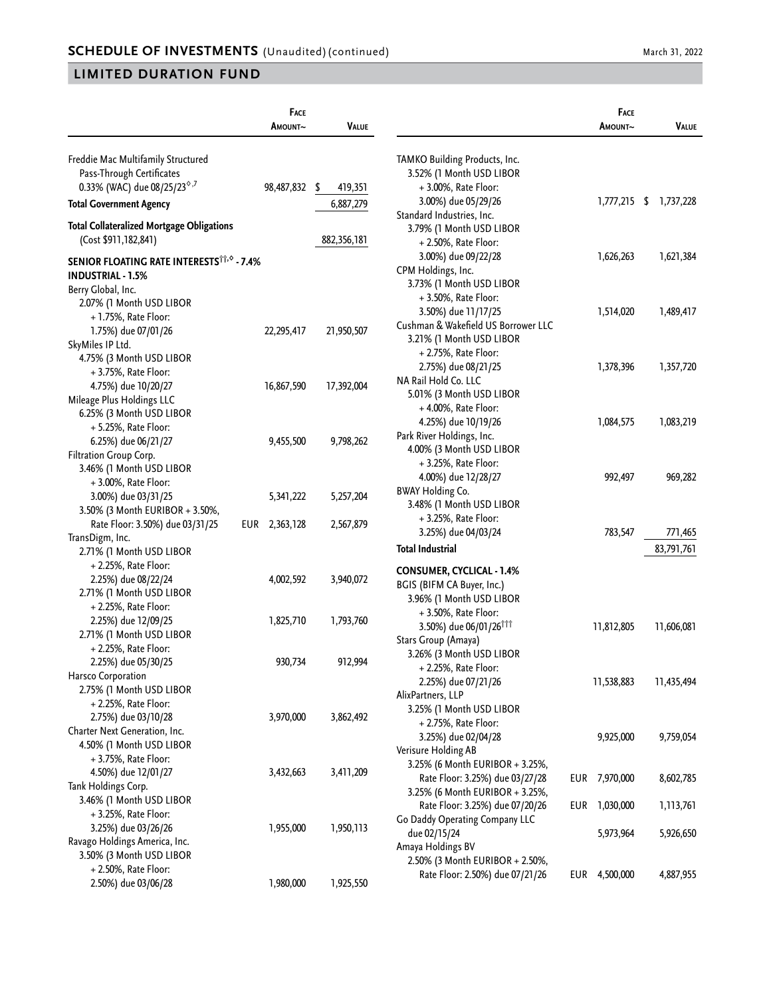|                                                        | FACE<br>AMOUNT~  | <b>VALUE</b> |                                                                    |     | FACE<br>Amount~ | <b>VALUE</b>           |
|--------------------------------------------------------|------------------|--------------|--------------------------------------------------------------------|-----|-----------------|------------------------|
|                                                        |                  |              |                                                                    |     |                 |                        |
| Freddie Mac Multifamily Structured                     |                  |              | TAMKO Building Products, Inc.                                      |     |                 |                        |
| Pass-Through Certificates                              |                  |              | 3.52% (1 Month USD LIBOR                                           |     |                 |                        |
| 0.33% (WAC) due 08/25/23 <sup>6,7</sup>                | 98,487,832 \$    | 419,351      | +3.00%, Rate Floor:                                                |     |                 |                        |
| <b>Total Government Agency</b>                         |                  | 6,887,279    | 3.00%) due 05/29/26                                                |     |                 | 1,777,215 \$ 1,737,228 |
| <b>Total Collateralized Mortgage Obligations</b>       |                  |              | Standard Industries, Inc.                                          |     |                 |                        |
| (Cost \$911,182,841)                                   |                  | 882,356,181  | 3.79% (1 Month USD LIBOR                                           |     |                 |                        |
|                                                        |                  |              | + 2.50%, Rate Floor:                                               |     |                 |                        |
| SENIOR FLOATING RATE INTERESTS <sup>TT, 6</sup> - 7.4% |                  |              | 3.00%) due 09/22/28                                                |     | 1,626,263       | 1,621,384              |
| <b>INDUSTRIAL - 1.5%</b>                               |                  |              | CPM Holdings, Inc.                                                 |     |                 |                        |
| Berry Global, Inc.                                     |                  |              | 3.73% (1 Month USD LIBOR                                           |     |                 |                        |
| 2.07% (1 Month USD LIBOR                               |                  |              | + 3.50%, Rate Floor:                                               |     | 1,514,020       |                        |
| + 1.75%, Rate Floor:                                   |                  |              | 3.50%) due 11/17/25<br>Cushman & Wakefield US Borrower LLC         |     |                 | 1,489,417              |
| 1.75%) due 07/01/26                                    | 22,295,417       | 21,950,507   | 3.21% (1 Month USD LIBOR                                           |     |                 |                        |
| SkyMiles IP Ltd.                                       |                  |              | + 2.75%, Rate Floor:                                               |     |                 |                        |
| 4.75% (3 Month USD LIBOR                               |                  |              | 2.75%) due 08/21/25                                                |     | 1,378,396       | 1,357,720              |
| + 3.75%, Rate Floor:                                   |                  |              | NA Rail Hold Co. LLC                                               |     |                 |                        |
| 4.75%) due 10/20/27                                    | 16,867,590       | 17,392,004   | 5.01% (3 Month USD LIBOR                                           |     |                 |                        |
| Mileage Plus Holdings LLC                              |                  |              | + 4.00%, Rate Floor:                                               |     |                 |                        |
| 6.25% (3 Month USD LIBOR                               |                  |              | 4.25%) due 10/19/26                                                |     | 1,084,575       | 1,083,219              |
| + 5.25%, Rate Floor:                                   |                  |              | Park River Holdings, Inc.                                          |     |                 |                        |
| 6.25%) due 06/21/27                                    | 9,455,500        | 9,798,262    | 4.00% (3 Month USD LIBOR                                           |     |                 |                        |
| Filtration Group Corp.                                 |                  |              | + 3.25%, Rate Floor:                                               |     |                 |                        |
| 3.46% (1 Month USD LIBOR                               |                  |              | 4.00%) due 12/28/27                                                |     | 992,497         | 969,282                |
| + 3.00%, Rate Floor:                                   |                  |              | <b>BWAY Holding Co.</b>                                            |     |                 |                        |
| 3.00%) due 03/31/25                                    | 5,341,222        | 5,257,204    | 3.48% (1 Month USD LIBOR                                           |     |                 |                        |
| 3.50% (3 Month EURIBOR + 3.50%,                        |                  |              | + 3.25%, Rate Floor:                                               |     |                 |                        |
| Rate Floor: 3.50%) due 03/31/25                        | 2,363,128<br>EUR | 2,567,879    | 3.25%) due 04/03/24                                                |     | 783,547         | 771,465                |
| TransDigm, Inc.                                        |                  |              | <b>Total Industrial</b>                                            |     |                 | 83,791,761             |
| 2.71% (1 Month USD LIBOR                               |                  |              |                                                                    |     |                 |                        |
| $+2.25%$ , Rate Floor:                                 |                  |              | <b>CONSUMER, CYCLICAL - 1.4%</b>                                   |     |                 |                        |
| 2.25%) due 08/22/24                                    | 4,002,592        | 3,940,072    | BGIS (BIFM CA Buyer, Inc.)                                         |     |                 |                        |
| 2.71% (1 Month USD LIBOR                               |                  |              | 3.96% (1 Month USD LIBOR                                           |     |                 |                        |
| + 2.25%, Rate Floor:                                   |                  |              | + 3.50%, Rate Floor:                                               |     |                 |                        |
| 2.25%) due 12/09/25<br>2.71% (1 Month USD LIBOR        | 1,825,710        | 1,793,760    | 3.50%) due 06/01/26 <sup>†††</sup>                                 |     | 11,812,805      | 11,606,081             |
| + 2.25%, Rate Floor:                                   |                  |              | Stars Group (Amaya)                                                |     |                 |                        |
| 2.25%) due 05/30/25                                    | 930,734          | 912,994      | 3.26% (3 Month USD LIBOR                                           |     |                 |                        |
| Harsco Corporation                                     |                  |              | + 2.25%, Rate Floor:                                               |     |                 |                        |
| 2.75% (1 Month USD LIBOR                               |                  |              | 2.25%) due 07/21/26                                                |     | 11,538,883      | 11,435,494             |
| + 2.25%, Rate Floor:                                   |                  |              | AlixPartners, LLP                                                  |     |                 |                        |
| 2.75%) due 03/10/28                                    | 3,970,000        | 3,862,492    | 3.25% (1 Month USD LIBOR                                           |     |                 |                        |
| Charter Next Generation, Inc.                          |                  |              | + 2.75%, Rate Floor:                                               |     |                 |                        |
| 4.50% (1 Month USD LIBOR                               |                  |              | 3.25%) due 02/04/28                                                |     | 9,925,000       | 9,759,054              |
| + 3.75%, Rate Floor:                                   |                  |              | Verisure Holding AB                                                |     |                 |                        |
| 4.50%) due 12/01/27                                    | 3,432,663        | 3,411,209    | 3.25% (6 Month EURIBOR + 3.25%,                                    |     |                 |                        |
| Tank Holdings Corp.                                    |                  |              | Rate Floor: 3.25%) due 03/27/28                                    | EUR | 7,970,000       | 8,602,785              |
| 3.46% (1 Month USD LIBOR                               |                  |              | 3.25% (6 Month EURIBOR + 3.25%,                                    |     |                 |                        |
| + 3.25%, Rate Floor:                                   |                  |              | Rate Floor: 3.25%) due 07/20/26                                    | EUR | 1,030,000       | 1,113,761              |
| 3.25%) due 03/26/26                                    | 1,955,000        | 1,950,113    | Go Daddy Operating Company LLC                                     |     |                 |                        |
| Ravago Holdings America, Inc.                          |                  |              | due 02/15/24                                                       |     | 5,973,964       | 5,926,650              |
| 3.50% (3 Month USD LIBOR                               |                  |              | Amaya Holdings BV                                                  |     |                 |                        |
| + 2.50%, Rate Floor:                                   |                  |              | 2.50% (3 Month EURIBOR + 2.50%,<br>Rate Floor: 2.50%) due 07/21/26 | EUR | 4,500,000       | 4,887,955              |
| 2.50%) due 03/06/28                                    | 1,980,000        | 1,925,550    |                                                                    |     |                 |                        |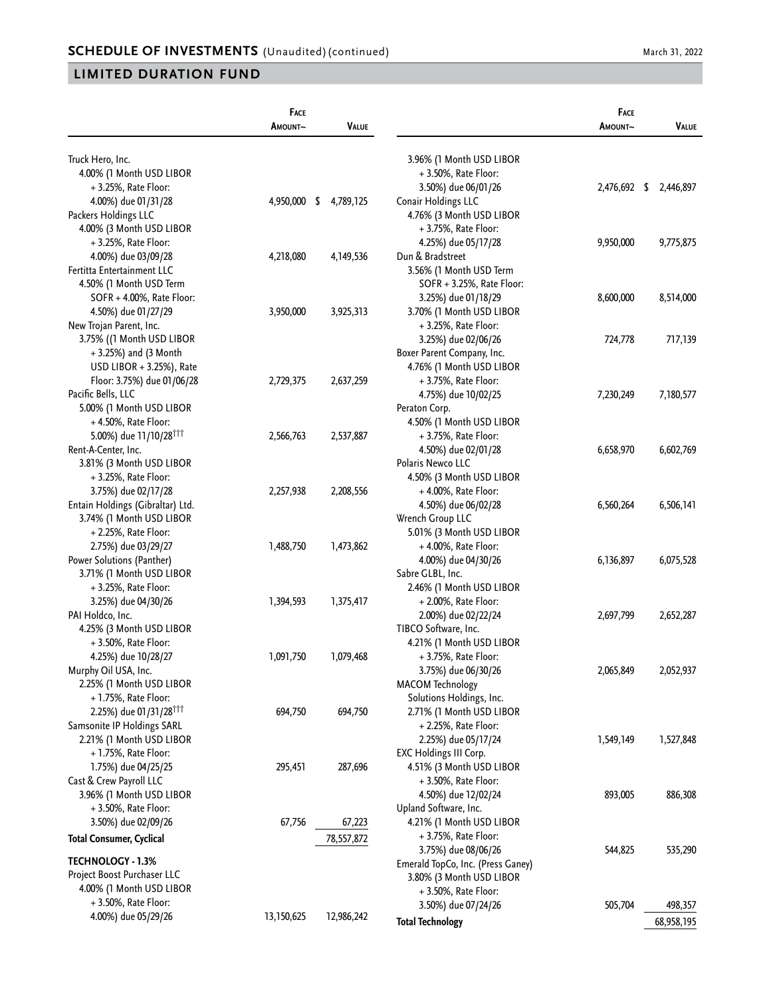|                                                 | <b>FACE</b> |              |                                   | FACE         |            |
|-------------------------------------------------|-------------|--------------|-----------------------------------|--------------|------------|
| AMOUNT~                                         |             | <b>VALUE</b> |                                   | AMOUNT~      | VALUE      |
| Truck Hero, Inc.                                |             |              | 3.96% (1 Month USD LIBOR          |              |            |
| 4.00% (1 Month USD LIBOR                        |             |              | + 3.50%, Rate Floor:              |              |            |
| $+3.25%$ , Rate Floor:                          |             |              | 3.50%) due 06/01/26               | 2,476,692 \$ | 2,446,897  |
| 4.00%) due 01/31/28<br>4,950,000 \$             |             | 4,789,125    | Conair Holdings LLC               |              |            |
| Packers Holdings LLC                            |             |              | 4.76% (3 Month USD LIBOR          |              |            |
| 4.00% (3 Month USD LIBOR                        |             |              | + 3.75%, Rate Floor:              |              |            |
| + 3.25%, Rate Floor:                            |             |              | 4.25%) due 05/17/28               | 9,950,000    | 9,775,875  |
| 4.00%) due 03/09/28<br>4,218,080                |             | 4, 149, 536  | Dun & Bradstreet                  |              |            |
| Fertitta Entertainment LLC                      |             |              | 3.56% (1 Month USD Term           |              |            |
| 4.50% (1 Month USD Term                         |             |              | SOFR + 3.25%, Rate Floor:         |              |            |
| SOFR + 4.00%, Rate Floor:                       |             |              | 3.25%) due 01/18/29               | 8,600,000    | 8,514,000  |
| 4.50%) due 01/27/29<br>3,950,000                |             | 3,925,313    | 3.70% (1 Month USD LIBOR          |              |            |
| New Trojan Parent, Inc.                         |             |              | + 3.25%, Rate Floor:              |              |            |
| 3.75% ((1 Month USD LIBOR                       |             |              | 3.25%) due 02/06/26               | 724,778      | 717,139    |
| $+3.25\%$ ) and (3 Month                        |             |              | Boxer Parent Company, Inc.        |              |            |
| USD LIBOR + 3.25%), Rate                        |             |              | 4.76% (1 Month USD LIBOR          |              |            |
| Floor: 3.75%) due 01/06/28<br>2,729,375         |             | 2,637,259    | + 3.75%, Rate Floor:              |              |            |
| Pacific Bells, LLC                              |             |              | 4.75%) due 10/02/25               | 7,230,249    | 7,180,577  |
| 5.00% (1 Month USD LIBOR                        |             |              | Peraton Corp.                     |              |            |
| +4.50%, Rate Floor:                             |             |              | 4.50% (1 Month USD LIBOR          |              |            |
| 5.00%) due 11/10/28 <sup>†††</sup><br>2,566,763 |             | 2,537,887    | + 3.75%, Rate Floor:              |              |            |
| Rent-A-Center, Inc.                             |             |              | 4.50%) due 02/01/28               | 6,658,970    | 6,602,769  |
| 3.81% (3 Month USD LIBOR                        |             |              | Polaris Newco LLC                 |              |            |
| + 3.25%, Rate Floor:                            |             |              | 4.50% (3 Month USD LIBOR          |              |            |
| 3.75%) due 02/17/28<br>2,257,938                |             | 2,208,556    | +4.00%, Rate Floor:               |              |            |
| Entain Holdings (Gibraltar) Ltd.                |             |              | 4.50%) due 06/02/28               | 6,560,264    | 6,506,141  |
| 3.74% (1 Month USD LIBOR                        |             |              | Wrench Group LLC                  |              |            |
| + 2.25%, Rate Floor:                            |             |              | 5.01% (3 Month USD LIBOR          |              |            |
| 2.75%) due 03/29/27<br>1,488,750                |             | 1,473,862    | +4.00%, Rate Floor:               |              |            |
| Power Solutions (Panther)                       |             |              | 4.00%) due 04/30/26               | 6,136,897    | 6,075,528  |
| 3.71% (1 Month USD LIBOR                        |             |              | Sabre GLBL, Inc.                  |              |            |
| +3.25%, Rate Floor:                             |             |              | 2.46% (1 Month USD LIBOR          |              |            |
| 3.25%) due 04/30/26<br>1,394,593                |             | 1,375,417    | + 2.00%, Rate Floor:              |              |            |
| PAI Holdco, Inc.                                |             |              | 2.00%) due 02/22/24               | 2,697,799    | 2,652,287  |
| 4.25% (3 Month USD LIBOR                        |             |              | TIBCO Software, Inc.              |              |            |
| + 3.50%, Rate Floor:                            |             |              | 4.21% (1 Month USD LIBOR          |              |            |
| 1,091,750<br>4.25%) due 10/28/27                |             | 1,079,468    | + 3.75%, Rate Floor:              |              |            |
| Murphy Oil USA, Inc.                            |             |              | 3.75%) due 06/30/26               | 2,065,849    | 2,052,937  |
| 2.25% (1 Month USD LIBOR                        |             |              | <b>MACOM Technology</b>           |              |            |
| + 1.75%, Rate Floor:                            |             |              | Solutions Holdings, Inc.          |              |            |
| 2.25%) due 01/31/28 <sup>111</sup><br>694,750   |             | 694,750      | 2.71% (1 Month USD LIBOR          |              |            |
| Samsonite IP Holdings SARL                      |             |              | + 2.25%, Rate Floor:              |              |            |
| 2.21% (1 Month USD LIBOR                        |             |              | 2.25%) due 05/17/24               | 1,549,149    | 1,527,848  |
| $+1.75%$ , Rate Floor:                          |             |              | EXC Holdings III Corp.            |              |            |
| 1.75%) due 04/25/25<br>295,451                  |             | 287,696      | 4.51% (3 Month USD LIBOR          |              |            |
| Cast & Crew Payroll LLC                         |             |              | $+3.50\%$ , Rate Floor:           |              |            |
| 3.96% (1 Month USD LIBOR                        |             |              | 4.50%) due 12/02/24               | 893,005      | 886,308    |
| + 3.50%, Rate Floor:                            |             |              | Upland Software, Inc.             |              |            |
| 3.50%) due 02/09/26<br>67,756                   |             | 67,223       | 4.21% (1 Month USD LIBOR          |              |            |
| <b>Total Consumer, Cyclical</b>                 |             | 78,557,872   | + 3.75%, Rate Floor:              |              |            |
|                                                 |             |              | 3.75%) due 08/06/26               | 544,825      | 535,290    |
| <b>TECHNOLOGY - 1.3%</b>                        |             |              | Emerald TopCo, Inc. (Press Ganey) |              |            |
| Project Boost Purchaser LLC                     |             |              | 3.80% (3 Month USD LIBOR          |              |            |
| 4.00% (1 Month USD LIBOR                        |             |              | + 3.50%, Rate Floor:              |              |            |
| + 3.50%, Rate Floor:                            |             |              | 3.50%) due 07/24/26               | 505,704      | 498,357    |
| 4.00%) due 05/29/26<br>13,150,625               |             | 12,986,242   | <b>Total Technology</b>           |              | 68,958,195 |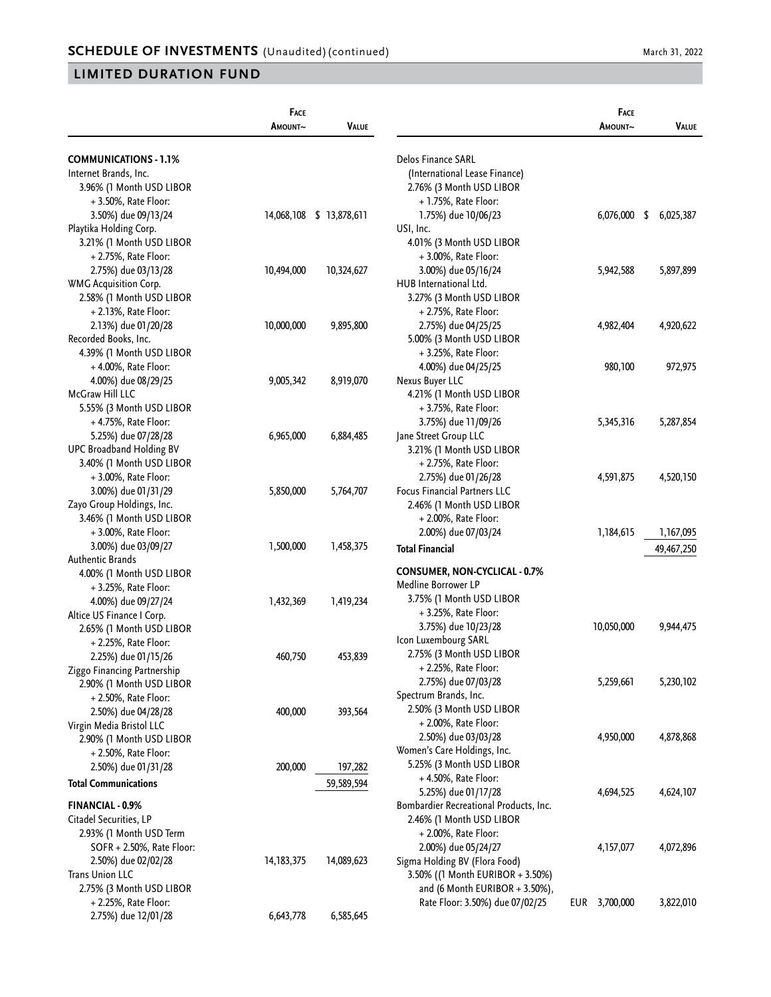|                                 | FACE<br>Amount~ | <b>VALUE</b>             |                                        | FACE<br>AMOUNT~ | VALUE      |
|---------------------------------|-----------------|--------------------------|----------------------------------------|-----------------|------------|
| <b>COMMUNICATIONS - 1.1%</b>    |                 |                          | Delos Finance SARL                     |                 |            |
| Internet Brands, Inc.           |                 |                          | (International Lease Finance)          |                 |            |
| 3.96% (1 Month USD LIBOR        |                 |                          | 2.76% (3 Month USD LIBOR               |                 |            |
| $+3.50\%$ , Rate Floor:         |                 |                          | $+1.75%$ , Rate Floor:                 |                 |            |
| 3.50%) due 09/13/24             |                 | 14,068,108 \$ 13,878,611 | 1.75%) due 10/06/23                    | $6,076,000$ \$  | 6,025,387  |
| Playtika Holding Corp.          |                 |                          | USI, Inc.                              |                 |            |
| 3.21% (1 Month USD LIBOR        |                 |                          | 4.01% (3 Month USD LIBOR               |                 |            |
| + 2.75%, Rate Floor:            |                 |                          | + 3.00%, Rate Floor:                   |                 |            |
| 2.75%) due 03/13/28             | 10,494,000      | 10,324,627               | 3.00%) due 05/16/24                    | 5,942,588       | 5,897,899  |
| <b>WMG Acquisition Corp.</b>    |                 |                          | HUB International Ltd.                 |                 |            |
| 2.58% (1 Month USD LIBOR        |                 |                          | 3.27% (3 Month USD LIBOR               |                 |            |
| + 2.13%, Rate Floor:            |                 |                          | + 2.75%, Rate Floor:                   |                 |            |
| 2.13%) due 01/20/28             | 10,000,000      | 9,895,800                | 2.75%) due 04/25/25                    | 4,982,404       | 4,920,622  |
| Recorded Books, Inc.            |                 |                          | 5.00% (3 Month USD LIBOR               |                 |            |
| 4.39% (1 Month USD LIBOR        |                 |                          | + 3.25%, Rate Floor:                   |                 |            |
| $+4.00\%$ , Rate Floor:         |                 |                          | 4.00%) due 04/25/25                    | 980,100         | 972,975    |
| 4.00%) due 08/29/25             | 9,005,342       | 8,919,070                | Nexus Buyer LLC                        |                 |            |
| McGraw Hill LLC                 |                 |                          | 4.21% (1 Month USD LIBOR               |                 |            |
| 5.55% (3 Month USD LIBOR        |                 |                          | + 3.75%, Rate Floor:                   |                 |            |
| +4.75%, Rate Floor:             |                 |                          | 3.75%) due 11/09/26                    | 5,345,316       | 5,287,854  |
| 5.25%) due 07/28/28             | 6,965,000       | 6,884,485                | Jane Street Group LLC                  |                 |            |
| <b>UPC Broadband Holding BV</b> |                 |                          | 3.21% (1 Month USD LIBOR               |                 |            |
| 3.40% (1 Month USD LIBOR        |                 |                          | + 2.75%, Rate Floor:                   |                 |            |
| $+3.00\%$ , Rate Floor:         |                 |                          | 2.75%) due 01/26/28                    | 4,591,875       | 4,520,150  |
| 3.00%) due 01/31/29             | 5,850,000       | 5,764,707                | <b>Focus Financial Partners LLC</b>    |                 |            |
| Zayo Group Holdings, Inc.       |                 |                          | 2.46% (1 Month USD LIBOR               |                 |            |
| 3.46% (1 Month USD LIBOR        |                 |                          | $+2.00\%$ , Rate Floor:                |                 |            |
| + 3.00%, Rate Floor:            |                 |                          | 2.00%) due 07/03/24                    | 1,184,615       | 1,167,095  |
| 3.00%) due 03/09/27             | 1,500,000       | 1,458,375                | <b>Total Financial</b>                 |                 | 49,467,250 |
| <b>Authentic Brands</b>         |                 |                          |                                        |                 |            |
| 4.00% (1 Month USD LIBOR        |                 |                          | <b>CONSUMER, NON-CYCLICAL - 0.7%</b>   |                 |            |
| + 3.25%, Rate Floor:            |                 |                          | Medline Borrower LP                    |                 |            |
| 4.00%) due 09/27/24             | 1,432,369       | 1,419,234                | 3.75% (1 Month USD LIBOR               |                 |            |
| Altice US Finance I Corp.       |                 |                          | +3.25%, Rate Floor:                    |                 |            |
| 2.65% (1 Month USD LIBOR        |                 |                          | 3.75%) due 10/23/28                    | 10,050,000      | 9,944,475  |
| + 2.25%, Rate Floor:            |                 |                          | Icon Luxembourg SARL                   |                 |            |
| 2.25%) due 01/15/26             | 460,750         | 453,839                  | 2.75% (3 Month USD LIBOR               |                 |            |
| Ziggo Financing Partnership     |                 |                          | + 2.25%, Rate Floor:                   |                 |            |
| 2.90% (1 Month USD LIBOR        |                 |                          | 2.75%) due 07/03/28                    | 5,259,661       | 5,230,102  |
| + 2.50%, Rate Floor:            |                 |                          | Spectrum Brands, Inc.                  |                 |            |
| 2.50%) due 04/28/28             | 400,000         | 393,564                  | 2.50% (3 Month USD LIBOR               |                 |            |
| Virgin Media Bristol LLC        |                 |                          | + 2.00%, Rate Floor:                   |                 |            |
| 2.90% (1 Month USD LIBOR        |                 |                          | 2.50%) due 03/03/28                    | 4,950,000       | 4,878,868  |
| + 2.50%, Rate Floor:            |                 |                          | Women's Care Holdings, Inc.            |                 |            |
| 2.50%) due 01/31/28             | 200,000         | 197,282                  | 5.25% (3 Month USD LIBOR               |                 |            |
| <b>Total Communications</b>     |                 | 59,589,594               | +4.50%, Rate Floor:                    |                 |            |
|                                 |                 |                          | 5.25%) due 01/17/28                    | 4,694,525       | 4,624,107  |
| FINANCIAL - 0.9%                |                 |                          | Bombardier Recreational Products, Inc. |                 |            |
| Citadel Securities, LP          |                 |                          | 2.46% (1 Month USD LIBOR               |                 |            |
| 2.93% (1 Month USD Term         |                 |                          | + 2.00%, Rate Floor:                   |                 |            |
| SOFR + 2.50%, Rate Floor:       |                 |                          | 2.00%) due 05/24/27                    | 4,157,077       | 4,072,896  |
| 2.50%) due 02/02/28             | 14, 183, 375    | 14,089,623               | Sigma Holding BV (Flora Food)          |                 |            |
| <b>Trans Union LLC</b>          |                 |                          | 3.50% ((1 Month EURIBOR + 3.50%)       |                 |            |
| 2.75% (3 Month USD LIBOR        |                 |                          | and (6 Month EURIBOR $+$ 3.50%),       |                 |            |
| + 2.25%, Rate Floor:            |                 |                          | Rate Floor: 3.50%) due 07/02/25        | EUR 3,700,000   | 3,822,010  |
| 2.75%) due 12/01/28             | 6,643,778       | 6,585,645                |                                        |                 |            |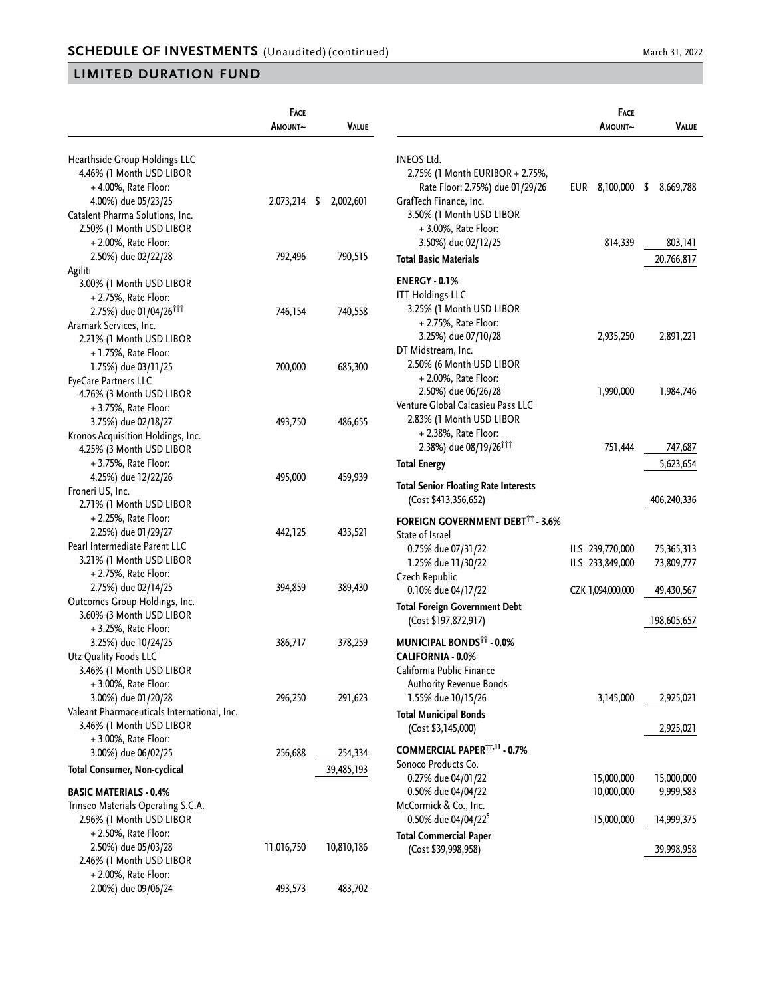|                                                                                                                                      | FACE<br>AMOUNT~ | <b>VALUE</b>          |                                                                                                                                | <b>FACE</b><br>AMOUNT~             | VALUE                    |
|--------------------------------------------------------------------------------------------------------------------------------------|-----------------|-----------------------|--------------------------------------------------------------------------------------------------------------------------------|------------------------------------|--------------------------|
| Hearthside Group Holdings LLC<br>4.46% (1 Month USD LIBOR<br>$+4.00\%$ , Rate Floor:<br>4.00%) due 05/23/25                          | 2,073,214 \$    | 2,002,601             | INEOS Ltd.<br>2.75% (1 Month EURIBOR + 2.75%,<br>Rate Floor: 2.75%) due 01/29/26<br>GrafTech Finance, Inc.                     | EUR 8,100,000 \$                   | 8,669,788                |
| Catalent Pharma Solutions, Inc.<br>2.50% (1 Month USD LIBOR<br>$+2.00\%$ , Rate Floor:                                               |                 |                       | 3.50% (1 Month USD LIBOR<br>+3.00%, Rate Floor:<br>3.50%) due 02/12/25                                                         | 814,339                            | 803,141                  |
| 2.50%) due 02/22/28                                                                                                                  | 792,496         | 790,515               | <b>Total Basic Materials</b>                                                                                                   |                                    | 20,766,817               |
| Agiliti<br>3.00% (1 Month USD LIBOR<br>+ 2.75%, Rate Floor:<br>2.75%) due 01/04/26 <sup>†††</sup>                                    | 746,154         | 740,558               | <b>ENERGY - 0.1%</b><br><b>ITT Holdings LLC</b><br>3.25% (1 Month USD LIBOR<br>+ 2.75%, Rate Floor:                            |                                    |                          |
| Aramark Services, Inc.<br>2.21% (1 Month USD LIBOR<br>+1.75%, Rate Floor:<br>1.75%) due 03/11/25                                     | 700,000         | 685,300               | 3.25%) due 07/10/28<br>DT Midstream, Inc.<br>2.50% (6 Month USD LIBOR<br>+ 2.00%, Rate Floor:                                  | 2,935,250                          | 2,891,221                |
| EyeCare Partners LLC<br>4.76% (3 Month USD LIBOR<br>+ 3.75%, Rate Floor:<br>3.75%) due 02/18/27<br>Kronos Acquisition Holdings, Inc. | 493,750         | 486,655               | 2.50%) due 06/26/28<br>Venture Global Calcasieu Pass LLC<br>2.83% (1 Month USD LIBOR<br>+ 2.38%, Rate Floor:                   | 1,990,000                          | 1,984,746                |
| 4.25% (3 Month USD LIBOR<br>+ 3.75%, Rate Floor:                                                                                     |                 |                       | 2.38%) due 08/19/26 <sup>111</sup><br><b>Total Energy</b>                                                                      | 751,444                            | 747,687<br>5,623,654     |
| 4.25%) due 12/22/26<br>Froneri US, Inc.<br>2.71% (1 Month USD LIBOR                                                                  | 495,000         | 459,939               | <b>Total Senior Floating Rate Interests</b><br>(Cost \$413,356,652)                                                            |                                    | 406,240,336              |
| + 2.25%, Rate Floor:<br>2.25%) due 01/29/27<br>Pearl Intermediate Parent LLC<br>3.21% (1 Month USD LIBOR                             | 442,125         | 433,521               | <b>FOREIGN GOVERNMENT DEBT11 - 3.6%</b><br>State of Israel<br>0.75% due 07/31/22<br>1.25% due 11/30/22                         | ILS 239,770,000<br>ILS 233,849,000 | 75,365,313<br>73,809,777 |
| + 2.75%, Rate Floor:<br>2.75%) due 02/14/25<br>Outcomes Group Holdings, Inc.                                                         | 394,859         | 389,430               | Czech Republic<br>0.10% due 04/17/22                                                                                           | CZK 1,094,000,000                  | 49,430,567               |
| 3.60% (3 Month USD LIBOR<br>+ 3.25%, Rate Floor:                                                                                     |                 |                       | <b>Total Foreign Government Debt</b><br>(Cost \$197,872,917)                                                                   |                                    | 198,605,657              |
| 3.25%) due 10/24/25<br>Utz Quality Foods LLC<br>3.46% (1 Month USD LIBOR<br>+ 3.00%, Rate Floor:                                     | 386,717         | 378,259               | <b>MUNICIPAL BONDS<sup>11</sup> - 0.0%</b><br>CALIFORNIA - 0.0%<br>California Public Finance<br><b>Authority Revenue Bonds</b> |                                    |                          |
| 3.00%) due 01/20/28<br>Valeant Pharmaceuticals International, Inc.                                                                   | 296,250         | 291,623               | 1.55% due 10/15/26<br><b>Total Municipal Bonds</b>                                                                             | 3,145,000                          | 2,925,021                |
| 3.46% (1 Month USD LIBOR<br>+3.00%, Rate Floor:                                                                                      |                 |                       | (Cost \$3,145,000)<br>COMMERCIAL PAPER <sup>11,11</sup> - 0.7%                                                                 |                                    | 2,925,021                |
| 3.00%) due 06/02/25<br><b>Total Consumer, Non-cyclical</b>                                                                           | 256,688         | 254,334<br>39,485,193 | Sonoco Products Co.<br>0.27% due 04/01/22                                                                                      | 15,000,000                         | 15,000,000               |
| <b>BASIC MATERIALS - 0.4%</b><br>Trinseo Materials Operating S.C.A.                                                                  |                 |                       | 0.50% due 04/04/22<br>McCormick & Co., Inc.                                                                                    | 10,000,000                         | 9,999,583                |
| 2.96% (1 Month USD LIBOR<br>+ 2.50%, Rate Floor:<br>2.50%) due 05/03/28                                                              | 11,016,750      | 10,810,186            | 0.50% due 04/04/22 <sup>5</sup><br><b>Total Commercial Paper</b><br>(Cost \$39,998,958)                                        | 15,000,000                         | 14,999,375<br>39,998,958 |
| 2.46% (1 Month USD LIBOR<br>+ 2.00%, Rate Floor:<br>2.00%) due 09/06/24                                                              | 493,573         | 483,702               |                                                                                                                                |                                    |                          |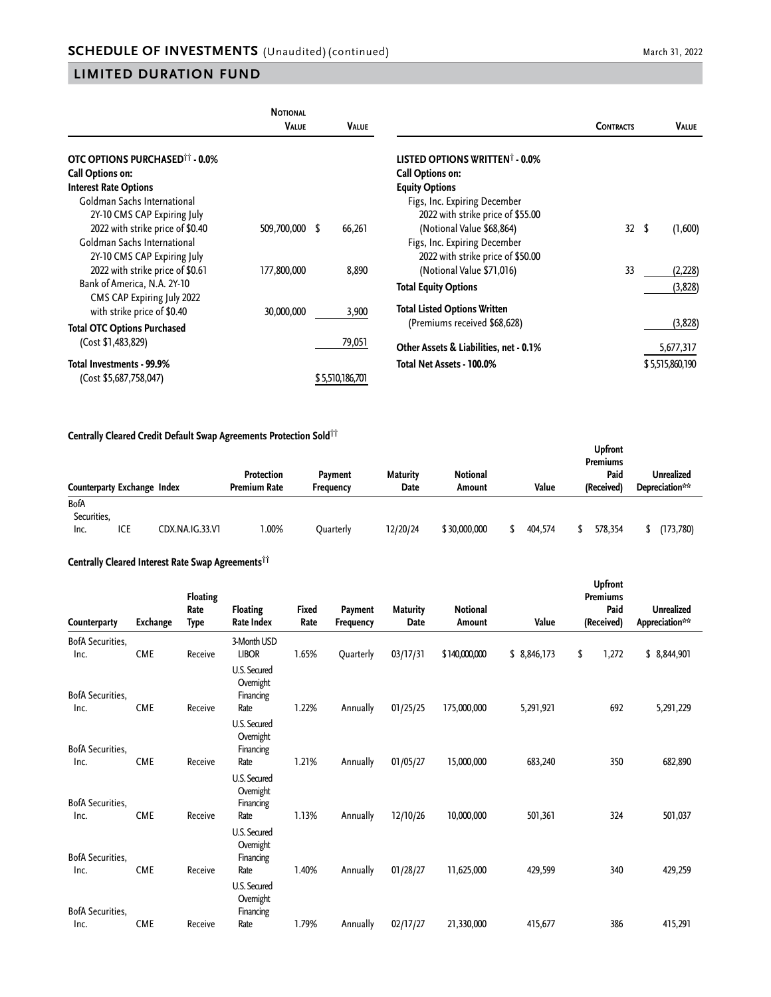|                                                  | <b>NOTIONAL</b><br><b>VALUE</b> | <b>VALUE</b>    |                                            | <b>CONTRACTS</b> | VALUE           |
|--------------------------------------------------|---------------------------------|-----------------|--------------------------------------------|------------------|-----------------|
| <b>OTC OPTIONS PURCHASED<sup>11</sup> - 0.0%</b> |                                 |                 | LISTED OPTIONS WRITTEN <sup>†</sup> - 0.0% |                  |                 |
| Call Options on:                                 |                                 |                 | Call Options on:                           |                  |                 |
| <b>Interest Rate Options</b>                     |                                 |                 | <b>Equity Options</b>                      |                  |                 |
| Goldman Sachs International                      |                                 |                 | Figs, Inc. Expiring December               |                  |                 |
| 2Y-10 CMS CAP Expiring July                      |                                 |                 | 2022 with strike price of \$55.00          |                  |                 |
| 2022 with strike price of \$0.40                 | 509,700,000 \$                  | 66,261          | (Notional Value \$68,864)                  | 32 <sup>2</sup>  | \$<br>(1,600)   |
| Goldman Sachs International                      |                                 |                 | Figs, Inc. Expiring December               |                  |                 |
| 2Y-10 CMS CAP Expiring July                      |                                 |                 | 2022 with strike price of \$50.00          |                  |                 |
| 2022 with strike price of \$0.61                 | 177,800,000                     | 8,890           | (Notional Value \$71,016)                  | 33               | (2,228)         |
| Bank of America, N.A. 2Y-10                      |                                 |                 | <b>Total Equity Options</b>                |                  | (3,828)         |
| CMS CAP Expiring July 2022                       |                                 |                 |                                            |                  |                 |
| with strike price of \$0.40                      | 30,000,000                      | 3,900           | <b>Total Listed Options Written</b>        |                  |                 |
| <b>Total OTC Options Purchased</b>               |                                 |                 | (Premiums received \$68,628)               |                  | (3,828)         |
| (Cost \$1,483,829)                               |                                 | 79,051          | Other Assets & Liabilities, net - 0.1%     |                  | 5,677,317       |
| Total Investments - 99.9%                        |                                 |                 | Total Net Assets - 100.0%                  |                  | \$5,515,860,190 |
| (Cost \$5,687,758,047)                           |                                 | \$5,510,186,701 |                                            |                  |                 |

#### **Centrally Cleared Credit Default Swap Agreements Protection Sold††**

|                                    |     |                 |                                   |                             |                         |                           |         | <b>Upfront</b><br><b>Premiums</b> |                              |
|------------------------------------|-----|-----------------|-----------------------------------|-----------------------------|-------------------------|---------------------------|---------|-----------------------------------|------------------------------|
| Counterparty Exchange Index        |     |                 | Protection<br><b>Premium Rate</b> | Payment<br><b>Frequency</b> | <b>Maturity</b><br>Date | <b>Notional</b><br>Amount | Value   | Paid<br>(Received)                | Unrealized<br>Depreciation** |
| <b>BofA</b><br>Securities,<br>Inc. | ICE | CDX.NA.IG.33.V1 | 1.00%                             | Ouarterly                   | 12/20/24                | \$30,000,000              | 404.574 | 578,354                           | (173,780)                    |

# **Centrally Cleared Interest Rate Swap Agreements††**

| Counterparty                    | Exchange   | <b>Floating</b><br>Rate<br>Type<br>Receive | Floating<br>Rate Index<br>3-Month USD<br><b>LIBOR</b> | <b>Fixed</b><br>Rate<br>1.65% | Payment<br><b>Frequency</b><br>Quarterly | <b>Maturity</b><br>Date<br>03/17/31 | <b>Notional</b><br>Amount | Value       | <b>Upfront</b><br><b>Premiums</b><br>Paid<br>(Received) | <b>Unrealized</b><br>Appreciation** |  |
|---------------------------------|------------|--------------------------------------------|-------------------------------------------------------|-------------------------------|------------------------------------------|-------------------------------------|---------------------------|-------------|---------------------------------------------------------|-------------------------------------|--|
| BofA Securities,<br>Inc.        | <b>CME</b> |                                            |                                                       |                               |                                          |                                     | \$140,000,000             | \$8,846,173 | \$<br>1,272                                             | \$ 8,844,901                        |  |
| <b>BofA Securities,</b>         |            |                                            | U.S. Secured<br>Overnight<br>Financing                |                               |                                          |                                     |                           |             |                                                         |                                     |  |
| Inc.                            | <b>CME</b> | Receive                                    | Rate                                                  | 1.22%                         | Annually                                 | 01/25/25                            | 175,000,000               | 5,291,921   | 692                                                     | 5,291,229                           |  |
| <b>BofA Securities,</b><br>Inc. | <b>CME</b> | Receive                                    | U.S. Secured<br>Overnight<br>Financing<br>Rate        | 1.21%                         | Annually                                 | 01/05/27                            | 15,000,000                | 683,240     | 350                                                     | 682,890                             |  |
| <b>BofA Securities,</b>         |            |                                            | U.S. Secured<br>Overnight<br>Financing                |                               |                                          |                                     |                           |             |                                                         |                                     |  |
| Inc.<br><b>BofA Securities,</b> | <b>CME</b> | Receive                                    | Rate<br>U.S. Secured<br>Overnight<br>Financing        | 1.13%                         | Annually                                 | 12/10/26                            | 10,000,000                | 501,361     | 324                                                     | 501,037                             |  |
| Inc.<br><b>BofA Securities,</b> | <b>CME</b> | Receive                                    | Rate<br>U.S. Secured<br>Overnight<br>Financing        | 1.40%                         | Annually                                 | 01/28/27                            | 11,625,000                | 429,599     | 340                                                     | 429,259                             |  |
| Inc.                            | <b>CME</b> | Receive                                    | Rate                                                  | 1.79%                         | Annually                                 | 02/17/27                            | 21,330,000                | 415,677     | 386                                                     | 415,291                             |  |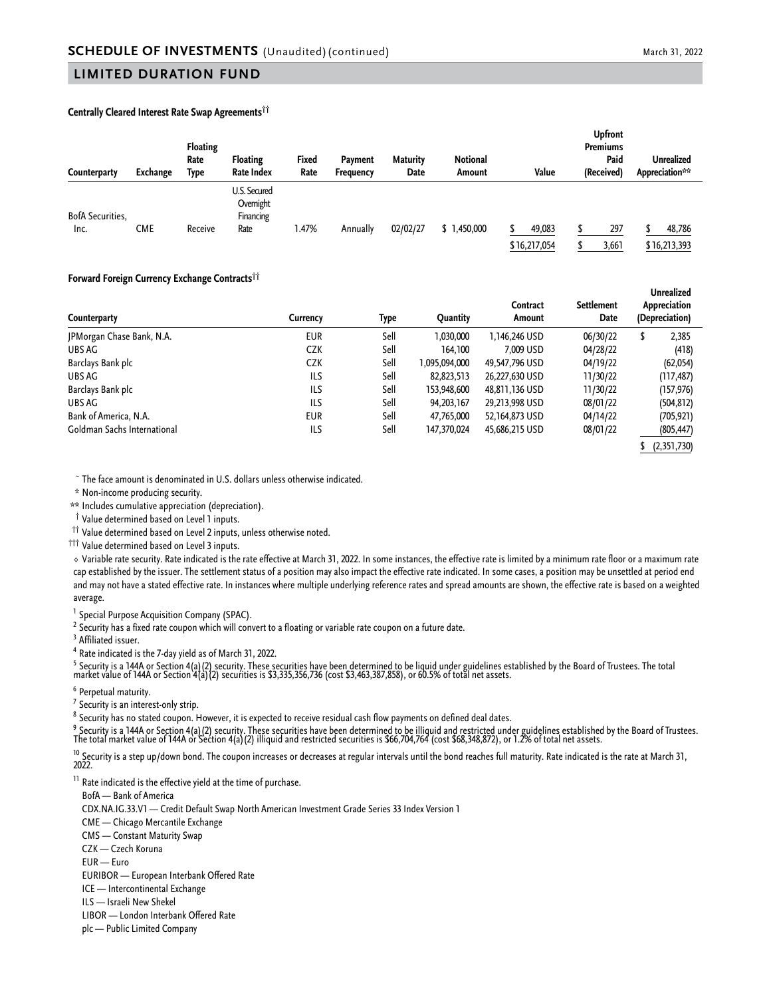#### **Centrally Cleared Interest Rate Swap Agreements††**

| Counterparty            | Exchange | Floating<br>Rate<br>Type | Floating<br>Rate Index                 | Fixed<br>Rate | Payment<br><b>Frequency</b> | <b>Maturity</b><br>Date | Notional<br>Amount | Value                  | <b>Upfront</b><br><b>Premiums</b><br>Paid<br>(Received) | <b>Unrealized</b><br>Appreciation** |
|-------------------------|----------|--------------------------|----------------------------------------|---------------|-----------------------------|-------------------------|--------------------|------------------------|---------------------------------------------------------|-------------------------------------|
| <b>BofA Securities,</b> |          |                          | U.S. Secured<br>Overnight<br>Financing |               |                             |                         |                    |                        |                                                         |                                     |
| Inc.                    | CME      | Receive                  | Rate                                   | 1.47%         | Annually                    | 02/02/27                | \$1,450,000        | 49,083<br>\$16,217,054 | 297<br>3,661                                            | 48,786<br>\$16,213,393              |

#### **Forward Foreign Currency Exchange Contracts††**

| Counterparty                | Currencv   | Type | <b>Quantity</b> | Contract<br>Amount | <b>Settlement</b><br>Date | Unrealized<br>Appreciation<br>(Depreciation) |  |
|-----------------------------|------------|------|-----------------|--------------------|---------------------------|----------------------------------------------|--|
| JPMorgan Chase Bank, N.A.   | <b>EUR</b> | Sell | 1,030,000       | 1,146,246 USD      | 06/30/22                  | 2,385<br>\$                                  |  |
| UBS AG                      | CZK        | Sell | 164,100         | 7.009 USD          | 04/28/22                  | (418)                                        |  |
| Barclays Bank plc           | CZK        | Sell | 1,095,094,000   | 49,547,796 USD     | 04/19/22                  | (62, 054)                                    |  |
| UBS AG                      | ILS        | Sell | 82,823,513      | 26,227,630 USD     | 11/30/22                  | (117, 487)                                   |  |
| Barclays Bank plc           | ILS        | Sell | 153,948,600     | 48,811,136 USD     | 11/30/22                  | (157,976)                                    |  |
| UBS AG                      | ILS        | Sell | 94, 203, 167    | 29,213,998 USD     | 08/01/22                  | (504, 812)                                   |  |
| Bank of America, N.A.       | <b>EUR</b> | Sell | 47,765,000      | 52,164,873 USD     | 04/14/22                  | (705, 921)                                   |  |
| Goldman Sachs International | ILS        | Sell | 147,370,024     | 45,686,215 USD     | 08/01/22                  | (805, 447)                                   |  |
|                             |            |      |                 |                    |                           | (2,351,730)                                  |  |

<sup>~</sup> The face amount is denominated in U.S. dollars unless otherwise indicated.

\* Non-income producing security.

\*\* Includes cumulative appreciation (depreciation).

† Value determined based on Level 1 inputs.

<sup>††</sup> Value determined based on Level 2 inputs, unless otherwise noted.

††† Value determined based on Level 3 inputs.

◊ Variable rate security. Rate indicated is the rate effective at March 31, 2022. In some instances, the effective rate is limited by a minimum rate floor or a maximum rate cap established by the issuer. The settlement status of a position may also impact the effective rate indicated. In some cases, a position may be unsettled at period end and may not have a stated effective rate. In instances where multiple underlying reference rates and spread amounts are shown, the effective rate is based on a weighted average.

<sup>1</sup> Special Purpose Acquisition Company (SPAC).

 $^2$  Security has a fixed rate coupon which will convert to a floating or variable rate coupon on a future date.

<sup>3</sup> Affiliated issuer.

<sup>4</sup> Rate indicated is the 7-day yield as of March 31, 2022.

<sup>5</sup> Security is a 144A or Section 4(a)(2) security. These securities have been determined to be liquid under guidelines established by the Board of Trustees. The total<br>market value of 144A or Section 4(a)(2) securities is

<sup>6</sup> Perpetual maturity.

 $7$  Security is an interest-only strip.

 $^8$  Security has no stated coupon. However, it is expected to receive residual cash flow payments on defined deal dates.

<sup>9</sup> Security is a 144A or Section 4(a)(2) security. These securities have been determined to be illiquid and restricted under guidelines established by the Board of Trustees.<br>The total market value of 144A or Section 4(a)(

<sup>10</sup> Security is a step up/down bond. The coupon increases or decreases at regular intervals until the bond reaches full maturity. Rate indicated is the rate at March 31,<br>2022.

<sup>11</sup> Rate indicated is the effective yield at the time of purchase.

BofA — Bank of America

CDX.NA.IG.33.V1 — Credit Default Swap North American Investment Grade Series 33 Index Version 1

CME — Chicago Mercantile Exchange

CMS — Constant Maturity Swap

CZK — Czech Koruna

EUR — Euro

EURIBOR — European Interbank Offered Rate

ICE — Intercontinental Exchange

ILS — Israeli New Shekel

LIBOR — London Interbank Offered Rate

plc — Public Limited Company

**Unrealized**